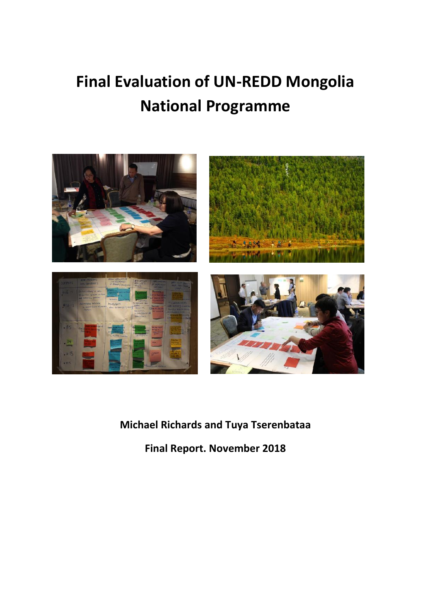# **Final Evaluation of UN-REDD Mongolia National Programme**



## **Michael Richards and Tuya Tserenbataa**

**Final Report. November 2018**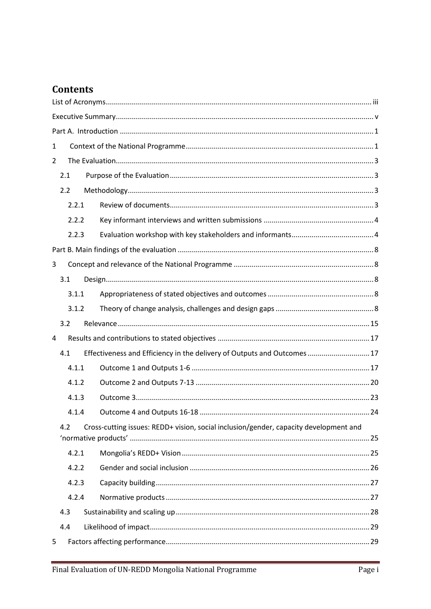## **Contents**

| 1                                                                                            |                                                                          |  |  |  |
|----------------------------------------------------------------------------------------------|--------------------------------------------------------------------------|--|--|--|
| 2                                                                                            |                                                                          |  |  |  |
| 2.1                                                                                          |                                                                          |  |  |  |
| 2.2                                                                                          |                                                                          |  |  |  |
| 2.2.1                                                                                        |                                                                          |  |  |  |
| 2.2.2                                                                                        |                                                                          |  |  |  |
| 2.2.3                                                                                        |                                                                          |  |  |  |
|                                                                                              |                                                                          |  |  |  |
| 3                                                                                            |                                                                          |  |  |  |
| 3.1                                                                                          |                                                                          |  |  |  |
| 3.1.1                                                                                        |                                                                          |  |  |  |
| 3.1.2                                                                                        |                                                                          |  |  |  |
| 3.2                                                                                          |                                                                          |  |  |  |
| 4                                                                                            |                                                                          |  |  |  |
| 4.1                                                                                          | Effectiveness and Efficiency in the delivery of Outputs and Outcomes  17 |  |  |  |
| 4.1.1                                                                                        |                                                                          |  |  |  |
| 4.1.2                                                                                        |                                                                          |  |  |  |
| 4.1.3                                                                                        |                                                                          |  |  |  |
| 4.1.4                                                                                        |                                                                          |  |  |  |
| Cross-cutting issues: REDD+ vision, social inclusion/gender, capacity development and<br>4.2 |                                                                          |  |  |  |
| 4.2.1                                                                                        |                                                                          |  |  |  |
| 4.2.2                                                                                        |                                                                          |  |  |  |
| 4.2.3                                                                                        |                                                                          |  |  |  |
| 4.2.4                                                                                        |                                                                          |  |  |  |
| 4.3                                                                                          |                                                                          |  |  |  |
| 4.4                                                                                          |                                                                          |  |  |  |
| 5                                                                                            |                                                                          |  |  |  |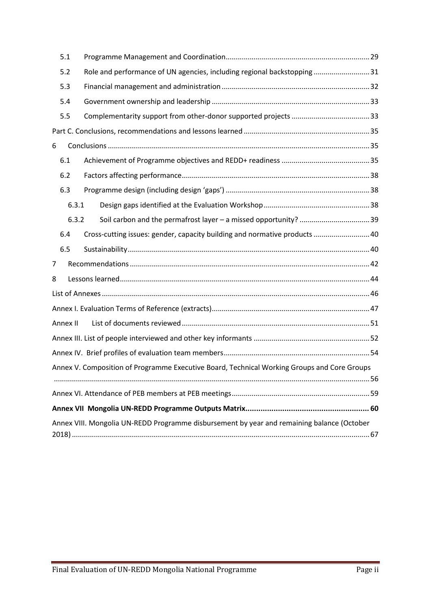|                                                                                             | 5.1      |                                                                            |  |  |  |  |  |
|---------------------------------------------------------------------------------------------|----------|----------------------------------------------------------------------------|--|--|--|--|--|
|                                                                                             | 5.2      | Role and performance of UN agencies, including regional backstopping 31    |  |  |  |  |  |
|                                                                                             | 5.3      |                                                                            |  |  |  |  |  |
|                                                                                             | 5.4      |                                                                            |  |  |  |  |  |
|                                                                                             | 5.5      |                                                                            |  |  |  |  |  |
|                                                                                             |          |                                                                            |  |  |  |  |  |
| 6                                                                                           |          |                                                                            |  |  |  |  |  |
|                                                                                             | 6.1      |                                                                            |  |  |  |  |  |
|                                                                                             | 6.2      |                                                                            |  |  |  |  |  |
|                                                                                             | 6.3      |                                                                            |  |  |  |  |  |
|                                                                                             | 6.3.1    |                                                                            |  |  |  |  |  |
|                                                                                             | 6.3.2    |                                                                            |  |  |  |  |  |
|                                                                                             | 6.4      | Cross-cutting issues: gender, capacity building and normative products  40 |  |  |  |  |  |
|                                                                                             | 6.5      |                                                                            |  |  |  |  |  |
| 7                                                                                           |          |                                                                            |  |  |  |  |  |
| 8                                                                                           |          |                                                                            |  |  |  |  |  |
|                                                                                             |          |                                                                            |  |  |  |  |  |
|                                                                                             |          |                                                                            |  |  |  |  |  |
|                                                                                             | Annex II |                                                                            |  |  |  |  |  |
|                                                                                             |          |                                                                            |  |  |  |  |  |
|                                                                                             |          |                                                                            |  |  |  |  |  |
| Annex V. Composition of Programme Executive Board, Technical Working Groups and Core Groups |          |                                                                            |  |  |  |  |  |
|                                                                                             |          |                                                                            |  |  |  |  |  |
|                                                                                             |          |                                                                            |  |  |  |  |  |
|                                                                                             |          |                                                                            |  |  |  |  |  |
| Annex VIII. Mongolia UN-REDD Programme disbursement by year and remaining balance (October  |          |                                                                            |  |  |  |  |  |
|                                                                                             |          |                                                                            |  |  |  |  |  |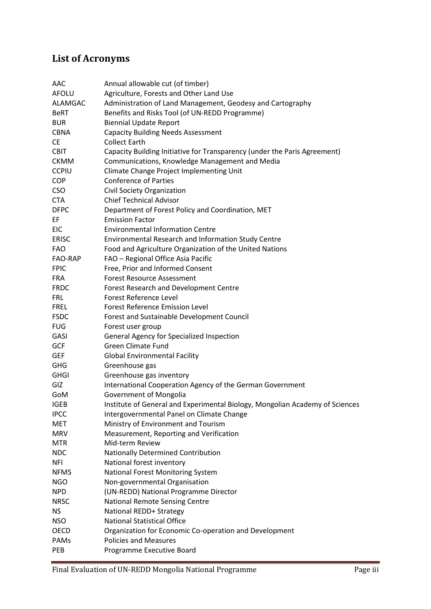## <span id="page-3-0"></span>**List of Acronyms**

| AAC          | Annual allowable cut (of timber)                                             |  |  |  |  |  |
|--------------|------------------------------------------------------------------------------|--|--|--|--|--|
| <b>AFOLU</b> | Agriculture, Forests and Other Land Use                                      |  |  |  |  |  |
| ALAMGAC      | Administration of Land Management, Geodesy and Cartography                   |  |  |  |  |  |
| <b>BeRT</b>  | Benefits and Risks Tool (of UN-REDD Programme)                               |  |  |  |  |  |
| <b>BUR</b>   | <b>Biennial Update Report</b>                                                |  |  |  |  |  |
| <b>CBNA</b>  | <b>Capacity Building Needs Assessment</b>                                    |  |  |  |  |  |
| <b>CE</b>    | <b>Collect Earth</b>                                                         |  |  |  |  |  |
| <b>CBIT</b>  | Capacity Building Initiative for Transparency (under the Paris Agreement)    |  |  |  |  |  |
| <b>CKMM</b>  | Communications, Knowledge Management and Media                               |  |  |  |  |  |
| <b>CCPIU</b> | Climate Change Project Implementing Unit                                     |  |  |  |  |  |
| <b>COP</b>   | <b>Conference of Parties</b>                                                 |  |  |  |  |  |
| <b>CSO</b>   | Civil Society Organization                                                   |  |  |  |  |  |
| <b>CTA</b>   | <b>Chief Technical Advisor</b>                                               |  |  |  |  |  |
| <b>DFPC</b>  | Department of Forest Policy and Coordination, MET                            |  |  |  |  |  |
| EF           | <b>Emission Factor</b>                                                       |  |  |  |  |  |
| <b>EIC</b>   | <b>Environmental Information Centre</b>                                      |  |  |  |  |  |
| <b>ERISC</b> | Environmental Research and Information Study Centre                          |  |  |  |  |  |
| <b>FAO</b>   | Food and Agriculture Organization of the United Nations                      |  |  |  |  |  |
| FAO-RAP      | FAO - Regional Office Asia Pacific                                           |  |  |  |  |  |
| <b>FPIC</b>  | Free, Prior and Informed Consent                                             |  |  |  |  |  |
| <b>FRA</b>   | <b>Forest Resource Assessment</b>                                            |  |  |  |  |  |
| <b>FRDC</b>  | <b>Forest Research and Development Centre</b>                                |  |  |  |  |  |
| <b>FRL</b>   | <b>Forest Reference Level</b>                                                |  |  |  |  |  |
| <b>FREL</b>  | <b>Forest Reference Emission Level</b>                                       |  |  |  |  |  |
| <b>FSDC</b>  | Forest and Sustainable Development Council                                   |  |  |  |  |  |
| <b>FUG</b>   | Forest user group                                                            |  |  |  |  |  |
| GASI         | General Agency for Specialized Inspection                                    |  |  |  |  |  |
| <b>GCF</b>   | <b>Green Climate Fund</b>                                                    |  |  |  |  |  |
| <b>GEF</b>   | <b>Global Environmental Facility</b>                                         |  |  |  |  |  |
| <b>GHG</b>   | Greenhouse gas                                                               |  |  |  |  |  |
| <b>GHGI</b>  | Greenhouse gas inventory                                                     |  |  |  |  |  |
| GIZ          | International Cooperation Agency of the German Government                    |  |  |  |  |  |
| GoM          | Government of Mongolia                                                       |  |  |  |  |  |
| <b>IGEB</b>  | Institute of General and Experimental Biology, Mongolian Academy of Sciences |  |  |  |  |  |
| <b>IPCC</b>  | Intergovernmental Panel on Climate Change                                    |  |  |  |  |  |
| MET          | Ministry of Environment and Tourism                                          |  |  |  |  |  |
| <b>MRV</b>   | Measurement, Reporting and Verification                                      |  |  |  |  |  |
| <b>MTR</b>   | Mid-term Review                                                              |  |  |  |  |  |
| <b>NDC</b>   | Nationally Determined Contribution                                           |  |  |  |  |  |
| <b>NFI</b>   | National forest inventory                                                    |  |  |  |  |  |
| <b>NFMS</b>  | National Forest Monitoring System                                            |  |  |  |  |  |
| <b>NGO</b>   | Non-governmental Organisation                                                |  |  |  |  |  |
| <b>NPD</b>   | (UN-REDD) National Programme Director                                        |  |  |  |  |  |
| <b>NRSC</b>  | <b>National Remote Sensing Centre</b>                                        |  |  |  |  |  |
| <b>NS</b>    | National REDD+ Strategy                                                      |  |  |  |  |  |
| <b>NSO</b>   | <b>National Statistical Office</b>                                           |  |  |  |  |  |
| OECD         | Organization for Economic Co-operation and Development                       |  |  |  |  |  |
| PAMs         | <b>Policies and Measures</b>                                                 |  |  |  |  |  |
| PEB          | Programme Executive Board                                                    |  |  |  |  |  |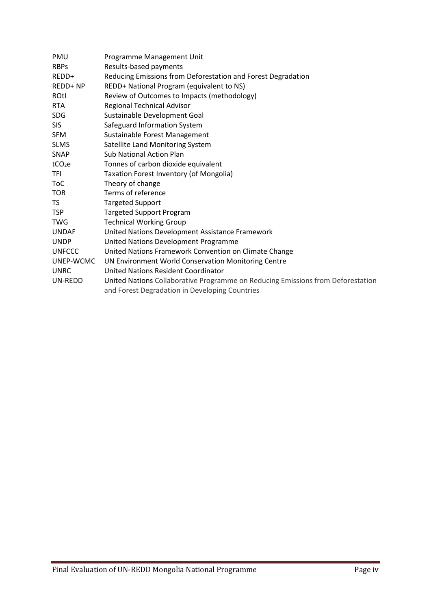| PMU                | Programme Management Unit                                                       |  |  |  |  |  |
|--------------------|---------------------------------------------------------------------------------|--|--|--|--|--|
| <b>RBPs</b>        | Results-based payments                                                          |  |  |  |  |  |
| REDD+              | Reducing Emissions from Deforestation and Forest Degradation                    |  |  |  |  |  |
| REDD+ NP           | REDD+ National Program (equivalent to NS)                                       |  |  |  |  |  |
| ROtl               | Review of Outcomes to Impacts (methodology)                                     |  |  |  |  |  |
| <b>RTA</b>         | Regional Technical Advisor                                                      |  |  |  |  |  |
| <b>SDG</b>         | Sustainable Development Goal                                                    |  |  |  |  |  |
| <b>SIS</b>         | Safeguard Information System                                                    |  |  |  |  |  |
| <b>SFM</b>         | Sustainable Forest Management                                                   |  |  |  |  |  |
| <b>SLMS</b>        | Satellite Land Monitoring System                                                |  |  |  |  |  |
| SNAP               | <b>Sub National Action Plan</b>                                                 |  |  |  |  |  |
| tCO <sub>2</sub> e | Tonnes of carbon dioxide equivalent                                             |  |  |  |  |  |
| TFI                | Taxation Forest Inventory (of Mongolia)                                         |  |  |  |  |  |
| <b>ToC</b>         | Theory of change                                                                |  |  |  |  |  |
| <b>TOR</b>         | Terms of reference                                                              |  |  |  |  |  |
| TS.                | <b>Targeted Support</b>                                                         |  |  |  |  |  |
| <b>TSP</b>         | <b>Targeted Support Program</b>                                                 |  |  |  |  |  |
| <b>TWG</b>         | <b>Technical Working Group</b>                                                  |  |  |  |  |  |
| <b>UNDAF</b>       | United Nations Development Assistance Framework                                 |  |  |  |  |  |
| <b>UNDP</b>        | United Nations Development Programme                                            |  |  |  |  |  |
| <b>UNFCCC</b>      | United Nations Framework Convention on Climate Change                           |  |  |  |  |  |
| UNEP-WCMC          | UN Environment World Conservation Monitoring Centre                             |  |  |  |  |  |
| <b>UNRC</b>        | United Nations Resident Coordinator                                             |  |  |  |  |  |
| UN-REDD            | United Nations Collaborative Programme on Reducing Emissions from Deforestation |  |  |  |  |  |
|                    | and Forest Degradation in Developing Countries                                  |  |  |  |  |  |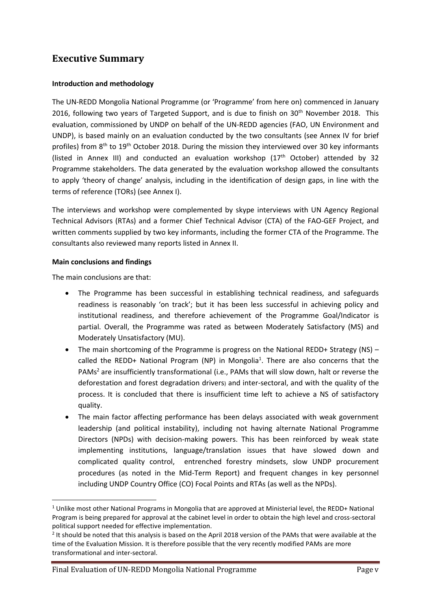## <span id="page-5-0"></span>**Executive Summary**

#### **Introduction and methodology**

The UN-REDD Mongolia National Programme (or 'Programme' from here on) commenced in January 2016, following two years of Targeted Support, and is due to finish on 30<sup>th</sup> November 2018. This evaluation, commissioned by UNDP on behalf of the UN-REDD agencies (FAO, UN Environment and UNDP), is based mainly on an evaluation conducted by the two consultants (see Annex IV for brief profiles) from 8<sup>th</sup> to 19<sup>th</sup> October 2018. During the mission they interviewed over 30 key informants (listed in Annex III) and conducted an evaluation workshop  $(17<sup>th</sup> October)$  attended by 32 Programme stakeholders. The data generated by the evaluation workshop allowed the consultants to apply 'theory of change' analysis, including in the identification of design gaps, in line with the terms of reference (TORs) (see Annex I).

The interviews and workshop were complemented by skype interviews with UN Agency Regional Technical Advisors (RTAs) and a former Chief Technical Advisor (CTA) of the FAO-GEF Project, and written comments supplied by two key informants, including the former CTA of the Programme. The consultants also reviewed many reports listed in Annex II.

#### **Main conclusions and findings**

The main conclusions are that:

- The Programme has been successful in establishing technical readiness, and safeguards readiness is reasonably 'on track'; but it has been less successful in achieving policy and institutional readiness, and therefore achievement of the Programme Goal/Indicator is partial. Overall, the Programme was rated as between Moderately Satisfactory (MS) and Moderately Unsatisfactory (MU).
- The main shortcoming of the Programme is progress on the National REDD+ Strategy (NS) called the REDD+ National Program (NP) in Mongolia<sup>1</sup>. There are also concerns that the PAMs<sup>2</sup> are insufficiently transformational (i.e., PAMs that will slow down, halt or reverse the deforestation and forest degradation drivers) and inter-sectoral, and with the quality of the process. It is concluded that there is insufficient time left to achieve a NS of satisfactory quality.
- The main factor affecting performance has been delays associated with weak government leadership (and political instability), including not having alternate National Programme Directors (NPDs) with decision-making powers. This has been reinforced by weak state implementing institutions, language/translation issues that have slowed down and complicated quality control, entrenched forestry mindsets, slow UNDP procurement procedures (as noted in the Mid-Term Report) and frequent changes in key personnel including UNDP Country Office (CO) Focal Points and RTAs (as well as the NPDs).

 $1$  Unlike most other National Programs in Mongolia that are approved at Ministerial level, the REDD+ National Program is being prepared for approval at the cabinet level in order to obtain the high level and cross-sectoral political support needed for effective implementation.

 $2$  It should be noted that this analysis is based on the April 2018 version of the PAMs that were available at the time of the Evaluation Mission. It is therefore possible that the very recently modified PAMs are more transformational and inter-sectoral.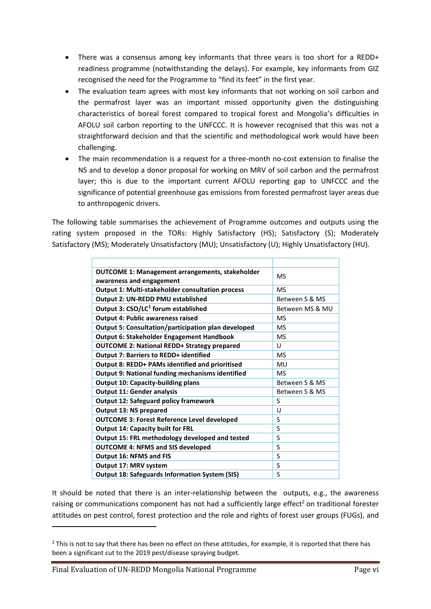- There was a consensus among key informants that three years is too short for a REDD+ readiness programme (notwithstanding the delays). For example, key informants from GIZ recognised the need for the Programme to "find its feet" in the first year.
- The evaluation team agrees with most key informants that not working on soil carbon and the permafrost layer was an important missed opportunity given the distinguishing characteristics of boreal forest compared to tropical forest and Mongolia's difficulties in AFOLU soil carbon reporting to the UNFCCC. It is however recognised that this was not a straightforward decision and that the scientific and methodological work would have been challenging.
- The main recommendation is a request for a three-month no-cost extension to finalise the NS and to develop a donor proposal for working on MRV of soil carbon and the permafrost layer; this is due to the important current AFOLU reporting gap to UNFCCC and the significance of potential greenhouse gas emissions from forested permafrost layer areas due to anthropogenic drivers.

The following table summarises the achievement of Programme outcomes and outputs using the rating system proposed in the TORs: Highly Satisfactory (HS); Satisfactory (S); Moderately Satisfactory (MS); Moderately Unsatisfactory (MU); Unsatisfactory (U); Highly Unsatisfactory (HU).

| <b>OUTCOME 1: Management arrangements, stakeholder</b>  | <b>MS</b>       |
|---------------------------------------------------------|-----------------|
| awareness and engagement                                |                 |
| <b>Output 1: Multi-stakeholder consultation process</b> | <b>MS</b>       |
| Output 2: UN-REDD PMU established                       | Between S & MS  |
| Output 3: CSO/LC <sup>1</sup> forum established         | Between MS & MU |
| <b>Output 4: Public awareness raised</b>                | <b>MS</b>       |
| Output 5: Consultation/participation plan developed     | <b>MS</b>       |
| Output 6: Stakeholder Engagement Handbook               | <b>MS</b>       |
| <b>OUTCOME 2: National REDD+ Strategy prepared</b>      | U               |
| <b>Output 7: Barriers to REDD+ identified</b>           | <b>MS</b>       |
| Output 8: REDD+ PAMs identified and prioritised         | MU              |
| <b>Output 9: National funding mechanisms identified</b> | <b>MS</b>       |
| <b>Output 10: Capacity-building plans</b>               | Between S & MS  |
| <b>Output 11: Gender analysis</b>                       | Between S & MS  |
| <b>Output 12: Safeguard policy framework</b>            | S               |
| <b>Output 13: NS prepared</b>                           | U               |
| <b>OUTCOME 3: Forest Reference Level developed</b>      | S               |
| <b>Output 14: Capacity built for FRL</b>                | S               |
| Output 15: FRL methodology developed and tested         | S               |
| <b>OUTCOME 4: NFMS and SIS developed</b>                | S               |
| <b>Output 16: NFMS and FIS</b>                          | S               |
| Output 17: MRV system                                   | S               |
| <b>Output 18: Safeguards Information System (SIS)</b>   | S               |
|                                                         |                 |

It should be noted that there is an inter-relationship between the outputs, e.g., the awareness raising or communications component has not had a sufficiently large effect<sup>2</sup> on traditional forester attitudes on pest control, forest protection and the role and rights of forest user groups (FUGs), and

Final Evaluation of UN-REDD Mongolia National Programme Page vi

 $2$  This is not to say that there has been no effect on these attitudes, for example, it is reported that there has been a significant cut to the 2019 pest/disease spraying budget.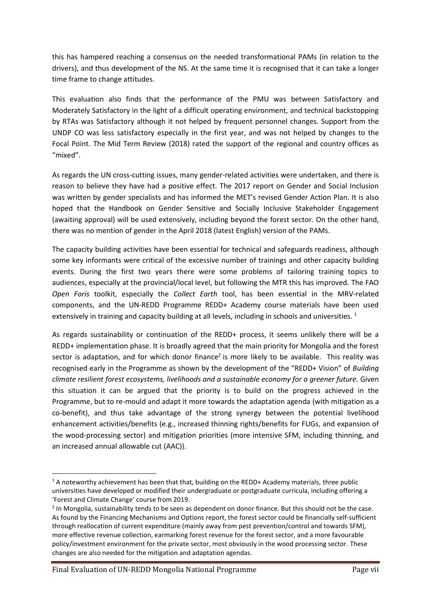this has hampered reaching a consensus on the needed transformational PAMs (in relation to the drivers), and thus development of the NS. At the same time it is recognised that it can take a longer time frame to change attitudes.

This evaluation also finds that the performance of the PMU was between Satisfactory and Moderately Satisfactory in the light of a difficult operating environment, and technical backstopping by RTAs was Satisfactory although it not helped by frequent personnel changes. Support from the UNDP CO was less satisfactory especially in the first year, and was not helped by changes to the Focal Point. The Mid Term Review (2018) rated the support of the regional and country offices as "mixed".

As regards the UN cross-cutting issues, many gender-related activities were undertaken, and there is reason to believe they have had a positive effect. The 2017 report on Gender and Social Inclusion was written by gender specialists and has informed the MET's revised Gender Action Plan. It is also hoped that the Handbook on Gender Sensitive and Socially Inclusive Stakeholder Engagement (awaiting approval) will be used extensively, including beyond the forest sector. On the other hand, there was no mention of gender in the April 2018 (latest English) version of the PAMs.

The capacity building activities have been essential for technical and safeguards readiness, although some key informants were critical of the excessive number of trainings and other capacity building events. During the first two years there were some problems of tailoring training topics to audiences, especially at the provincial/local level, but following the MTR this has improved. The FAO *Open Foris* toolkit, especially the *Collect Earth* tool, has been essential in the MRV-related components, and the UN-REDD Programme REDD+ Academy course materials have been used extensively in training and capacity building at all levels, including in schools and universities.  $1$ 

As regards sustainability or continuation of the REDD+ process, it seems unlikely there will be a REDD+ implementation phase. It is broadly agreed that the main priority for Mongolia and the forest sector is adaptation, and for which donor finance<sup>2</sup> is more likely to be available. This reality was recognised early in the Programme as shown by the development of the "REDD+ Vision" of *Building climate resilient forest ecosystems, livelihoods and a sustainable economy for a greener future.* Given this situation it can be argued that the priority is to build on the progress achieved in the Programme, but to re-mould and adapt it more towards the adaptation agenda (with mitigation as a co-benefit), and thus take advantage of the strong synergy between the potential livelihood enhancement activities/benefits (e.g., increased thinning rights/benefits for FUGs, and expansion of the wood-processing sector) and mitigation priorities (more intensive SFM, including thinning, and an increased annual allowable cut (AAC)).

Final Evaluation of UN-REDD Mongolia National Programme Page vii

 $1$  A noteworthy achievement has been that that, building on the REDD+ Academy materials, three public universities have developed or modified their undergraduate or postgraduate curricula, including offering a 'Forest and Climate Change' course from 2019.

<sup>&</sup>lt;sup>2</sup> In Mongolia, sustainability tends to be seen as dependent on donor finance. But this should not be the case. As found by the Financing Mechanisms and Options report, the forest sector could be financially self-sufficient through reallocation of current expenditure (mainly away from pest prevention/control and towards SFM), more effective revenue collection, earmarking forest revenue for the forest sector, and a more favourable policy/investment environment for the private sector, most obviously in the wood processing sector. These changes are also needed for the mitigation and adaptation agendas.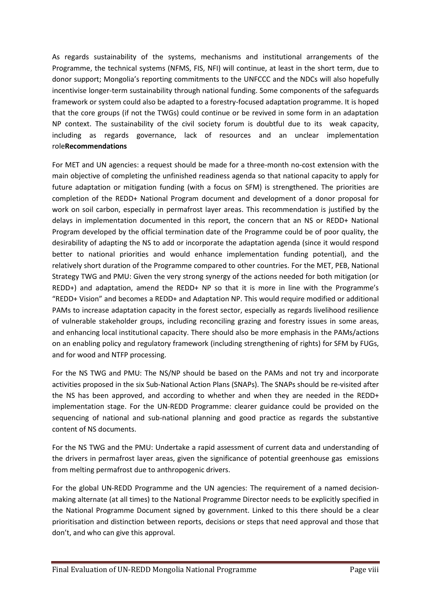As regards sustainability of the systems, mechanisms and institutional arrangements of the Programme, the technical systems (NFMS, FIS, NFI) will continue, at least in the short term, due to donor support; Mongolia's reporting commitments to the UNFCCC and the NDCs will also hopefully incentivise longer-term sustainability through national funding. Some components of the safeguards framework or system could also be adapted to a forestry-focused adaptation programme. It is hoped that the core groups (if not the TWGs) could continue or be revived in some form in an adaptation NP context. The sustainability of the civil society forum is doubtful due to its weak capacity, including as regards governance, lack of resources and an unclear implementation role**Recommendations**

For MET and UN agencies: a request should be made for a three-month no-cost extension with the main objective of completing the unfinished readiness agenda so that national capacity to apply for future adaptation or mitigation funding (with a focus on SFM) is strengthened. The priorities are completion of the REDD+ National Program document and development of a donor proposal for work on soil carbon, especially in permafrost layer areas. This recommendation is justified by the delays in implementation documented in this report, the concern that an NS or REDD+ National Program developed by the official termination date of the Programme could be of poor quality, the desirability of adapting the NS to add or incorporate the adaptation agenda (since it would respond better to national priorities and would enhance implementation funding potential), and the relatively short duration of the Programme compared to other countries. For the MET, PEB, National Strategy TWG and PMU: Given the very strong synergy of the actions needed for both mitigation (or REDD+) and adaptation, amend the REDD+ NP so that it is more in line with the Programme's "REDD+ Vision" and becomes a REDD+ and Adaptation NP. This would require modified or additional PAMs to increase adaptation capacity in the forest sector, especially as regards livelihood resilience of vulnerable stakeholder groups, including reconciling grazing and forestry issues in some areas, and enhancing local institutional capacity. There should also be more emphasis in the PAMs/actions on an enabling policy and regulatory framework (including strengthening of rights) for SFM by FUGs, and for wood and NTFP processing.

For the NS TWG and PMU: The NS/NP should be based on the PAMs and not try and incorporate activities proposed in the six Sub-National Action Plans (SNAPs). The SNAPs should be re-visited after the NS has been approved, and according to whether and when they are needed in the REDD+ implementation stage. For the UN-REDD Programme: clearer guidance could be provided on the sequencing of national and sub-national planning and good practice as regards the substantive content of NS documents.

For the NS TWG and the PMU: Undertake a rapid assessment of current data and understanding of the drivers in permafrost layer areas, given the significance of potential greenhouse gas emissions from melting permafrost due to anthropogenic drivers.

For the global UN-REDD Programme and the UN agencies: The requirement of a named decisionmaking alternate (at all times) to the National Programme Director needs to be explicitly specified in the National Programme Document signed by government. Linked to this there should be a clear prioritisation and distinction between reports, decisions or steps that need approval and those that don't, and who can give this approval.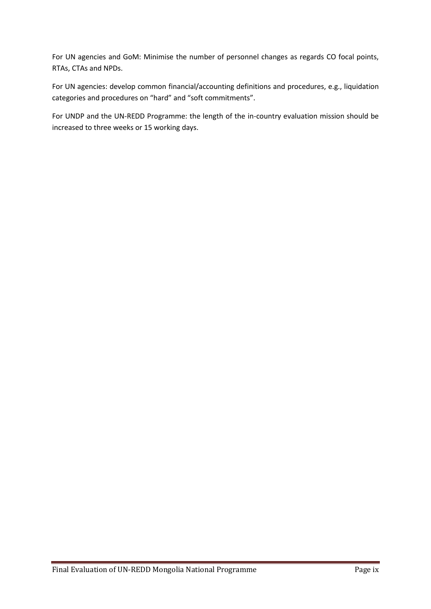For UN agencies and GoM: Minimise the number of personnel changes as regards CO focal points, RTAs, CTAs and NPDs.

For UN agencies: develop common financial/accounting definitions and procedures, e.g., liquidation categories and procedures on "hard" and "soft commitments".

For UNDP and the UN-REDD Programme: the length of the in-country evaluation mission should be increased to three weeks or 15 working days.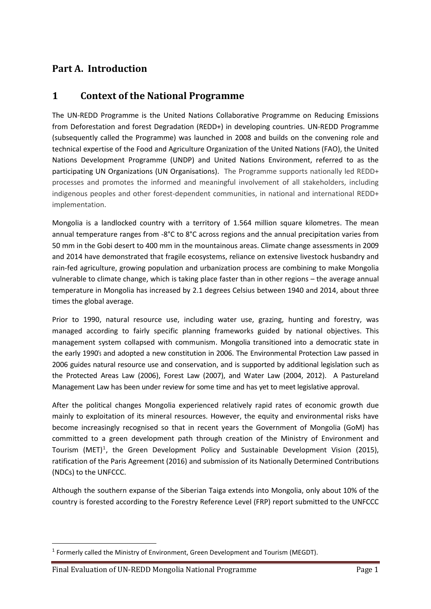## <span id="page-10-0"></span>**Part A. Introduction**

## <span id="page-10-1"></span>**1 Context of the National Programme**

The UN-REDD Programme is the United Nations Collaborative Programme on Reducing Emissions from Deforestation and forest Degradation (REDD+) in developing countries. UN-REDD Programme (subsequently called the Programme) was launched in 2008 and builds on the convening role and technical expertise of the Food and Agriculture Organization of the United Nations (FAO), the United Nations Development Programme (UNDP) and United Nations Environment, referred to as the participating UN Organizations (UN Organisations). The Programme supports nationally led REDD+ processes and promotes the informed and meaningful involvement of all stakeholders, including indigenous peoples and other forest-dependent communities, in national and international REDD+ implementation.

Mongolia is a landlocked country with a territory of 1.564 million square kilometres. The mean annual temperature ranges from -8°C to 8°C across regions and the annual precipitation varies from 50 mm in the Gobi desert to 400 mm in the mountainous areas. Climate change assessments in 2009 and 2014 have demonstrated that fragile ecosystems, reliance on extensive livestock husbandry and rain-fed agriculture, growing population and urbanization process are combining to make Mongolia vulnerable to climate change, which is taking place faster than in other regions – the average annual temperature in Mongolia has increased by [2.1 degrees](http://www4.unfccc.int/submissions/INDC/Published%20Documents/Mongolia/1/150924_INDCs%20of%20Mongolia.pdf) Celsius between 1940 and 2014, about three times the global average.

Prior to 1990, natural resource use, including water use, grazing, hunting and forestry, was managed according to fairly specific planning frameworks guided by national objectives. This management system collapsed with communism. Mongolia transitioned into a democratic state in the early 1990's and adopted a new constitution in 2006. The Environmental Protection Law passed in 2006 guides natural resource use and conservation, and is supported by additional legislation such as the Protected Areas Law (2006), Forest Law (2007), and Water Law (2004, 2012). A Pastureland Management Law has been under review for some time and has yet to meet legislative approval.

After the political changes Mongolia experienced relatively rapid rates of economic growth due mainly to exploitation of its mineral resources. However, the equity and environmental risks have become increasingly recognised so that in recent years the Government of Mongolia (GoM) has committed to a green development path through creation of the Ministry of Environment and Tourism (MET)<sup>1</sup>, the Green Development Policy and Sustainable Development Vision (2015), ratification of the Paris Agreement (2016) and submission of its Nationally Determined Contributions (NDCs) to the UNFCCC.

Although the southern expanse of the Siberian Taiga extends into Mongolia, only about 10% of the country is forested according to the Forestry Reference Level (FRP) report submitted to the UNFCCC

 $<sup>1</sup>$  Formerly called the Ministry of Environment, Green Development and Tourism (MEGDT).</sup>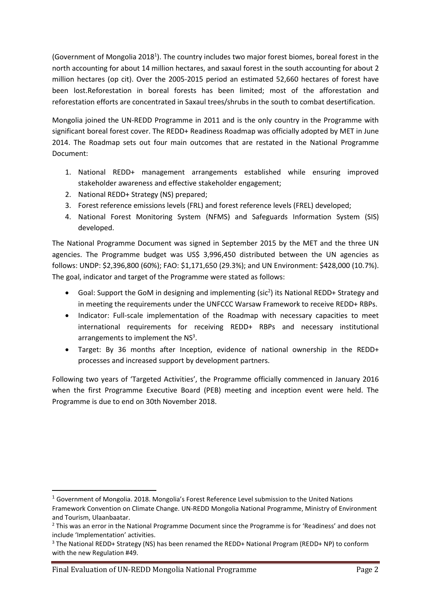(Government of Mongolia 2018<sup>1</sup>). The country includes two major forest biomes, boreal forest in the north accounting for about 14 million hectares, and saxaul forest in the south accounting for about 2 million hectares (op cit). Over the 2005-2015 period an estimated 52,660 hectares of forest have been lost.Reforestation in boreal forests has been limited; most of the afforestation and reforestation efforts are concentrated in Saxaul trees/shrubs in the south to combat desertification.

Mongolia joined the UN-REDD Programme in 2011 and is the only country in the Programme with significant boreal forest cover. The REDD+ Readiness Roadmap was officially adopted by MET in June 2014. The Roadmap sets out four main outcomes that are restated in the National Programme Document:

- 1. National REDD+ management arrangements established while ensuring improved stakeholder awareness and effective stakeholder engagement;
- 2. National REDD+ Strategy (NS) prepared;
- 3. Forest reference emissions levels (FRL) and forest reference levels (FREL) developed;
- 4. National Forest Monitoring System (NFMS) and Safeguards Information System (SIS) developed.

The National Programme Document was signed in September 2015 by the MET and the three UN agencies. The Programme budget was US\$ 3,996,450 distributed between the UN agencies as follows: UNDP: \$2,396,800 (60%); FAO: \$1,171,650 (29.3%); and UN Environment: \$428,000 (10.7%). The goal, indicator and target of the Programme were stated as follows:

- Goal: Support the GoM in designing and implementing (sic<sup>2</sup>) its National REDD+ Strategy and in meeting the requirements under the UNFCCC Warsaw Framework to receive REDD+ RBPs.
- Indicator: Full-scale implementation of the Roadmap with necessary capacities to meet international requirements for receiving REDD+ RBPs and necessary institutional arrangements to implement the  $NS<sup>3</sup>$ .
- Target: By 36 months after Inception, evidence of national ownership in the REDD+ processes and increased support by development partners.

Following two years of 'Targeted Activities', the Programme officially commenced in January 2016 when the first Programme Executive Board (PEB) meeting and inception event were held. The Programme is due to end on 30th November 2018.

 $1$  Government of Mongolia. 2018. Mongolia's Forest Reference Level submission to the United Nations Framework Convention on Climate Change. UN-REDD Mongolia National Programme, Ministry of Environment and Tourism, Ulaanbaatar.

<sup>&</sup>lt;sup>2</sup> This was an error in the National Programme Document since the Programme is for 'Readiness' and does not include 'Implementation' activities.

<sup>3</sup> The National REDD+ Strategy (NS) has been renamed the REDD+ National Program (REDD+ NP) to conform with the new Regulation #49.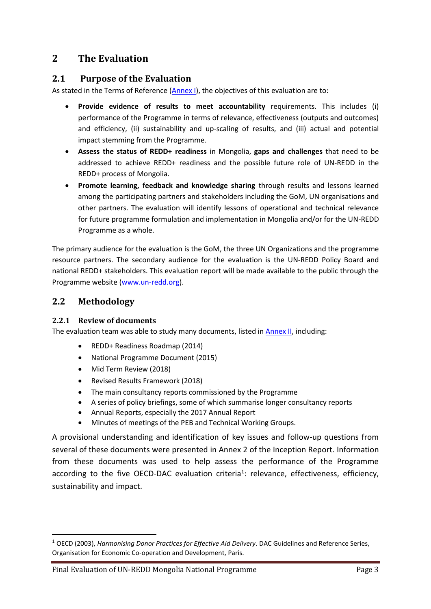## <span id="page-12-0"></span>**2 The Evaluation**

#### <span id="page-12-1"></span>**2.1 Purpose of the Evaluation**

As stated in the Terms of Reference [\(Annex I\)](#page-56-0), the objectives of this evaluation are to:

- **Provide evidence of results to meet accountability** requirements. This includes (i) performance of the Programme in terms of relevance, effectiveness (outputs and outcomes) and efficiency, (ii) sustainability and up-scaling of results, and (iii) actual and potential impact stemming from the Programme.
- **Assess the status of REDD+ readiness** in Mongolia, **gaps and challenges** that need to be addressed to achieve REDD+ readiness and the possible future role of UN-REDD in the REDD+ process of Mongolia.
- **Promote learning, feedback and knowledge sharing** through results and lessons learned among the participating partners and stakeholders including the GoM, UN organisations and other partners. The evaluation will identify lessons of operational and technical relevance for future programme formulation and implementation in Mongolia and/or for the UN-REDD Programme as a whole.

The primary audience for the evaluation is the GoM, the three UN Organizations and the programme resource partners. The secondary audience for the evaluation is the UN-REDD Policy Board and national REDD+ stakeholders. This evaluation report will be made available to the public through the Programme website [\(www.un-redd.org\)](http://www.un-redd.org/).

## <span id="page-12-2"></span>**2.2 Methodology**

#### <span id="page-12-3"></span>**2.2.1 Review of documents**

The evaluation team was able to study many documents, listed in **Annex II**, including:

- REDD+ Readiness Roadmap (2014)
- National Programme Document (2015)
- Mid Term Review (2018)
- Revised Results Framework (2018)
- The main consultancy reports commissioned by the Programme
- A series of policy briefings, some of which summarise longer consultancy reports
- Annual Reports, especially the 2017 Annual Report
- Minutes of meetings of the PEB and Technical Working Groups.

A provisional understanding and identification of key issues and follow-up questions from several of these documents were presented in Annex 2 of the Inception Report. Information from these documents was used to help assess the performance of the Programme according to the five OECD-DAC evaluation criteria<sup>1</sup>: relevance, effectiveness, efficiency, sustainability and impact.

<sup>1</sup> OECD (2003), *Harmonising Donor Practices for Effective Aid Delivery*. DAC Guidelines and Reference Series, Organisation for Economic Co-operation and Development, Paris.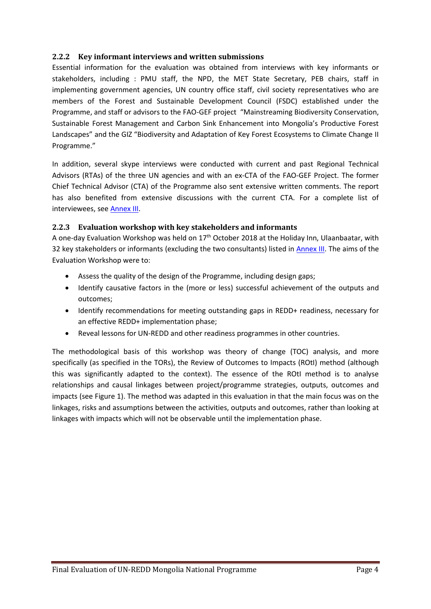#### <span id="page-13-0"></span>**2.2.2 Key informant interviews and written submissions**

Essential information for the evaluation was obtained from interviews with key informants or stakeholders, including : PMU staff, the NPD, the MET State Secretary, PEB chairs, staff in implementing government agencies, UN country office staff, civil society representatives who are members of the Forest and Sustainable Development Council (FSDC) established under the Programme, and staff or advisors to the FAO-GEF project "Mainstreaming Biodiversity Conservation, Sustainable Forest Management and Carbon Sink Enhancement into Mongolia's Productive Forest Landscapes" and the GIZ "Biodiversity and Adaptation of Key Forest Ecosystems to Climate Change II Programme."

In addition, several skype interviews were conducted with current and past Regional Technical Advisors (RTAs) of the three UN agencies and with an ex-CTA of the FAO-GEF Project. The former Chief Technical Advisor (CTA) of the Programme also sent extensive written comments. The report has also benefited from extensive discussions with the current CTA. For a complete list of interviewees, see [Annex III.](#page-61-0)

#### <span id="page-13-1"></span>**2.2.3 Evaluation workshop with key stakeholders and informants**

A one-day Evaluation Workshop was held on  $17<sup>th</sup>$  October 2018 at the Holiday Inn, Ulaanbaatar, with 32 key stakeholders or informants (excluding the two consultants) listed in [Annex III.](#page-61-0) The aims of the Evaluation Workshop were to:

- Assess the quality of the design of the Programme, including design gaps;
- Identify causative factors in the (more or less) successful achievement of the outputs and outcomes;
- Identify recommendations for meeting outstanding gaps in REDD+ readiness, necessary for an effective REDD+ implementation phase;
- Reveal lessons for UN-REDD and other readiness programmes in other countries.

The methodological basis of this workshop was theory of change (TOC) analysis, and more specifically (as specified in the TORs), the Review of Outcomes to Impacts (ROtI) method (although this was significantly adapted to the context). The essence of the ROtI method is to analyse relationships and causal linkages between project/programme strategies, outputs, outcomes and impacts (see Figure 1). The method was adapted in this evaluation in that the main focus was on the linkages, risks and assumptions between the activities, outputs and outcomes, rather than looking at linkages with impacts which will not be observable until the implementation phase.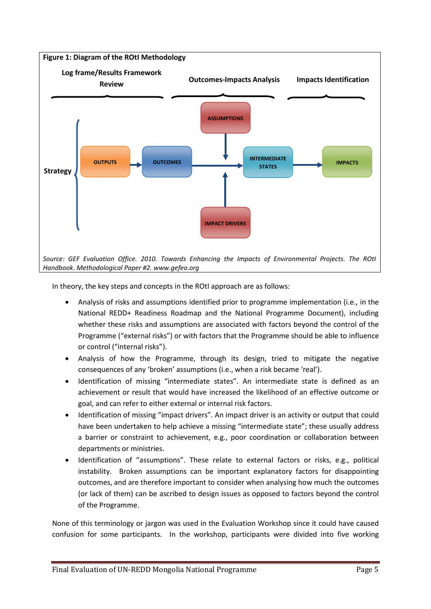

In theory, the key steps and concepts in the ROtI approach are as follows:

- Analysis of risks and assumptions identified prior to programme implementation (i.e., in the National REDD+ Readiness Roadmap and the National Programme Document), including whether these risks and assumptions are associated with factors beyond the control of the Programme ("external risks") or with factors that the Programme should be able to influence or control ("internal risks").
- Analysis of how the Programme, through its design, tried to mitigate the negative consequences of any 'broken' assumptions (i.e., when a risk became 'real').
- Identification of missing "intermediate states". An intermediate state is defined as an achievement or result that would have increased the likelihood of an effective outcome or goal, and can refer to either external or internal risk factors.
- Identification of missing "impact drivers". An impact driver is an activity or output that could have been undertaken to help achieve a missing "intermediate state"; these usually address a barrier or constraint to achievement, e.g., poor coordination or collaboration between departments or ministries.
- Identification of "assumptions". These relate to external factors or risks, e.g., political instability. Broken assumptions can be important explanatory factors for disappointing outcomes, and are therefore important to consider when analysing how much the outcomes (or lack of them) can be ascribed to design issues as opposed to factors beyond the control of the Programme.

None of this terminology or jargon was used in the Evaluation Workshop since it could have caused confusion for some participants. In the workshop, participants were divided into five working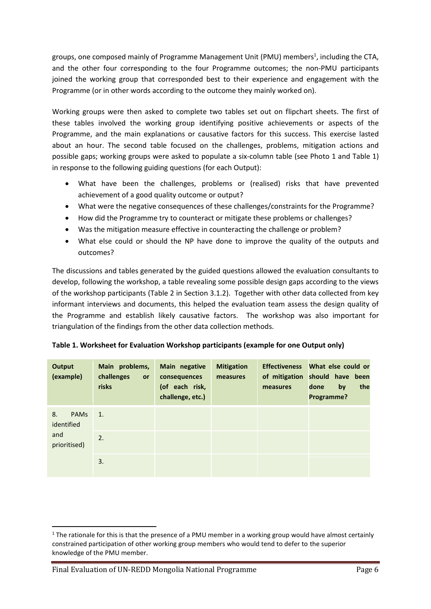groups, one composed mainly of Programme Management Unit (PMU) members<sup>1</sup>, including the CTA, and the other four corresponding to the four Programme outcomes; the non-PMU participants joined the working group that corresponded best to their experience and engagement with the Programme (or in other words according to the outcome they mainly worked on).

Working groups were then asked to complete two tables set out on flipchart sheets. The first of these tables involved the working group identifying positive achievements or aspects of the Programme, and the main explanations or causative factors for this success. This exercise lasted about an hour. The second table focused on the challenges, problems, mitigation actions and possible gaps; working groups were asked to populate a six-column table (see Photo 1 and Table 1) in response to the following guiding questions (for each Output):

- What have been the challenges, problems or (realised) risks that have prevented achievement of a good quality outcome or output?
- What were the negative consequences of these challenges/constraints for the Programme?
- How did the Programme try to counteract or mitigate these problems or challenges?
- Was the mitigation measure effective in counteracting the challenge or problem?
- What else could or should the NP have done to improve the quality of the outputs and outcomes?

The discussions and tables generated by the guided questions allowed the evaluation consultants to develop, following the workshop, a table revealing some possible design gaps according to the views of the workshop participants (Table 2 in Section 3.1.2). Together with other data collected from key informant interviews and documents, this helped the evaluation team assess the design quality of the Programme and establish likely causative factors. The workshop was also important for triangulation of the findings from the other data collection methods.

| Output<br>(example)             | Main problems,<br>challenges<br>or<br>risks | Main negative<br>consequences<br>(of each risk,<br>challenge, etc.) | <b>Mitigation</b><br>measures | <b>Effectiveness</b><br>of mitigation<br>measures | What else could or<br>should have been<br>done<br>by<br>Programme? | the |
|---------------------------------|---------------------------------------------|---------------------------------------------------------------------|-------------------------------|---------------------------------------------------|--------------------------------------------------------------------|-----|
| 8.<br><b>PAMs</b><br>identified | $\overline{1}$ .                            |                                                                     |                               |                                                   |                                                                    |     |
| and<br>prioritised)             | 2.                                          |                                                                     |                               |                                                   |                                                                    |     |
|                                 | 3.                                          |                                                                     |                               |                                                   |                                                                    |     |

 $1$  The rationale for this is that the presence of a PMU member in a working group would have almost certainly constrained participation of other working group members who would tend to defer to the superior knowledge of the PMU member.

Final Evaluation of UN-REDD Mongolia National Programme Page 6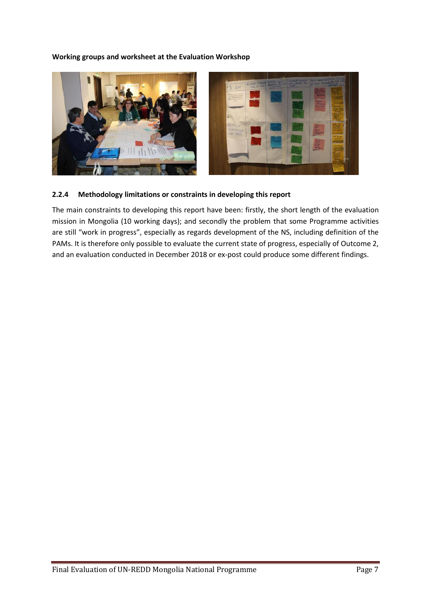#### **Working groups and worksheet at the Evaluation Workshop**



#### **2.2.4 Methodology limitations or constraints in developing this report**

The main constraints to developing this report have been: firstly, the short length of the evaluation mission in Mongolia (10 working days); and secondly the problem that some Programme activities are still "work in progress", especially as regards development of the NS, including definition of the PAMs. It is therefore only possible to evaluate the current state of progress, especially of Outcome 2, and an evaluation conducted in December 2018 or ex-post could produce some different findings.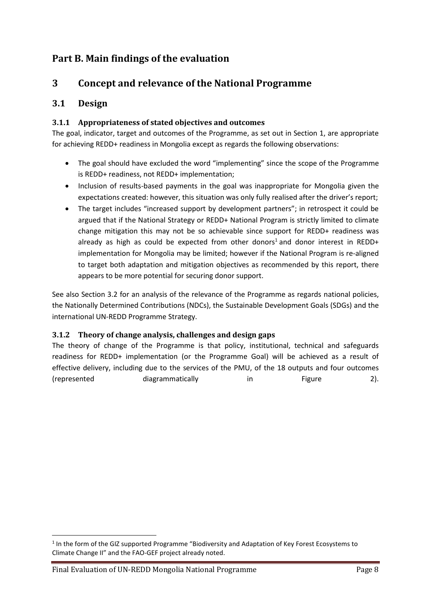## <span id="page-17-0"></span>**Part B. Main findings of the evaluation**

## <span id="page-17-1"></span>**3 Concept and relevance of the National Programme**

## <span id="page-17-2"></span>**3.1 Design**

#### <span id="page-17-3"></span>**3.1.1 Appropriateness of stated objectives and outcomes**

The goal, indicator, target and outcomes of the Programme, as set out in Section 1, are appropriate for achieving REDD+ readiness in Mongolia except as regards the following observations:

- The goal should have excluded the word "implementing" since the scope of the Programme is REDD+ readiness, not REDD+ implementation;
- Inclusion of results-based payments in the goal was inappropriate for Mongolia given the expectations created: however, this situation was only fully realised after the driver's report;
- The target includes "increased support by development partners"; in retrospect it could be argued that if the National Strategy or REDD+ National Program is strictly limited to climate change mitigation this may not be so achievable since support for REDD+ readiness was already as high as could be expected from other donors<sup>1</sup> and donor interest in REDD+ implementation for Mongolia may be limited; however if the National Program is re-aligned to target both adaptation and mitigation objectives as recommended by this report, there appears to be more potential for securing donor support.

See also Section 3.2 for an analysis of the relevance of the Programme as regards national policies, the Nationally Determined Contributions (NDCs), the Sustainable Development Goals (SDGs) and the international UN-REDD Programme Strategy.

#### <span id="page-17-4"></span>**3.1.2 Theory of change analysis, challenges and design gaps**

The theory of change of the Programme is that policy, institutional, technical and safeguards readiness for REDD+ implementation (or the Programme Goal) will be achieved as a result of effective delivery, including due to the services of the PMU, of the 18 outputs and four outcomes (represented diagrammatically in Figure 2).

<sup>&</sup>lt;sup>1</sup> In the form of the GIZ supported Programme "Biodiversity and Adaptation of Key Forest Ecosystems to Climate Change II" and the FAO-GEF project already noted.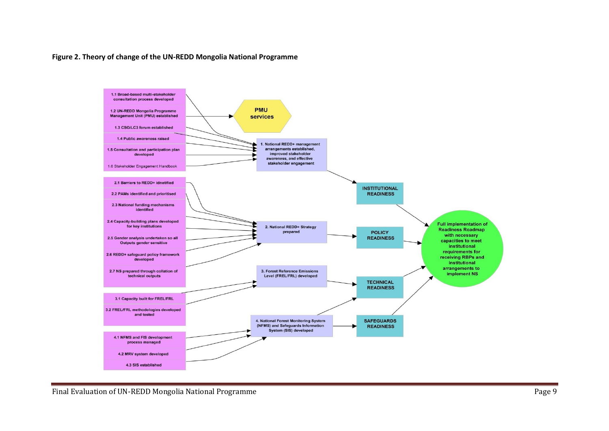#### **Figure 2. Theory of change of the UN-REDD Mongolia National Programme**



Final Evaluation of UN-REDD Mongolia National Programme **Page 9**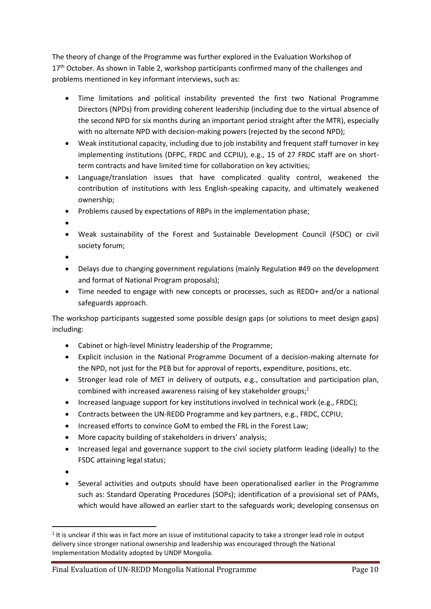The theory of change of the Programme was further explored in the Evaluation Workshop of 17<sup>th</sup> October. As shown in Table 2, workshop participants confirmed many of the challenges and problems mentioned in key informant interviews, such as:

- Time limitations and political instability prevented the first two National Programme Directors (NPDs) from providing coherent leadership (including due to the virtual absence of the second NPD for six months during an important period straight after the MTR), especially with no alternate NPD with decision-making powers (rejected by the second NPD);
- Weak institutional capacity, including due to job instability and frequent staff turnover in key implementing institutions (DFPC, FRDC and CCPIU), e.g., 15 of 27 FRDC staff are on shortterm contracts and have limited time for collaboration on key activities;
- Language/translation issues that have complicated quality control, weakened the contribution of institutions with less English-speaking capacity, and ultimately weakened ownership;
- Problems caused by expectations of RBPs in the implementation phase;
- •
- Weak sustainability of the Forest and Sustainable Development Council (FSDC) or civil society forum;
- •
- Delays due to changing government regulations (mainly Regulation #49 on the development and format of National Program proposals);
- Time needed to engage with new concepts or processes, such as REDD+ and/or a national safeguards approach.

The workshop participants suggested some possible design gaps (or solutions to meet design gaps) including:

- Cabinet or high-level Ministry leadership of the Programme;
- Explicit inclusion in the National Programme Document of a decision-making alternate for the NPD, not just for the PEB but for approval of reports, expenditure, positions, etc.
- Stronger lead role of MET in delivery of outputs, e.g., consultation and participation plan, combined with increased awareness raising of key stakeholder groups; $1$
- Increased language support for key institutions involved in technical work (e.g., FRDC);
- Contracts between the UN-REDD Programme and key partners, e.g., FRDC, CCPIU;
- Increased efforts to convince GoM to embed the FRL in the Forest Law;
- More capacity building of stakeholders in drivers' analysis;
- Increased legal and governance support to the civil society platform leading (ideally) to the FSDC attaining legal status;
- •
- Several activities and outputs should have been operationalised earlier in the Programme such as: Standard Operating Procedures (SOPs); identification of a provisional set of PAMs, which would have allowed an earlier start to the safeguards work; developing consensus on

 $1$  It is unclear if this was in fact more an issue of institutional capacity to take a stronger lead role in output delivery since stronger national ownership and leadership was encouraged through the National Implementation Modality adopted by UNDP Mongolia.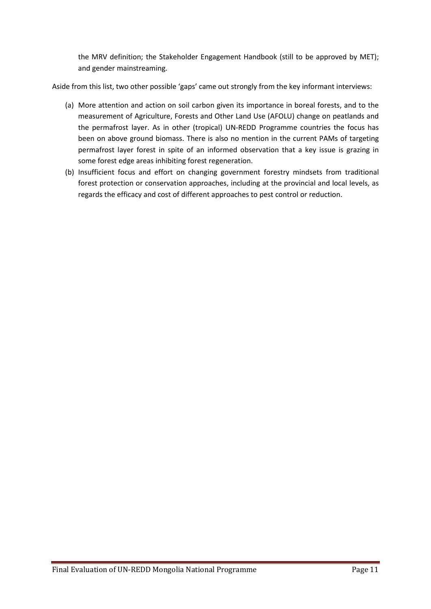the MRV definition; the Stakeholder Engagement Handbook (still to be approved by MET); and gender mainstreaming.

Aside from this list, two other possible 'gaps' came out strongly from the key informant interviews:

- (a) More attention and action on soil carbon given its importance in boreal forests, and to the measurement of Agriculture, Forests and Other Land Use (AFOLU) change on peatlands and the permafrost layer. As in other (tropical) UN-REDD Programme countries the focus has been on above ground biomass. There is also no mention in the current PAMs of targeting permafrost layer forest in spite of an informed observation that a key issue is grazing in some forest edge areas inhibiting forest regeneration.
- (b) Insufficient focus and effort on changing government forestry mindsets from traditional forest protection or conservation approaches, including at the provincial and local levels, as regards the efficacy and cost of different approaches to pest control or reduction.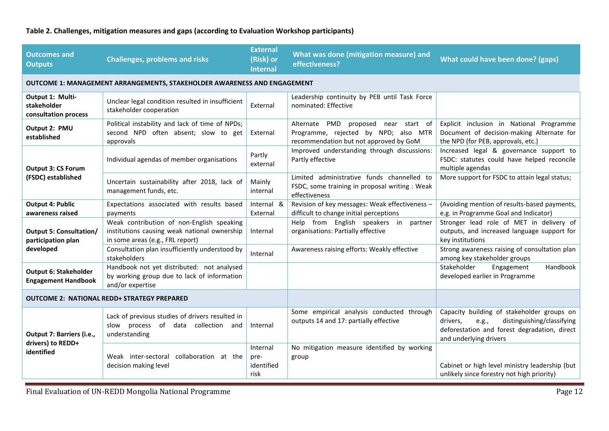## **Table 2. Challenges, mitigation measures and gaps (according to Evaluation Workshop participants)**

| <b>Challenges, problems and risks</b>                                                                                         | <b>External</b><br>(Risk) or<br><b>Internal</b> | What was done (mitigation measure) and<br>effectiveness?                                                                  | What could have been done? (gaps)                                                                                                                                       |  |  |  |  |
|-------------------------------------------------------------------------------------------------------------------------------|-------------------------------------------------|---------------------------------------------------------------------------------------------------------------------------|-------------------------------------------------------------------------------------------------------------------------------------------------------------------------|--|--|--|--|
| OUTCOME 1: MANAGEMENT ARRANGEMENTS, STAKEHOLDER AWARENESS AND ENGAGEMENT                                                      |                                                 |                                                                                                                           |                                                                                                                                                                         |  |  |  |  |
| Unclear legal condition resulted in insufficient<br>stakeholder cooperation                                                   | External                                        | Leadership continuity by PEB until Task Force<br>nominated: Effective                                                     |                                                                                                                                                                         |  |  |  |  |
| Political instability and lack of time of NPDs;<br>second NPD often absent; slow to get<br>approvals                          | External                                        | Alternate PMD proposed<br>near start of<br>Programme, rejected by NPD; also MTR<br>recommendation but not approved by GoM | Explicit inclusion in National Programme<br>Document of decision-making Alternate for<br>the NPD (for PEB, approvals, etc.)                                             |  |  |  |  |
| Individual agendas of member organisations                                                                                    | Partly<br>external                              | Improved understanding through discussions:<br>Partly effective                                                           | Increased legal & governance support to<br>FSDC: statutes could have helped reconcile<br>multiple agendas                                                               |  |  |  |  |
| Uncertain sustainability after 2018, lack of<br>management funds, etc.                                                        | Mainly<br>internal                              | Limited administrative funds channelled to<br>FSDC, some training in proposal writing : Weak<br>effectiveness             | More support for FSDC to attain legal status;                                                                                                                           |  |  |  |  |
| Expectations associated with results based<br>payments                                                                        | Internal &<br>External                          | Revision of key messages: Weak effectiveness -<br>difficult to change initial perceptions                                 | (Avoiding mention of results-based payments,<br>e.g. in Programme Goal and Indicator)                                                                                   |  |  |  |  |
| Weak contribution of non-English speaking<br>institutions causing weak national ownership<br>in some areas (e.g., FRL report) | Internal                                        | Help from English speakers in<br>partner<br>organisations: Partially effective                                            | Stronger lead role of MET in delivery of<br>outputs, and increased language support for<br>key institutions                                                             |  |  |  |  |
| Consultation plan insufficiently understood by<br>stakeholders                                                                | Internal                                        | Awareness raising efforts: Weakly effective                                                                               | Strong awareness raising of consultation plan<br>among key stakeholder groups                                                                                           |  |  |  |  |
| Handbook not yet distributed: not analysed<br>by working group due to lack of information<br>and/or expertise                 |                                                 |                                                                                                                           | Handbook<br>Stakeholder<br>Engagement<br>developed earlier in Programme                                                                                                 |  |  |  |  |
| <b>OUTCOME 2: NATIONAL REDD+ STRATEGY PREPARED</b>                                                                            |                                                 |                                                                                                                           |                                                                                                                                                                         |  |  |  |  |
| Lack of previous studies of drivers resulted in<br>slow process of data collection and<br>understanding                       | Internal                                        | Some empirical analysis conducted through<br>outputs 14 and 17: partially effective                                       | Capacity building of stakeholder groups on<br>distinguishing/classifying<br>drivers,<br>e.g.,<br>deforestation and forest degradation, direct<br>and underlying drivers |  |  |  |  |
| Weak inter-sectoral<br>collaboration at the<br>decision making level                                                          | Internal<br>pre-<br>identified<br>risk          | No mitigation measure identified by working<br>group                                                                      | Cabinet or high level ministry leadership (but<br>unlikely since forestry not high priority)                                                                            |  |  |  |  |
|                                                                                                                               |                                                 |                                                                                                                           |                                                                                                                                                                         |  |  |  |  |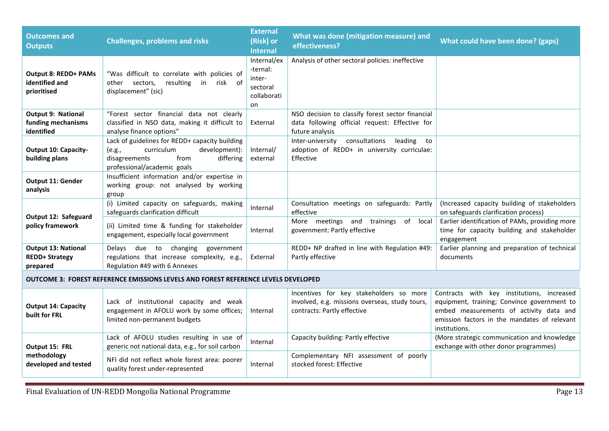| <b>Outcomes and</b><br><b>Outputs</b>                                                     | <b>Challenges, problems and risks</b>                                                                                                                        | <b>External</b><br>(Risk) or<br><b>Internal</b>                    | What was done (mitigation measure) and<br>effectiveness?                                                                 | What could have been done? (gaps)                                                                                                                                                                     |  |  |  |
|-------------------------------------------------------------------------------------------|--------------------------------------------------------------------------------------------------------------------------------------------------------------|--------------------------------------------------------------------|--------------------------------------------------------------------------------------------------------------------------|-------------------------------------------------------------------------------------------------------------------------------------------------------------------------------------------------------|--|--|--|
| <b>Output 8: REDD+ PAMs</b><br>identified and<br>prioritised                              | "Was difficult to correlate with policies of<br>resulting<br>risk of<br>other sectors,<br>in<br>displacement" (sic)                                          | Internal/ex<br>-ternal:<br>inter-<br>sectoral<br>collaborati<br>on | Analysis of other sectoral policies: ineffective                                                                         |                                                                                                                                                                                                       |  |  |  |
| Output 9: National                                                                        | "Forest sector financial data not clearly                                                                                                                    |                                                                    | NSO decision to classify forest sector financial                                                                         |                                                                                                                                                                                                       |  |  |  |
| funding mechanisms<br>identified                                                          | classified in NSO data, making it difficult to<br>analyse finance options"                                                                                   | External                                                           | data following official request: Effective for<br>future analysis                                                        |                                                                                                                                                                                                       |  |  |  |
| <b>Output 10: Capacity-</b><br>building plans                                             | Lack of guidelines for REDD+ capacity building<br>curriculum<br>development):<br>(e.g.,<br>from<br>disagreements<br>differing<br>professional/academic goals | Internal/<br>external                                              | Inter-university<br>consultations<br>leading<br>to<br>adoption of REDD+ in university curriculae:<br>Effective           |                                                                                                                                                                                                       |  |  |  |
| <b>Output 11: Gender</b><br>analysis                                                      | Insufficient information and/or expertise in<br>working group: not analysed by working<br>group                                                              |                                                                    |                                                                                                                          |                                                                                                                                                                                                       |  |  |  |
|                                                                                           | (i) Limited capacity on safeguards, making<br>safeguards clarification difficult                                                                             | Internal                                                           | Consultation meetings on safeguards: Partly<br>effective                                                                 | (Increased capacity building of stakeholders<br>on safeguards clarification process)                                                                                                                  |  |  |  |
| Output 12: Safeguard<br>policy framework                                                  | (ii) Limited time & funding for stakeholder<br>engagement, especially local government                                                                       | Internal                                                           | More meetings and trainings<br>of local<br>government: Partly effective                                                  | Earlier identification of PAMs, providing more<br>time for capacity building and stakeholder<br>engagement                                                                                            |  |  |  |
| <b>Output 13: National</b><br><b>REDD+ Strategy</b><br>prepared                           | due to changing<br>Delays<br>government<br>regulations that increase complexity, e.g.,<br>Regulation #49 with 6 Annexes                                      | External                                                           | REDD+ NP drafted in line with Regulation #49:<br>Partly effective                                                        | Earlier planning and preparation of technical<br>documents                                                                                                                                            |  |  |  |
| <b>OUTCOME 3: FOREST REFERENCE EMISSIONS LEVELS AND FOREST REFERENCE LEVELS DEVELOPED</b> |                                                                                                                                                              |                                                                    |                                                                                                                          |                                                                                                                                                                                                       |  |  |  |
| <b>Output 14: Capacity</b><br>built for FRL                                               | Lack of institutional capacity and weak<br>engagement in AFOLU work by some offices;<br>limited non-permanent budgets                                        | Internal                                                           | Incentives for key stakeholders so more<br>involved, e.g. missions overseas, study tours,<br>contracts: Partly effective | Contracts with key institutions, increased<br>equipment, training; Convince government to<br>embed measurements of activity data and<br>emission factors in the mandates of relevant<br>institutions. |  |  |  |
| Output 15: FRL                                                                            | Lack of AFOLU studies resulting in use of<br>generic not national data, e.g., for soil carbon                                                                | Internal                                                           | Capacity building: Partly effective                                                                                      | (More strategic communication and knowledge<br>exchange with other donor programmes)                                                                                                                  |  |  |  |
| methodology<br>developed and tested                                                       | NFI did not reflect whole forest area: poorer<br>quality forest under-represented                                                                            | Internal                                                           | Complementary NFI assessment of poorly<br>stocked forest: Effective                                                      |                                                                                                                                                                                                       |  |  |  |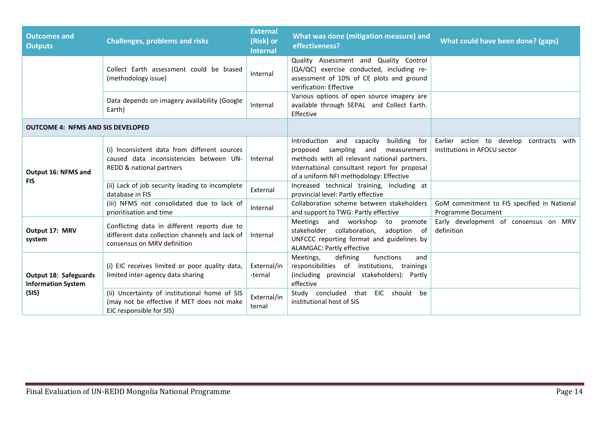| <b>Outcomes and</b><br><b>Outputs</b>              | <b>Challenges, problems and risks</b>                                                                                         | <b>External</b><br>(Risk) or<br><b>Internal</b> | What was done (mitigation measure) and<br>effectiveness?                                                                                                                                                                           | What could have been done? (gaps)                                              |
|----------------------------------------------------|-------------------------------------------------------------------------------------------------------------------------------|-------------------------------------------------|------------------------------------------------------------------------------------------------------------------------------------------------------------------------------------------------------------------------------------|--------------------------------------------------------------------------------|
|                                                    | Collect Earth assessment could be biased<br>(methodology issue)                                                               | Internal                                        | Quality Assessment and Quality Control<br>(QA/QC) exercise conducted, including re-<br>assessment of 10% of CE plots and ground<br>verification: Effective                                                                         |                                                                                |
|                                                    | Data depends on imagery availability (Google<br>Earth)                                                                        | Internal                                        | Various options of open source imagery are<br>available through SEPAL and Collect Earth.<br>Effective                                                                                                                              |                                                                                |
| <b>OUTCOME 4: NFMS AND SIS DEVELOPED</b>           |                                                                                                                               |                                                 |                                                                                                                                                                                                                                    |                                                                                |
| Output 16: NFMS and                                | (i) Inconsistent data from different sources<br>caused data inconsistencies between UN-<br>REDD & national partners           | Internal                                        | building for<br>Introduction and capacity<br>sampling<br>proposed<br>and<br>measurement<br>methods with all relevant national partners.<br>International consultant report for proposal<br>of a uniform NFI methodology: Effective | Earlier action to develop<br>contracts<br>with<br>institutions in AFOLU sector |
| <b>FIS</b>                                         | (ii) Lack of job security leading to incomplete<br>database in FIS                                                            | External                                        | Increased technical training, including at<br>provincial level: Partly effective                                                                                                                                                   |                                                                                |
|                                                    | (iii) NFMS not consolidated due to lack of<br>prioritisation and time                                                         | Internal                                        | Collaboration scheme between stakeholders<br>and support to TWG: Partly effective                                                                                                                                                  | GoM commitment to FIS specified in National<br>Programme Document              |
| Output 17: MRV<br>system                           | Conflicting data in different reports due to<br>different data collection channels and lack of<br>consensus on MRV definition | Internal                                        | Meetings and workshop<br>to promote<br>stakeholder collaboration,<br>adoption of<br>UNFCCC reporting format and guidelines by<br><b>ALAMGAC: Partly effective</b>                                                                  | Early development of consensus on MRV<br>definition                            |
| Output 18: Safeguards<br><b>Information System</b> | (i) EIC receives limited or poor quality data,<br>limited inter-agency data sharing                                           | External/in<br>-ternal                          | Meetings,<br>defining<br>functions<br>and<br>responsibilities of institutions, trainings<br>(including provincial stakeholders): Partly<br>effective                                                                               |                                                                                |
| (SIS)                                              | (ii) Uncertainty of institutional home of SIS<br>(may not be effective if MET does not make<br>EIC responsible for SIS)       | External/in<br>ternal                           | Study concluded that EIC should be<br>institutional host of SIS                                                                                                                                                                    |                                                                                |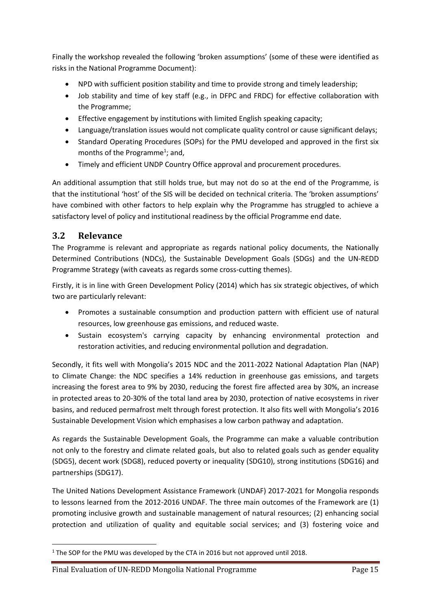Finally the workshop revealed the following 'broken assumptions' (some of these were identified as risks in the National Programme Document):

- NPD with sufficient position stability and time to provide strong and timely leadership;
- Job stability and time of key staff (e.g., in DFPC and FRDC) for effective collaboration with the Programme;
- Effective engagement by institutions with limited English speaking capacity;
- Language/translation issues would not complicate quality control or cause significant delays;
- Standard Operating Procedures (SOPs) for the PMU developed and approved in the first six months of the Programme<sup>1</sup>; and,
- Timely and efficient UNDP Country Office approval and procurement procedures.

An additional assumption that still holds true, but may not do so at the end of the Programme, is that the institutional 'host' of the SIS will be decided on technical criteria. The 'broken assumptions' have combined with other factors to help explain why the Programme has struggled to achieve a satisfactory level of policy and institutional readiness by the official Programme end date.

## <span id="page-24-0"></span>**3.2 Relevance**

The Programme is relevant and appropriate as regards national policy documents, the Nationally Determined Contributions (NDCs), the Sustainable Development Goals (SDGs) and the UN-REDD Programme Strategy (with caveats as regards some cross-cutting themes).

Firstly, it is in line with Green Development Policy (2014) which has six strategic objectives, of which two are particularly relevant:

- Promotes a sustainable consumption and production pattern with efficient use of natural resources, low greenhouse gas emissions, and reduced waste.
- Sustain ecosystem's carrying capacity by enhancing environmental protection and restoration activities, and reducing environmental pollution and degradation.

Secondly, it fits well with Mongolia's 2015 NDC and the 2011-2022 National Adaptation Plan (NAP) to Climate Change: the NDC specifies a 14% reduction in greenhouse gas emissions, and targets increasing the forest area to 9% by 2030, reducing the forest fire affected area by 30%, an increase in protected areas to 20-30% of the total land area by 2030, protection of native ecosystems in river basins, and reduced permafrost melt through forest protection. It also fits well with Mongolia's 2016 Sustainable Development Vision which emphasises a low carbon pathway and adaptation.

As regards the Sustainable Development Goals, the Programme can make a valuable contribution not only to the forestry and climate related goals, but also to related goals such as gender equality (SDG5), decent work (SDG8), reduced poverty or inequality (SDG10), strong institutions (SDG16) and partnerships (SDG17).

The United Nations Development Assistance Framework (UNDAF) 2017-2021 for Mongolia responds to lessons learned from the 2012-2016 UNDAF. The three main outcomes of the Framework are (1) promoting inclusive growth and sustainable management of natural resources; (2) enhancing social protection and utilization of quality and equitable social services; and (3) fostering voice and

<sup>&</sup>lt;sup>1</sup> The SOP for the PMU was developed by the CTA in 2016 but not approved until 2018.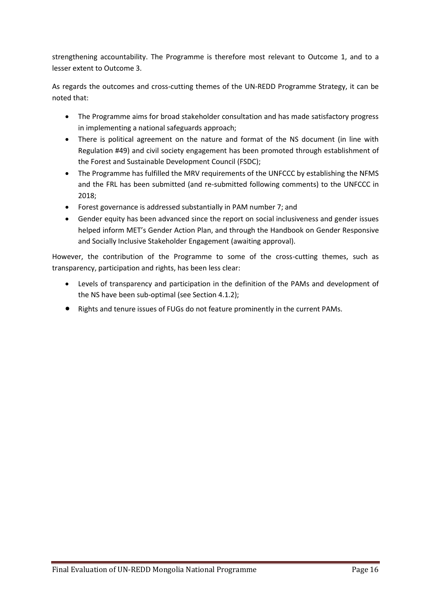strengthening accountability. The Programme is therefore most relevant to Outcome 1, and to a lesser extent to Outcome 3.

As regards the outcomes and cross-cutting themes of the UN-REDD Programme Strategy, it can be noted that:

- The Programme aims for broad stakeholder consultation and has made satisfactory progress in implementing a national safeguards approach;
- There is political agreement on the nature and format of the NS document (in line with Regulation #49) and civil society engagement has been promoted through establishment of the Forest and Sustainable Development Council (FSDC);
- The Programme has fulfilled the MRV requirements of the UNFCCC by establishing the NFMS and the FRL has been submitted (and re-submitted following comments) to the UNFCCC in 2018;
- Forest governance is addressed substantially in PAM number 7; and
- Gender equity has been advanced since the report on social inclusiveness and gender issues helped inform MET's Gender Action Plan, and through the Handbook on Gender Responsive and Socially Inclusive Stakeholder Engagement (awaiting approval).

However, the contribution of the Programme to some of the cross-cutting themes, such as transparency, participation and rights, has been less clear:

- Levels of transparency and participation in the definition of the PAMs and development of the NS have been sub-optimal (see Section 4.1.2);
- Rights and tenure issues of FUGs do not feature prominently in the current PAMs.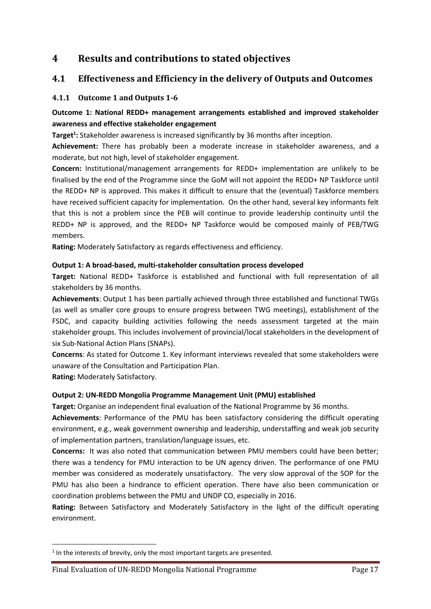## <span id="page-26-0"></span>**4 Results and contributions to stated objectives**

## <span id="page-26-1"></span>**4.1 Effectiveness and Efficiency in the delivery of Outputs and Outcomes**

#### <span id="page-26-2"></span>**4.1.1 Outcome 1 and Outputs 1-6**

#### **Outcome 1: National REDD+ management arrangements established and improved stakeholder awareness and effective stakeholder engagement**

**Target<sup>1</sup> :** Stakeholder awareness is increased significantly by 36 months after inception.

**Achievement:** There has probably been a moderate increase in stakeholder awareness, and a moderate, but not high, level of stakeholder engagement.

**Concern:** Institutional/management arrangements for REDD+ implementation are unlikely to be finalised by the end of the Programme since the GoM will not appoint the REDD+ NP Taskforce until the REDD+ NP is approved. This makes it difficult to ensure that the (eventual) Taskforce members have received sufficient capacity for implementation. On the other hand, several key informants felt that this is not a problem since the PEB will continue to provide leadership continuity until the REDD+ NP is approved, and the REDD+ NP Taskforce would be composed mainly of PEB/TWG members.

**Rating:** Moderately Satisfactory as regards effectiveness and efficiency.

#### **Output 1: A broad-based, multi-stakeholder consultation process developed**

**Target:** National REDD+ Taskforce is established and functional with full representation of all stakeholders by 36 months.

**Achievements**: Output 1 has been partially achieved through three established and functional TWGs (as well as smaller core groups to ensure progress between TWG meetings), establishment of the FSDC, and capacity building activities following the needs assessment targeted at the main stakeholder groups. This includes involvement of provincial/local stakeholders in the development of six Sub-National Action Plans (SNAPs).

**Concerns**: As stated for Outcome 1. Key informant interviews revealed that some stakeholders were unaware of the Consultation and Participation Plan.

**Rating:** Moderately Satisfactory.

#### **Output 2: UN-REDD Mongolia Programme Management Unit (PMU) established**

**Target:** Organise an independent final evaluation of the National Programme by 36 months.

**Achievements**: Performance of the PMU has been satisfactory considering the difficult operating environment, e.g., weak government ownership and leadership, understaffing and weak job security of implementation partners, translation/language issues, etc.

**Concerns:** It was also noted that communication between PMU members could have been better; there was a tendency for PMU interaction to be UN agency driven. The performance of one PMU member was considered as moderately unsatisfactory. The very slow approval of the SOP for the PMU has also been a hindrance to efficient operation. There have also been communication or coordination problems between the PMU and UNDP CO, especially in 2016.

**Rating:** Between Satisfactory and Moderately Satisfactory in the light of the difficult operating environment.

 $<sup>1</sup>$  In the interests of brevity, only the most important targets are presented.</sup>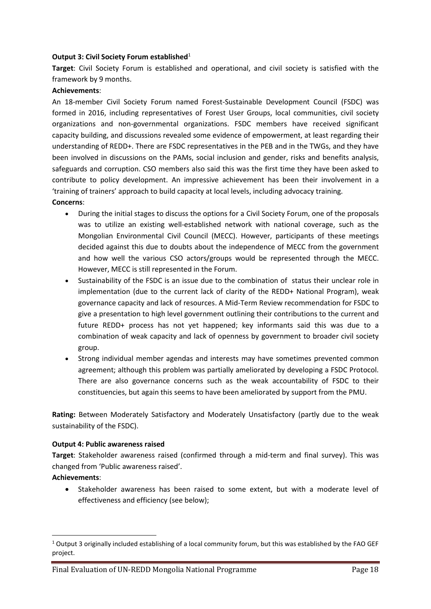#### **Output 3: Civil Society Forum established**<sup>1</sup>

**Target**: Civil Society Forum is established and operational, and civil society is satisfied with the framework by 9 months.

#### **Achievements**:

An 18-member Civil Society Forum named Forest-Sustainable Development Council (FSDC) was formed in 2016, including representatives of Forest User Groups, local communities, civil society organizations and non-governmental organizations. FSDC members have received significant capacity building, and discussions revealed some evidence of empowerment, at least regarding their understanding of REDD+. There are FSDC representatives in the PEB and in the TWGs, and they have been involved in discussions on the PAMs, social inclusion and gender, risks and benefits analysis, safeguards and corruption. CSO members also said this was the first time they have been asked to contribute to policy development. An impressive achievement has been their involvement in a 'training of trainers' approach to build capacity at local levels, including advocacy training. **Concerns**:

- During the initial stages to discuss the options for a Civil Society Forum, one of the proposals was to utilize an existing well-established network with national coverage, such as the Mongolian Environmental Civil Council (MECC). However, participants of these meetings decided against this due to doubts about the independence of MECC from the government and how well the various CSO actors/groups would be represented through the MECC. However, MECC is still represented in the Forum.
- Sustainability of the FSDC is an issue due to the combination of status their unclear role in implementation (due to the current lack of clarity of the REDD+ National Program), weak governance capacity and lack of resources. A Mid-Term Review recommendation for FSDC to give a presentation to high level government outlining their contributions to the current and future REDD+ process has not yet happened; key informants said this was due to a combination of weak capacity and lack of openness by government to broader civil society group.
- Strong individual member agendas and interests may have sometimes prevented common agreement; although this problem was partially ameliorated by developing a FSDC Protocol. There are also governance concerns such as the weak accountability of FSDC to their constituencies, but again this seems to have been ameliorated by support from the PMU.

**Rating:** Between Moderately Satisfactory and Moderately Unsatisfactory (partly due to the weak sustainability of the FSDC).

#### **Output 4: Public awareness raised**

**Target**: Stakeholder awareness raised (confirmed through a mid-term and final survey). This was changed from 'Public awareness raised'.

#### **Achievements**:

• Stakeholder awareness has been raised to some extent, but with a moderate level of effectiveness and efficiency (see below);

 $1$  Output 3 originally included establishing of a local community forum, but this was established by the FAO GEF project.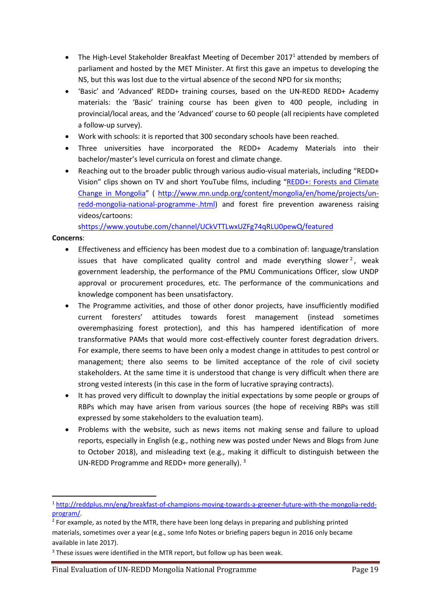- The High-Level Stakeholder Breakfast Meeting of December 2017<sup>1</sup> attended by members of parliament and hosted by the MET Minister. At first this gave an impetus to developing the NS, but this was lost due to the virtual absence of the second NPD for six months;
- 'Basic' and 'Advanced' REDD+ training courses, based on the UN-REDD REDD+ Academy materials: the 'Basic' training course has been given to 400 people, including in provincial/local areas, and the 'Advanced' course to 60 people (all recipients have completed a follow-up survey).
- Work with schools: it is reported that 300 secondary schools have been reached.
- Three universities have incorporated the REDD+ Academy Materials into their bachelor/master's level curricula on forest and climate change.
- Reaching out to the broader public through various audio-visual materials, including "REDD+ Vision" clips shown on TV and short YouTube films, including "[REDD+: Forests and Climate](https://www.youtube.com/watch?v=QlXSyDgSsns)  [Change in Mongolia](https://www.youtube.com/watch?v=QlXSyDgSsns)" ( [http://www.mn.undp.org/content/mongolia/en/home/projects/un](http://www.mn.undp.org/content/mongolia/en/home/projects/un-redd-mongolia-national-programme-.html)[redd-mongolia-national-programme-.html\)](http://www.mn.undp.org/content/mongolia/en/home/projects/un-redd-mongolia-national-programme-.html) and forest fire prevention awareness raising videos/cartoons:

[shttps://www.youtube.com/channel/UCkVTTLwxUZFg74qRLU0pewQ/featured](https://www.youtube.com/channel/UCkVTTLwxUZFg74qRLU0pewQ/featured)

#### **Concerns**:

- Effectiveness and efficiency has been modest due to a combination of: language/translation issues that have complicated quality control and made everything slower<sup>2</sup>, weak government leadership, the performance of the PMU Communications Officer, slow UNDP approval or procurement procedures, etc. The performance of the communications and knowledge component has been unsatisfactory.
- The Programme activities, and those of other donor projects, have insufficiently modified current foresters' attitudes towards forest management (instead sometimes overemphasizing forest protection), and this has hampered identification of more transformative PAMs that would more cost-effectively counter forest degradation drivers. For example, there seems to have been only a modest change in attitudes to pest control or management; there also seems to be limited acceptance of the role of civil society stakeholders. At the same time it is understood that change is very difficult when there are strong vested interests (in this case in the form of lucrative spraying contracts).
- It has proved very difficult to downplay the initial expectations by some people or groups of RBPs which may have arisen from various sources (the hope of receiving RBPs was still expressed by some stakeholders to the evaluation team).
- Problems with the website, such as news items not making sense and failure to upload reports, especially in English (e.g., nothing new was posted under News and Blogs from June to October 2018), and misleading text (e.g., making it difficult to distinguish between the UN-REDD Programme and REDD+ more generally). <sup>3</sup>

<sup>1</sup> [http://reddplus.mn/eng/breakfast-of-champions-moving-towards-a-greener-future-with-the-mongolia-redd](http://reddplus.mn/eng/breakfast-of-champions-moving-towards-a-greener-future-with-the-mongolia-redd-program/)[program/.](http://reddplus.mn/eng/breakfast-of-champions-moving-towards-a-greener-future-with-the-mongolia-redd-program/)

 $2$  For example, as noted by the MTR, there have been long delays in preparing and publishing printed materials, sometimes over a year (e.g., some Info Notes or briefing papers begun in 2016 only became available in late 2017).

<sup>&</sup>lt;sup>3</sup> These issues were identified in the MTR report, but follow up has been weak.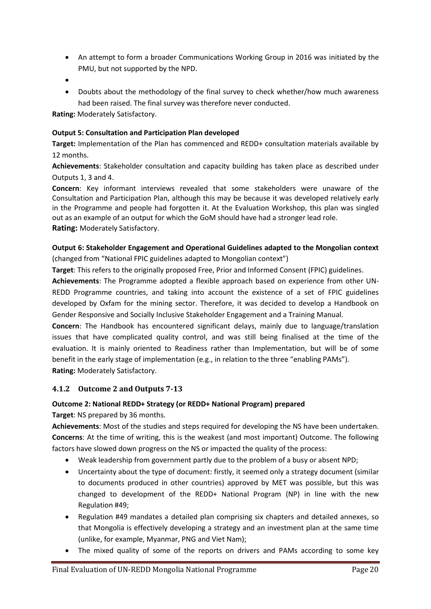- An attempt to form a broader Communications Working Group in 2016 was initiated by the PMU, but not supported by the NPD.
- •
- Doubts about the methodology of the final survey to check whether/how much awareness had been raised. The final survey was therefore never conducted.

**Rating:** Moderately Satisfactory.

#### **Output 5: Consultation and Participation Plan developed**

**Target:** Implementation of the Plan has commenced and REDD+ consultation materials available by 12 months.

**Achievements**: Stakeholder consultation and capacity building has taken place as described under Outputs 1, 3 and 4.

**Concern**: Key informant interviews revealed that some stakeholders were unaware of the Consultation and Participation Plan, although this may be because it was developed relatively early in the Programme and people had forgotten it. At the Evaluation Workshop, this plan was singled out as an example of an output for which the GoM should have had a stronger lead role. **Rating:** Moderately Satisfactory.

#### **Output 6: Stakeholder Engagement and Operational Guidelines adapted to the Mongolian context**  (changed from "National FPIC guidelines adapted to Mongolian context")

**Target**: This refers to the originally proposed Free, Prior and Informed Consent (FPIC) guidelines.

**Achievements**: The Programme adopted a flexible approach based on experience from other UN-REDD Programme countries, and taking into account the existence of a set of FPIC guidelines developed by Oxfam for the mining sector. Therefore, it was decided to develop a Handbook on Gender Responsive and Socially Inclusive Stakeholder Engagement and a Training Manual.

**Concern**: The Handbook has encountered significant delays, mainly due to language/translation issues that have complicated quality control, and was still being finalised at the time of the evaluation. It is mainly oriented to Readiness rather than Implementation, but will be of some benefit in the early stage of implementation (e.g., in relation to the three "enabling PAMs"). **Rating:** Moderately Satisfactory.

#### <span id="page-29-0"></span>**4.1.2 Outcome 2 and Outputs 7-13**

#### **Outcome 2: National REDD+ Strategy (or REDD+ National Program) prepared**

**Target**: NS prepared by 36 months.

**Achievements**: Most of the studies and steps required for developing the NS have been undertaken. **Concerns**: At the time of writing, this is the weakest (and most important) Outcome. The following factors have slowed down progress on the NS or impacted the quality of the process:

- Weak leadership from government partly due to the problem of a busy or absent NPD;
- Uncertainty about the type of document: firstly, it seemed only a strategy document (similar to documents produced in other countries) approved by MET was possible, but this was changed to development of the REDD+ National Program (NP) in line with the new Regulation #49;
- Regulation #49 mandates a detailed plan comprising six chapters and detailed annexes, so that Mongolia is effectively developing a strategy and an investment plan at the same time (unlike, for example, Myanmar, PNG and Viet Nam);
- The mixed quality of some of the reports on drivers and PAMs according to some key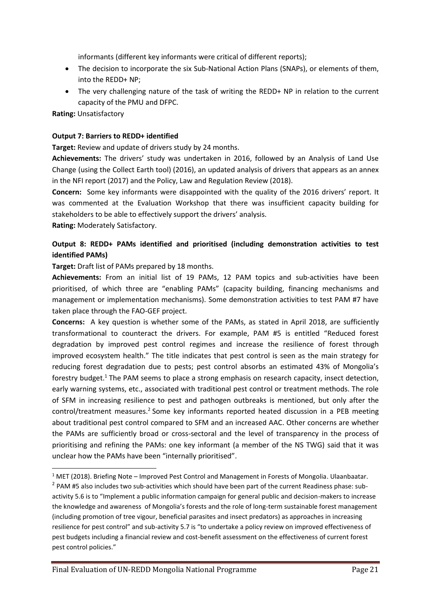informants (different key informants were critical of different reports);

- The decision to incorporate the six Sub-National Action Plans (SNAPs), or elements of them, into the REDD+ NP;
- The very challenging nature of the task of writing the REDD+ NP in relation to the current capacity of the PMU and DFPC.

**Rating:** Unsatisfactory

#### **Output 7: Barriers to REDD+ identified**

**Target:** Review and update of drivers study by 24 months.

**Achievements:** The drivers' study was undertaken in 2016, followed by an Analysis of Land Use Change (using the Collect Earth tool) (2016), an updated analysis of drivers that appears as an annex in the NFI report (2017) and the Policy, Law and Regulation Review (2018).

**Concern:** Some key informants were disappointed with the quality of the 2016 drivers' report. It was commented at the Evaluation Workshop that there was insufficient capacity building for stakeholders to be able to effectively support the drivers' analysis.

**Rating:** Moderately Satisfactory.

#### **Output 8: REDD+ PAMs identified and prioritised (including demonstration activities to test identified PAMs)**

**Target:** Draft list of PAMs prepared by 18 months.

**Achievements:** From an initial list of 19 PAMs, 12 PAM topics and sub-activities have been prioritised, of which three are "enabling PAMs" (capacity building, financing mechanisms and management or implementation mechanisms). Some demonstration activities to test PAM #7 have taken place through the FAO-GEF project.

**Concerns:** A key question is whether some of the PAMs, as stated in April 2018, are sufficiently transformational to counteract the drivers. For example, PAM #5 is entitled "Reduced forest degradation by improved pest control regimes and increase the resilience of forest through improved ecosystem health." The title indicates that pest control is seen as the main strategy for reducing forest degradation due to pests; pest control absorbs an estimated 43% of Mongolia's forestry budget.<sup>1</sup> The PAM seems to place a strong emphasis on research capacity, insect detection, early warning systems, etc., associated with traditional pest control or treatment methods. The role of SFM in increasing resilience to pest and pathogen outbreaks is mentioned, but only after the control/treatment measures.<sup>2</sup> Some key informants reported heated discussion in a PEB meeting about traditional pest control compared to SFM and an increased AAC. Other concerns are whether the PAMs are sufficiently broad or cross-sectoral and the level of transparency in the process of prioritising and refining the PAMs: one key informant (a member of the NS TWG) said that it was unclear how the PAMs have been "internally prioritised".

<sup>1</sup> MET (2018). Briefing Note – Improved Pest Control and Management in Forests of Mongolia. Ulaanbaatar.

 $2$  PAM #5 also includes two sub-activities which should have been part of the current Readiness phase: subactivity 5.6 is to "Implement a public information campaign for general public and decision-makers to increase the knowledge and awareness of Mongolia's forests and the role of long-term sustainable forest management (including promotion of tree vigour, beneficial parasites and insect predators) as approaches in increasing resilience for pest control" and sub-activity 5.7 is "to undertake a policy review on improved effectiveness of pest budgets including a financial review and cost-benefit assessment on the effectiveness of current forest pest control policies."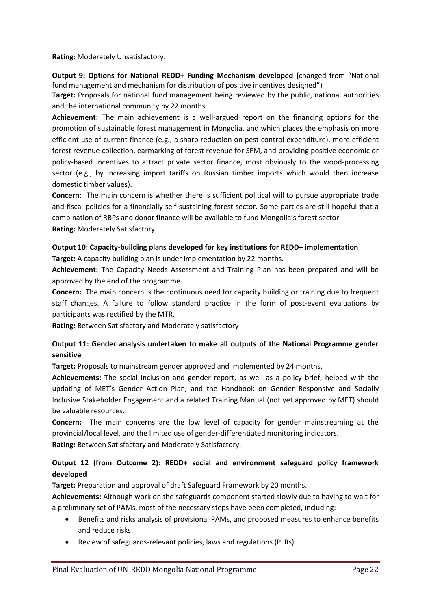**Rating:** Moderately Unsatisfactory.

**Output 9: Options for National REDD+ Funding Mechanism developed (**changed from "National fund management and mechanism for distribution of positive incentives designed")

**Target:** Proposals for national fund management being reviewed by the public, national authorities and the international community by 22 months.

**Achievement:** The main achievement is a well-argued report on the financing options for the promotion of sustainable forest management in Mongolia, and which places the emphasis on more efficient use of current finance (e.g., a sharp reduction on pest control expenditure), more efficient forest revenue collection, earmarking of forest revenue for SFM, and providing positive economic or policy-based incentives to attract private sector finance, most obviously to the wood-processing sector (e.g., by increasing import tariffs on Russian timber imports which would then increase domestic timber values).

**Concern:** The main concern is whether there is sufficient political will to pursue appropriate trade and fiscal policies for a financially self-sustaining forest sector. Some parties are still hopeful that a combination of RBPs and donor finance will be available to fund Mongolia's forest sector. **Rating:** Moderately Satisfactory

#### **Output 10: Capacity-building plans developed for key institutions for REDD+ implementation**

**Target:** A capacity building plan is under implementation by 22 months.

**Achievement:** The Capacity Needs Assessment and Training Plan has been prepared and will be approved by the end of the programme.

**Concern:** The main concern is the continuous need for capacity building or training due to frequent staff changes. A failure to follow standard practice in the form of post-event evaluations by participants was rectified by the MTR.

**Rating:** Between Satisfactory and Moderately satisfactory

#### **Output 11: Gender analysis undertaken to make all outputs of the National Programme gender sensitive**

**Target:** Proposals to mainstream gender approved and implemented by 24 months.

**Achievements:** The social inclusion and gender report, as well as a policy brief, helped with the updating of MET's Gender Action Plan, and the Handbook on Gender Responsive and Socially Inclusive Stakeholder Engagement and a related Training Manual (not yet approved by MET) should be valuable resources.

**Concern:** The main concerns are the low level of capacity for gender mainstreaming at the provincial/local level, and the limited use of gender-differentiated monitoring indicators. **Rating:** Between Satisfactory and Moderately Satisfactory.

#### **Output 12 (from Outcome 2): REDD+ social and environment safeguard policy framework developed**

**Target:** Preparation and approval of draft Safeguard Framework by 20 months.

**Achievements:** Although work on the safeguards component started slowly due to having to wait for a preliminary set of PAMs, most of the necessary steps have been completed, including:

- Benefits and risks analysis of provisional PAMs, and proposed measures to enhance benefits and reduce risks
- Review of safeguards-relevant policies, laws and regulations (PLRs)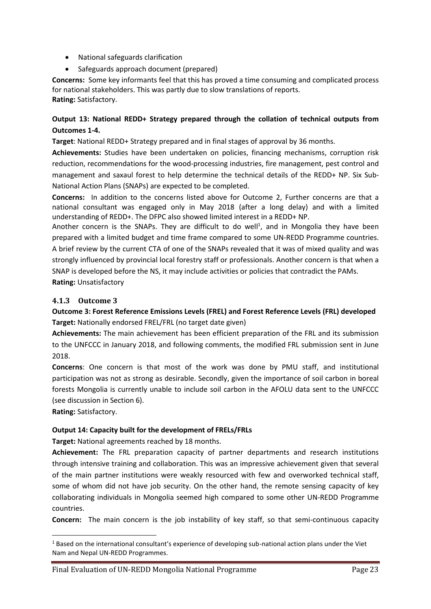- National safeguards clarification
- Safeguards approach document (prepared)

**Concerns:** Some key informants feel that this has proved a time consuming and complicated process for national stakeholders. This was partly due to slow translations of reports. **Rating:** Satisfactory.

#### **Output 13: National REDD+ Strategy prepared through the collation of technical outputs from Outcomes 1-4.**

**Target**: National REDD+ Strategy prepared and in final stages of approval by 36 months.

**Achievements:** Studies have been undertaken on policies, financing mechanisms, corruption risk reduction, recommendations for the wood-processing industries, fire management, pest control and management and saxaul forest to help determine the technical details of the REDD+ NP. Six Sub-National Action Plans (SNAPs) are expected to be completed.

**Concerns:** In addition to the concerns listed above for Outcome 2, Further concerns are that a national consultant was engaged only in May 2018 (after a long delay) and with a limited understanding of REDD+. The DFPC also showed limited interest in a REDD+ NP.

Another concern is the SNAPs. They are difficult to do well<sup>1</sup>, and in Mongolia they have been prepared with a limited budget and time frame compared to some UN-REDD Programme countries. A brief review by the current CTA of one of the SNAPs revealed that it was of mixed quality and was strongly influenced by provincial local forestry staff or professionals. Another concern is that when a SNAP is developed before the NS, it may include activities or policies that contradict the PAMs. **Rating:** Unsatisfactory

#### <span id="page-32-0"></span>**4.1.3 Outcome 3**

**Outcome 3: Forest Reference Emissions Levels (FREL) and Forest Reference Levels (FRL) developed Target:** Nationally endorsed FREL/FRL (no target date given)

**Achievements:** The main achievement has been efficient preparation of the FRL and its submission to the UNFCCC in January 2018, and following comments, the modified FRL submission sent in June 2018.

**Concerns**: One concern is that most of the work was done by PMU staff, and institutional participation was not as strong as desirable. Secondly, given the importance of soil carbon in boreal forests Mongolia is currently unable to include soil carbon in the AFOLU data sent to the UNFCCC (see discussion in Section 6).

**Rating:** Satisfactory.

#### **Output 14: Capacity built for the development of FRELs/FRLs**

**Target:** National agreements reached by 18 months.

**Achievement:** The FRL preparation capacity of partner departments and research institutions through intensive training and collaboration. This was an impressive achievement given that several of the main partner institutions were weakly resourced with few and overworked technical staff, some of whom did not have job security. On the other hand, the remote sensing capacity of key collaborating individuals in Mongolia seemed high compared to some other UN-REDD Programme countries.

**Concern:** The main concern is the job instability of key staff, so that semi-continuous capacity

 $1$  Based on the international consultant's experience of developing sub-national action plans under the Viet Nam and Nepal UN-REDD Programmes.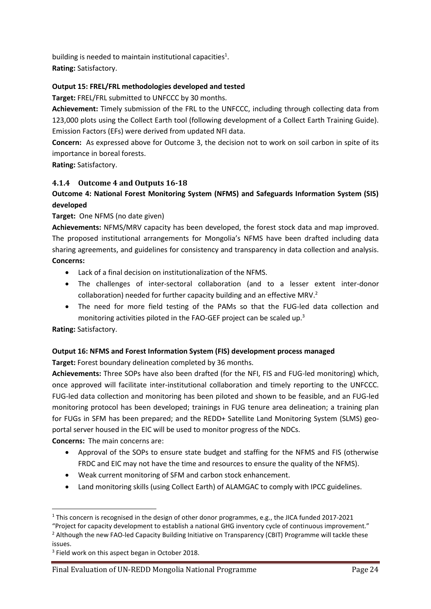building is needed to maintain institutional capacities $^1$ .

**Rating:** Satisfactory.

#### **Output 15: FREL/FRL methodologies developed and tested**

**Target:** FREL/FRL submitted to UNFCCC by 30 months.

**Achievement:** Timely submission of the FRL to the UNFCCC, including through collecting data from 123,000 plots using the Collect Earth tool (following development of a Collect Earth Training Guide). Emission Factors (EFs) were derived from updated NFI data.

**Concern:** As expressed above for Outcome 3, the decision not to work on soil carbon in spite of its importance in boreal forests.

**Rating:** Satisfactory.

#### <span id="page-33-0"></span>**4.1.4 Outcome 4 and Outputs 16-18**

## **Outcome 4: National Forest Monitoring System (NFMS) and Safeguards Information System (SIS) developed**

#### **Target:** One NFMS (no date given)

**Achievements:** NFMS/MRV capacity has been developed, the forest stock data and map improved. The proposed institutional arrangements for Mongolia's NFMS have been drafted including data sharing agreements, and guidelines for consistency and transparency in data collection and analysis. **Concerns:** 

- Lack of a final decision on institutionalization of the NFMS.
- The challenges of inter-sectoral collaboration (and to a lesser extent inter-donor collaboration) needed for further capacity building and an effective MRV.<sup>2</sup>
- The need for more field testing of the PAMs so that the FUG-led data collection and monitoring activities piloted in the FAO-GEF project can be scaled up.<sup>3</sup>

#### **Rating:** Satisfactory.

#### **Output 16: NFMS and Forest Information System (FIS) development process managed**

**Target:** Forest boundary delineation completed by 36 months.

**Achievements:** Three SOPs have also been drafted (for the NFI, FIS and FUG-led monitoring) which, once approved will facilitate inter-institutional collaboration and timely reporting to the UNFCCC. FUG-led data collection and monitoring has been piloted and shown to be feasible, and an FUG-led monitoring protocol has been developed; trainings in FUG tenure area delineation; a training plan for FUGs in SFM has been prepared; and the REDD+ Satellite Land Monitoring System (SLMS) geoportal server housed in the EIC will be used to monitor progress of the NDCs.

**Concerns:** The main concerns are:

- Approval of the SOPs to ensure state budget and staffing for the NFMS and FIS (otherwise FRDC and EIC may not have the time and resources to ensure the quality of the NFMS).
- Weak current monitoring of SFM and carbon stock enhancement.
- Land monitoring skills (using Collect Earth) of ALAMGAC to comply with IPCC guidelines.

<sup>&</sup>lt;sup>1</sup> This concern is recognised in the design of other donor programmes, e.g., the JICA funded 2017-2021

<sup>&</sup>quot;Project for capacity development to establish a national GHG inventory cycle of continuous improvement." <sup>2</sup> Although the new FAO-led Capacity Building Initiative on Transparency (CBIT) Programme will tackle these issues.

<sup>&</sup>lt;sup>3</sup> Field work on this aspect began in October 2018.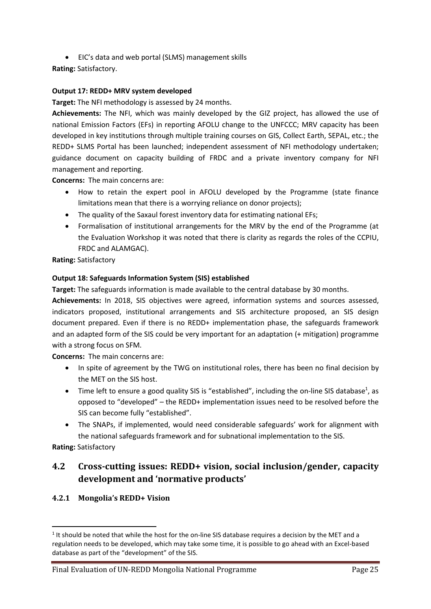• EIC's data and web portal (SLMS) management skills

**Rating:** Satisfactory.

#### **Output 17: REDD+ MRV system developed**

**Target:** The NFI methodology is assessed by 24 months.

**Achievements:** The NFI, which was mainly developed by the GIZ project, has allowed the use of national Emission Factors (EFs) in reporting AFOLU change to the UNFCCC; MRV capacity has been developed in key institutions through multiple training courses on GIS, Collect Earth, SEPAL, etc.; the REDD+ SLMS Portal has been launched; independent assessment of NFI methodology undertaken; guidance document on capacity building of FRDC and a private inventory company for NFI management and reporting.

**Concerns:** The main concerns are:

- How to retain the expert pool in AFOLU developed by the Programme (state finance limitations mean that there is a worrying reliance on donor projects);
- The quality of the Saxaul forest inventory data for estimating national EFs;
- Formalisation of institutional arrangements for the MRV by the end of the Programme (at the Evaluation Workshop it was noted that there is clarity as regards the roles of the CCPIU, FRDC and ALAMGAC).

**Rating:** Satisfactory

#### **Output 18: Safeguards Information System (SIS) established**

**Target:** The safeguards information is made available to the central database by 30 months.

**Achievements:** In 2018, SIS objectives were agreed, information systems and sources assessed, indicators proposed, institutional arrangements and SIS architecture proposed, an SIS design document prepared. Even if there is no REDD+ implementation phase, the safeguards framework and an adapted form of the SIS could be very important for an adaptation (+ mitigation) programme with a strong focus on SFM.

**Concerns:** The main concerns are:

- In spite of agreement by the TWG on institutional roles, there has been no final decision by the MET on the SIS host.
- $\bullet$  Time left to ensure a good quality SIS is "established", including the on-line SIS database<sup>1</sup>, as opposed to "developed" – the REDD+ implementation issues need to be resolved before the SIS can become fully "established".
- The SNAPs, if implemented, would need considerable safeguards' work for alignment with the national safeguards framework and for subnational implementation to the SIS.

**Rating:** Satisfactory

## <span id="page-34-0"></span>**4.2 Cross-cutting issues: REDD+ vision, social inclusion/gender, capacity development and 'normative products'**

#### <span id="page-34-1"></span>**4.2.1 Mongolia's REDD+ Vision**

 $<sup>1</sup>$  It should be noted that while the host for the on-line SIS database requires a decision by the MET and a</sup> regulation needs to be developed, which may take some time, it is possible to go ahead with an Excel-based database as part of the "development" of the SIS.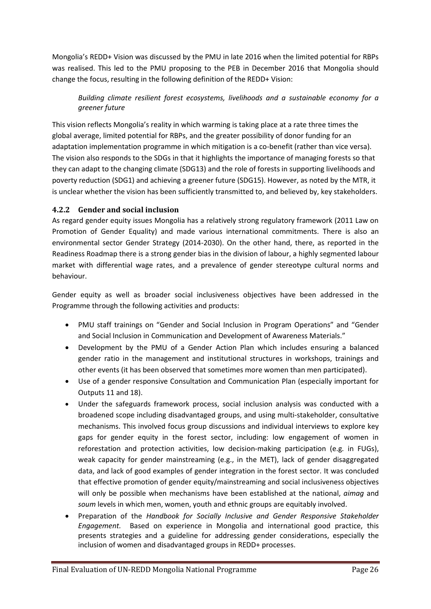Mongolia's REDD+ Vision was discussed by the PMU in late 2016 when the limited potential for RBPs was realised. This led to the PMU proposing to the PEB in December 2016 that Mongolia should change the focus, resulting in the following definition of the REDD+ Vision:

*Building climate resilient forest ecosystems, livelihoods and a sustainable economy for a greener future*

This vision reflects Mongolia's reality in which warming is taking place at a rate three times the global average, limited potential for RBPs, and the greater possibility of donor funding for an adaptation implementation programme in which mitigation is a co-benefit (rather than vice versa). The vision also responds to the SDGs in that it highlights the importance of managing forests so that they can adapt to the changing climate (SDG13) and the role of forests in supporting livelihoods and poverty reduction (SDG1) and achieving a greener future (SDG15). However, as noted by the MTR, it is unclear whether the vision has been sufficiently transmitted to, and believed by, key stakeholders.

#### <span id="page-35-0"></span>**4.2.2 Gender and social inclusion**

As regard gender equity issues Mongolia has a relatively strong regulatory framework (2011 Law on Promotion of Gender Equality) and made various international commitments. There is also an environmental sector Gender Strategy (2014-2030). On the other hand, there, as reported in the Readiness Roadmap there is a strong gender bias in the division of labour, a highly segmented labour market with differential wage rates, and a prevalence of gender stereotype cultural norms and behaviour.

Gender equity as well as broader social inclusiveness objectives have been addressed in the Programme through the following activities and products:

- PMU staff trainings on "Gender and Social Inclusion in Program Operations" and "Gender and Social Inclusion in Communication and Development of Awareness Materials."
- Development by the PMU of a Gender Action Plan which includes ensuring a balanced gender ratio in the management and institutional structures in workshops, trainings and other events (it has been observed that sometimes more women than men participated).
- Use of a gender responsive Consultation and Communication Plan (especially important for Outputs 11 and 18).
- Under the safeguards framework process, social inclusion analysis was conducted with a broadened scope including disadvantaged groups, and using multi-stakeholder, consultative mechanisms. This involved focus group discussions and individual interviews to explore key gaps for gender equity in the forest sector, including: low engagement of women in reforestation and protection activities, low decision-making participation (e.g. in FUGs), weak capacity for gender mainstreaming (e.g., in the MET), lack of gender disaggregated data, and lack of good examples of gender integration in the forest sector. It was concluded that effective promotion of gender equity/mainstreaming and social inclusiveness objectives will only be possible when mechanisms have been established at the national, *aimag* and *soum* levels in which men, women, youth and ethnic groups are equitably involved.
- Preparation of the *Handbook for Socially Inclusive and Gender Responsive Stakeholder Engagement.* Based on experience in Mongolia and international good practice, this presents strategies and a guideline for addressing gender considerations, especially the inclusion of women and disadvantaged groups in REDD+ processes.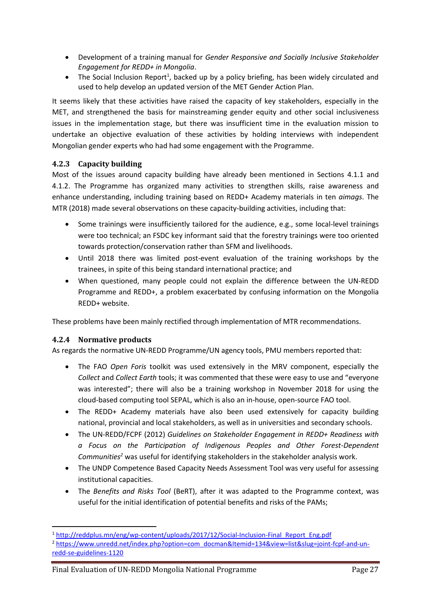- Development of a training manual for *Gender Responsive and Socially Inclusive Stakeholder Engagement for REDD+ in Mongolia*.
- The Social Inclusion Report<sup>1</sup>, backed up by a policy briefing, has been widely circulated and used to help develop an updated version of the MET Gender Action Plan.

It seems likely that these activities have raised the capacity of key stakeholders, especially in the MET, and strengthened the basis for mainstreaming gender equity and other social inclusiveness issues in the implementation stage, but there was insufficient time in the evaluation mission to undertake an objective evaluation of these activities by holding interviews with independent Mongolian gender experts who had had some engagement with the Programme.

### **4.2.3 Capacity building**

Most of the issues around capacity building have already been mentioned in Sections 4.1.1 and 4.1.2. The Programme has organized many activities to strengthen skills, raise awareness and enhance understanding, including training based on REDD+ Academy materials in ten *aimags*. The MTR (2018) made several observations on these capacity-building activities, including that:

- Some trainings were insufficiently tailored for the audience, e.g., some local-level trainings were too technical; an FSDC key informant said that the forestry trainings were too oriented towards protection/conservation rather than SFM and livelihoods.
- Until 2018 there was limited post-event evaluation of the training workshops by the trainees, in spite of this being standard international practice; and
- When questioned, many people could not explain the difference between the UN-REDD Programme and REDD+, a problem exacerbated by confusing information on the Mongolia REDD+ website.

These problems have been mainly rectified through implementation of MTR recommendations.

### **4.2.4 Normative products**

As regards the normative UN-REDD Programme/UN agency tools, PMU members reported that:

- The FAO *Open Foris* toolkit was used extensively in the MRV component, especially the *Collect* and *Collect Earth* tools; it was commented that these were easy to use and "everyone was interested"; there will also be a training workshop in November 2018 for using the cloud-based computing tool SEPAL, which is also an in-house, open-source FAO tool.
- The REDD+ Academy materials have also been used extensively for capacity building national, provincial and local stakeholders, as well as in universities and secondary schools.
- The UN-REDD/FCPF (2012) *Guidelines on Stakeholder Engagement in REDD+ Readiness with a Focus on the Participation of Indigenous Peoples and Other Forest-Dependent Communities<sup>2</sup>* was useful for identifying stakeholders in the stakeholder analysis work.
- The UNDP Competence Based Capacity Needs Assessment Tool was very useful for assessing institutional capacities.
- The *Benefits and Risks Tool* (BeRT), after it was adapted to the Programme context, was useful for the initial identification of potential benefits and risks of the PAMs;

<sup>1</sup> [http://reddplus.mn/eng/wp-content/uploads/2017/12/Social-Inclusion-Final\\_Report\\_Eng.pdf](http://reddplus.mn/eng/wp-content/uploads/2017/12/Social-Inclusion-Final_Report_Eng.pdf)

<sup>2</sup> [https://www.unredd.net/index.php?option=com\\_docman&Itemid=134&view=list&slug=joint-fcpf-and-un](https://www.unredd.net/index.php?option=com_docman&Itemid=134&view=list&slug=joint-fcpf-and-un-redd-se-guidelines-1120)[redd-se-guidelines-1120](https://www.unredd.net/index.php?option=com_docman&Itemid=134&view=list&slug=joint-fcpf-and-un-redd-se-guidelines-1120)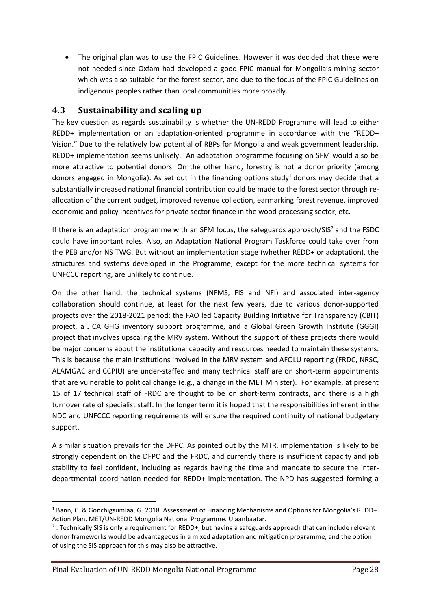• The original plan was to use the FPIC Guidelines. However it was decided that these were not needed since Oxfam had developed a good FPIC manual for Mongolia's mining sector which was also suitable for the forest sector, and due to the focus of the FPIC Guidelines on indigenous peoples rather than local communities more broadly.

### **4.3 Sustainability and scaling up**

The key question as regards sustainability is whether the UN-REDD Programme will lead to either REDD+ implementation or an adaptation-oriented programme in accordance with the "REDD+ Vision." Due to the relatively low potential of RBPs for Mongolia and weak government leadership, REDD+ implementation seems unlikely. An adaptation programme focusing on SFM would also be more attractive to potential donors. On the other hand, forestry is not a donor priority (among donors engaged in Mongolia). As set out in the financing options study<sup>1</sup> donors may decide that a substantially increased national financial contribution could be made to the forest sector through reallocation of the current budget, improved revenue collection, earmarking forest revenue, improved economic and policy incentives for private sector finance in the wood processing sector, etc.

If there is an adaptation programme with an SFM focus, the safeguards approach/ $SIS<sup>2</sup>$  and the FSDC could have important roles. Also, an Adaptation National Program Taskforce could take over from the PEB and/or NS TWG. But without an implementation stage (whether REDD+ or adaptation), the structures and systems developed in the Programme, except for the more technical systems for UNFCCC reporting, are unlikely to continue.

On the other hand, the technical systems (NFMS, FIS and NFI) and associated inter-agency collaboration should continue, at least for the next few years, due to various donor-supported projects over the 2018-2021 period: the FAO led Capacity Building Initiative for Transparency (CBIT) project, a JICA GHG inventory support programme, and a Global Green Growth Institute (GGGI) project that involves upscaling the MRV system. Without the support of these projects there would be major concerns about the institutional capacity and resources needed to maintain these systems. This is because the main institutions involved in the MRV system and AFOLU reporting (FRDC, NRSC, ALAMGAC and CCPIU) are under-staffed and many technical staff are on short-term appointments that are vulnerable to political change (e.g., a change in the MET Minister). For example, at present 15 of 17 technical staff of FRDC are thought to be on short-term contracts, and there is a high turnover rate of specialist staff. In the longer term it is hoped that the responsibilities inherent in the NDC and UNFCCC reporting requirements will ensure the required continuity of national budgetary support.

A similar situation prevails for the DFPC. As pointed out by the MTR, implementation is likely to be strongly dependent on the DFPC and the FRDC, and currently there is insufficient capacity and job stability to feel confident, including as regards having the time and mandate to secure the interdepartmental coordination needed for REDD+ implementation. The NPD has suggested forming a

<sup>1</sup> Bann, C. & Gonchigsumlaa, G. 2018. Assessment of Financing Mechanisms and Options for Mongolia's REDD+ Action Plan. MET/UN-REDD Mongolia National Programme. Ulaanbaatar.

<sup>2</sup> : Technically SIS is only a requirement for REDD+, but having a safeguards approach that can include relevant donor frameworks would be advantageous in a mixed adaptation and mitigation programme, and the option of using the SIS approach for this may also be attractive.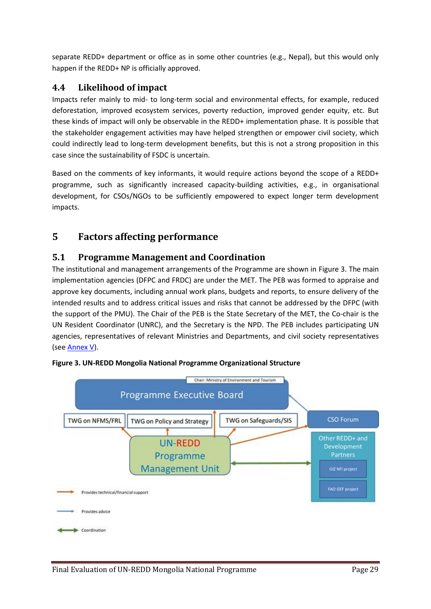separate REDD+ department or office as in some other countries (e.g., Nepal), but this would only happen if the REDD+ NP is officially approved.

### **4.4 Likelihood of impact**

Impacts refer mainly to mid- to long-term social and environmental effects, for example, reduced deforestation, improved ecosystem services, poverty reduction, improved gender equity, etc. But these kinds of impact will only be observable in the REDD+ implementation phase. It is possible that the stakeholder engagement activities may have helped strengthen or empower civil society, which could indirectly lead to long-term development benefits, but this is not a strong proposition in this case since the sustainability of FSDC is uncertain.

Based on the comments of key informants, it would require actions beyond the scope of a REDD+ programme, such as significantly increased capacity-building activities, e.g., in organisational development, for CSOs/NGOs to be sufficiently empowered to expect longer term development impacts.

## **5 Factors affecting performance**

### **5.1 Programme Management and Coordination**

The institutional and management arrangements of the Programme are shown in Figure 3. The main implementation agencies (DFPC and FRDC) are under the MET. The PEB was formed to appraise and approve key documents, including annual work plans, budgets and reports, to ensure delivery of the intended results and to address critical issues and risks that cannot be addressed by the DFPC (with the support of the PMU). The Chair of the PEB is the State Secretary of the MET, the Co-chair is the UN Resident Coordinator (UNRC), and the Secretary is the NPD. The PEB includes participating UN agencies, representatives of relevant Ministries and Departments, and civil society representatives (see [Annex V\)](#page-65-0).



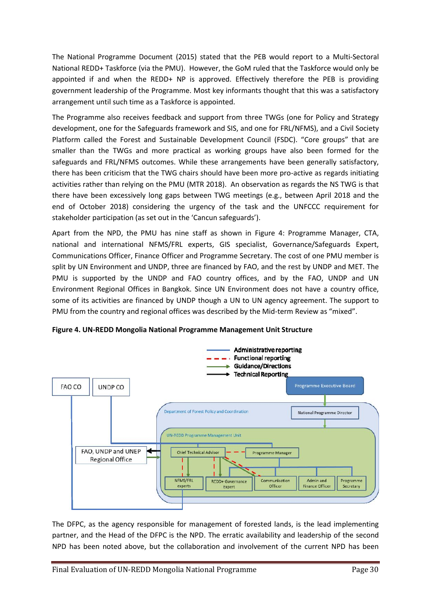The National Programme Document (2015) stated that the PEB would report to a Multi-Sectoral National REDD+ Taskforce (via the PMU). However, the GoM ruled that the Taskforce would only be appointed if and when the REDD+ NP is approved. Effectively therefore the PEB is providing government leadership of the Programme. Most key informants thought that this was a satisfactory arrangement until such time as a Taskforce is appointed.

The Programme also receives feedback and support from three TWGs (one for Policy and Strategy development, one for the Safeguards framework and SIS, and one for FRL/NFMS), and a Civil Society Platform called the Forest and Sustainable Development Council (FSDC). "Core groups" that are smaller than the TWGs and more practical as working groups have also been formed for the safeguards and FRL/NFMS outcomes. While these arrangements have been generally satisfactory, there has been criticism that the TWG chairs should have been more pro-active as regards initiating activities rather than relying on the PMU (MTR 2018). An observation as regards the NS TWG is that there have been excessively long gaps between TWG meetings (e.g., between April 2018 and the end of October 2018) considering the urgency of the task and the UNFCCC requirement for stakeholder participation (as set out in the 'Cancun safeguards').

Apart from the NPD, the PMU has nine staff as shown in Figure 4: Programme Manager, CTA, national and international NFMS/FRL experts, GIS specialist, Governance/Safeguards Expert, Communications Officer, Finance Officer and Programme Secretary. The cost of one PMU member is split by UN Environment and UNDP, three are financed by FAO, and the rest by UNDP and MET. The PMU is supported by the UNDP and FAO country offices, and by the FAO, UNDP and UN Environment Regional Offices in Bangkok. Since UN Environment does not have a country office, some of its activities are financed by UNDP though a UN to UN agency agreement. The support to PMU from the country and regional offices was described by the Mid-term Review as "mixed".



**Figure 4. UN-REDD Mongolia National Programme Management Unit Structure**

The DFPC, as the agency responsible for management of forested lands, is the lead implementing partner, and the Head of the DFPC is the NPD. The erratic availability and leadership of the second NPD has been noted above, but the collaboration and involvement of the current NPD has been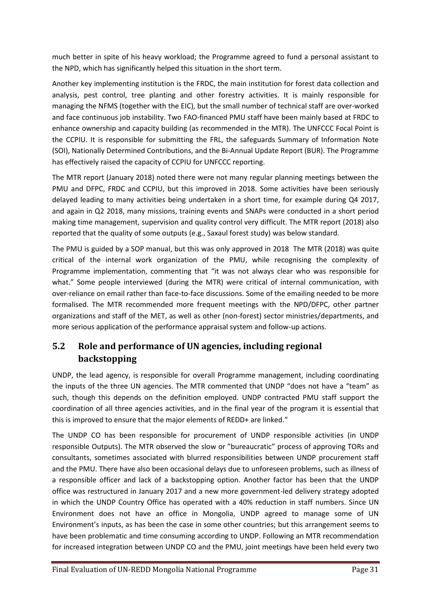much better in spite of his heavy workload; the Programme agreed to fund a personal assistant to the NPD, which has significantly helped this situation in the short term.

Another key implementing institution is the FRDC, the main institution for forest data collection and analysis, pest control, tree planting and other forestry activities. It is mainly responsible for managing the NFMS (together with the EIC), but the small number of technical staff are over-worked and face continuous job instability. Two FAO-financed PMU staff have been mainly based at FRDC to enhance ownership and capacity building (as recommended in the MTR). The UNFCCC Focal Point is the CCPIU. It is responsible for submitting the FRL, the safeguards Summary of Information Note (SOI), Nationally Determined Contributions, and the Bi-Annual Update Report (BUR). The Programme has effectively raised the capacity of CCPIU for UNFCCC reporting.

The MTR report (January 2018) noted there were not many regular planning meetings between the PMU and DFPC, FRDC and CCPIU, but this improved in 2018. Some activities have been seriously delayed leading to many activities being undertaken in a short time, for example during Q4 2017, and again in Q2 2018, many missions, training events and SNAPs were conducted in a short period making time management, supervision and quality control very difficult. The MTR report (2018) also reported that the quality of some outputs (e.g., Saxaul forest study) was below standard.

The PMU is guided by a SOP manual, but this was only approved in 2018 The MTR (2018) was quite critical of the internal work organization of the PMU, while recognising the complexity of Programme implementation, commenting that "it was not always clear who was responsible for what." Some people interviewed (during the MTR) were critical of internal communication, with over-reliance on email rather than face-to-face discussions. Some of the emailing needed to be more formalised. The MTR recommended more frequent meetings with the NPD/DFPC, other partner organizations and staff of the MET, as well as other (non-forest) sector ministries/departments, and more serious application of the performance appraisal system and follow-up actions.

## **5.2 Role and performance of UN agencies, including regional backstopping**

UNDP, the lead agency, is responsible for overall Programme management, including coordinating the inputs of the three UN agencies. The MTR commented that UNDP "does not have a "team" as such, though this depends on the definition employed. UNDP contracted PMU staff support the coordination of all three agencies activities, and in the final year of the program it is essential that this is improved to ensure that the major elements of REDD+ are linked."

The UNDP CO has been responsible for procurement of UNDP responsible activities (in UNDP responsible Outputs). The MTR observed the slow or "bureaucratic" process of approving TORs and consultants, sometimes associated with blurred responsibilities between UNDP procurement staff and the PMU. There have also been occasional delays due to unforeseen problems, such as illness of a responsible officer and lack of a backstopping option. Another factor has been that the UNDP office was restructured in January 2017 and a new more government-led delivery strategy adopted in which the UNDP Country Office has operated with a 40% reduction in staff numbers. Since UN Environment does not have an office in Mongolia, UNDP agreed to manage some of UN Environment's inputs, as has been the case in some other countries; but this arrangement seems to have been problematic and time consuming according to UNDP. Following an MTR recommendation for increased integration between UNDP CO and the PMU, joint meetings have been held every two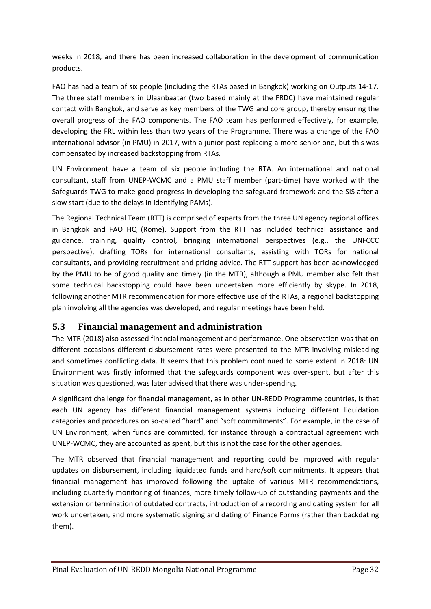weeks in 2018, and there has been increased collaboration in the development of communication products.

FAO has had a team of six people (including the RTAs based in Bangkok) working on Outputs 14-17. The three staff members in Ulaanbaatar (two based mainly at the FRDC) have maintained regular contact with Bangkok, and serve as key members of the TWG and core group, thereby ensuring the overall progress of the FAO components. The FAO team has performed effectively, for example, developing the FRL within less than two years of the Programme. There was a change of the FAO international advisor (in PMU) in 2017, with a junior post replacing a more senior one, but this was compensated by increased backstopping from RTAs.

UN Environment have a team of six people including the RTA. An international and national consultant, staff from UNEP-WCMC and a PMU staff member (part-time) have worked with the Safeguards TWG to make good progress in developing the safeguard framework and the SIS after a slow start (due to the delays in identifying PAMs).

The Regional Technical Team (RTT) is comprised of experts from the three UN agency regional offices in Bangkok and FAO HQ (Rome). Support from the RTT has included technical assistance and guidance, training, quality control, bringing international perspectives (e.g., the UNFCCC perspective), drafting TORs for international consultants, assisting with TORs for national consultants, and providing recruitment and pricing advice. The RTT support has been acknowledged by the PMU to be of good quality and timely (in the MTR), although a PMU member also felt that some technical backstopping could have been undertaken more efficiently by skype. In 2018, following another MTR recommendation for more effective use of the RTAs, a regional backstopping plan involving all the agencies was developed, and regular meetings have been held.

## **5.3 Financial management and administration**

The MTR (2018) also assessed financial management and performance. One observation was that on different occasions different disbursement rates were presented to the MTR involving misleading and sometimes conflicting data. It seems that this problem continued to some extent in 2018: UN Environment was firstly informed that the safeguards component was over-spent, but after this situation was questioned, was later advised that there was under-spending.

A significant challenge for financial management, as in other UN-REDD Programme countries, is that each UN agency has different financial management systems including different liquidation categories and procedures on so-called "hard" and "soft commitments". For example, in the case of UN Environment, when funds are committed, for instance through a contractual agreement with UNEP-WCMC, they are accounted as spent, but this is not the case for the other agencies.

The MTR observed that financial management and reporting could be improved with regular updates on disbursement, including liquidated funds and hard/soft commitments. It appears that financial management has improved following the uptake of various MTR recommendations, including quarterly monitoring of finances, more timely follow-up of outstanding payments and the extension or termination of outdated contracts, introduction of a recording and dating system for all work undertaken, and more systematic signing and dating of Finance Forms (rather than backdating them).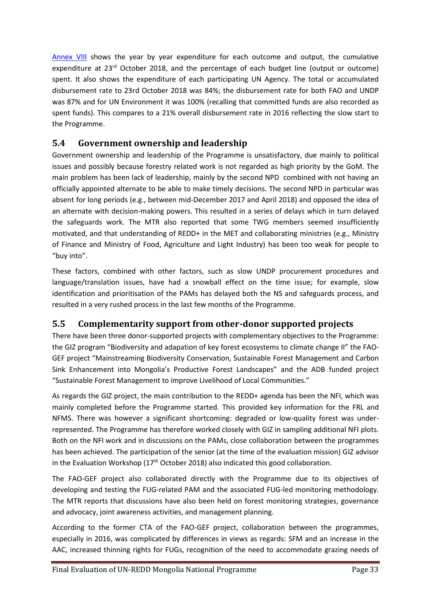[Annex](#page-76-0) VIII shows the year by year expenditure for each outcome and output, the cumulative expenditure at 23<sup>rd</sup> October 2018, and the percentage of each budget line (output or outcome) spent. It also shows the expenditure of each participating UN Agency. The total or accumulated disbursement rate to 23rd October 2018 was 84%; the disbursement rate for both FAO and UNDP was 87% and for UN Environment it was 100% (recalling that committed funds are also recorded as spent funds). This compares to a 21% overall disbursement rate in 2016 reflecting the slow start to the Programme.

## **5.4 Government ownership and leadership**

Government ownership and leadership of the Programme is unsatisfactory, due mainly to political issues and possibly because forestry related work is not regarded as high priority by the GoM. The main problem has been lack of leadership, mainly by the second NPD combined with not having an officially appointed alternate to be able to make timely decisions. The second NPD in particular was absent for long periods (e.g., between mid-December 2017 and April 2018) and opposed the idea of an alternate with decision-making powers. This resulted in a series of delays which in turn delayed the safeguards work. The MTR also reported that some TWG members seemed insufficiently motivated, and that understanding of REDD+ in the MET and collaborating ministries (e.g., Ministry of Finance and Ministry of Food, Agriculture and Light Industry) has been too weak for people to "buy into".

These factors, combined with other factors, such as slow UNDP procurement procedures and language/translation issues, have had a snowball effect on the time issue; for example, slow identification and prioritisation of the PAMs has delayed both the NS and safeguards process, and resulted in a very rushed process in the last few months of the Programme.

## **5.5 Complementarity support from other-donor supported projects**

There have been three donor-supported projects with complementary objectives to the Programme: the GIZ program "Biodiversity and adapation of key forest ecosystems to climate change II" the FAO-GEF project "Mainstreaming Biodiversity Conservation, Sustainable Forest Management and Carbon Sink Enhancement into Mongolia's Productive Forest Landscapes" and the ADB funded project "Sustainable Forest Management to improve Livelihood of Local Communities."

As regards the GIZ project, the main contribution to the REDD+ agenda has been the NFI, which was mainly completed before the Programme started. This provided key information for the FRL and NFMS. There was however a significant shortcoming: degraded or low-quality forest was underrepresented. The Programme has therefore worked closely with GIZ in sampling additional NFI plots. Both on the NFI work and in discussions on the PAMs, close collaboration between the programmes has been achieved. The participation of the senior (at the time of the evaluation mission) GIZ advisor in the Evaluation Workshop ( $17<sup>th</sup>$  October 2018) also indicated this good collaboration.

The FAO-GEF project also collaborated directly with the Programme due to its objectives of developing and testing the FUG-related PAM and the associated FUG-led monitoring methodology. The MTR reports that discussions have also been held on forest monitoring strategies, governance and advocacy, joint awareness activities, and management planning.

According to the former CTA of the FAO-GEF project, collaboration between the programmes, especially in 2016, was complicated by differences in views as regards: SFM and an increase in the AAC, increased thinning rights for FUGs, recognition of the need to accommodate grazing needs of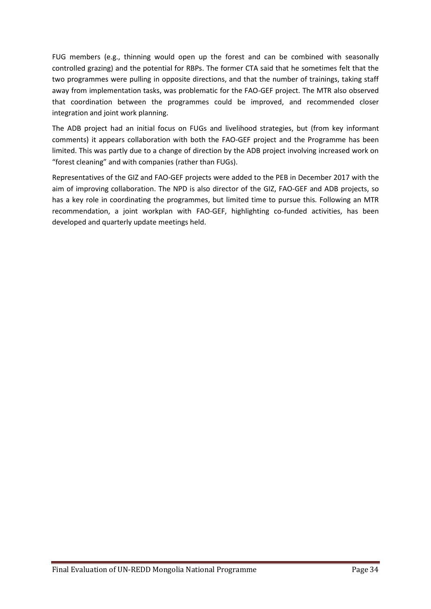FUG members (e.g., thinning would open up the forest and can be combined with seasonally controlled grazing) and the potential for RBPs. The former CTA said that he sometimes felt that the two programmes were pulling in opposite directions, and that the number of trainings, taking staff away from implementation tasks, was problematic for the FAO-GEF project. The MTR also observed that coordination between the programmes could be improved, and recommended closer integration and joint work planning.

The ADB project had an initial focus on FUGs and livelihood strategies, but (from key informant comments) it appears collaboration with both the FAO-GEF project and the Programme has been limited. This was partly due to a change of direction by the ADB project involving increased work on "forest cleaning" and with companies (rather than FUGs).

Representatives of the GIZ and FAO-GEF projects were added to the PEB in December 2017 with the aim of improving collaboration. The NPD is also director of the GIZ, FAO-GEF and ADB projects, so has a key role in coordinating the programmes, but limited time to pursue this. Following an MTR recommendation, a joint workplan with FAO-GEF, highlighting co-funded activities, has been developed and quarterly update meetings held.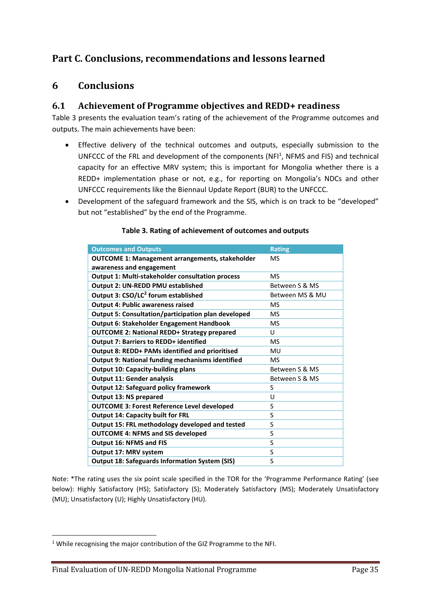## **Part C. Conclusions, recommendations and lessons learned**

### **6 Conclusions**

### **6.1 Achievement of Programme objectives and REDD+ readiness**

Table 3 presents the evaluation team's rating of the achievement of the Programme outcomes and outputs. The main achievements have been:

- Effective delivery of the technical outcomes and outputs, especially submission to the UNFCCC of the FRL and development of the components (NFI<sup>1</sup>, NFMS and FIS) and technical capacity for an effective MRV system; this is important for Mongolia whether there is a REDD+ implementation phase or not, e.g., for reporting on Mongolia's NDCs and other UNFCCC requirements like the Biennaul Update Report (BUR) to the UNFCCC.
- Development of the safeguard framework and the SIS, which is on track to be "developed" but not "established" by the end of the Programme.

| <b>Outcomes and Outputs</b>                             | <b>Rating</b>   |
|---------------------------------------------------------|-----------------|
| <b>OUTCOME 1: Management arrangements, stakeholder</b>  | <b>MS</b>       |
| awareness and engagement                                |                 |
| <b>Output 1: Multi-stakeholder consultation process</b> | <b>MS</b>       |
| Output 2: UN-REDD PMU established                       | Between S & MS  |
| Output 3: CSO/LC <sup>2</sup> forum established         | Between MS & MU |
| <b>Output 4: Public awareness raised</b>                | <b>MS</b>       |
| Output 5: Consultation/participation plan developed     | MS              |
| <b>Output 6: Stakeholder Engagement Handbook</b>        | <b>MS</b>       |
| <b>OUTCOME 2: National REDD+ Strategy prepared</b>      | U               |
| <b>Output 7: Barriers to REDD+ identified</b>           | <b>MS</b>       |
| Output 8: REDD+ PAMs identified and prioritised         | MU              |
| <b>Output 9: National funding mechanisms identified</b> | <b>MS</b>       |
| <b>Output 10: Capacity-building plans</b>               | Between S & MS  |
| <b>Output 11: Gender analysis</b>                       | Between S & MS  |
| <b>Output 12: Safeguard policy framework</b>            | S               |
| <b>Output 13: NS prepared</b>                           | U               |
| <b>OUTCOME 3: Forest Reference Level developed</b>      | S               |
| <b>Output 14: Capacity built for FRL</b>                | S               |
| Output 15: FRL methodology developed and tested         | S               |
| <b>OUTCOME 4: NFMS and SIS developed</b>                | S               |
| <b>Output 16: NFMS and FIS</b>                          | S               |
| Output 17: MRV system                                   | S               |
| <b>Output 18: Safeguards Information System (SIS)</b>   | S               |

### **Table 3. Rating of achievement of outcomes and outputs**

Note: \*The rating uses the six point scale specified in the TOR for the 'Programme Performance Rating' (see below): Highly Satisfactory (HS); Satisfactory (S); Moderately Satisfactory (MS); Moderately Unsatisfactory (MU); Unsatisfactory (U); Highly Unsatisfactory (HU).

 $1$  While recognising the major contribution of the GIZ Programme to the NFI.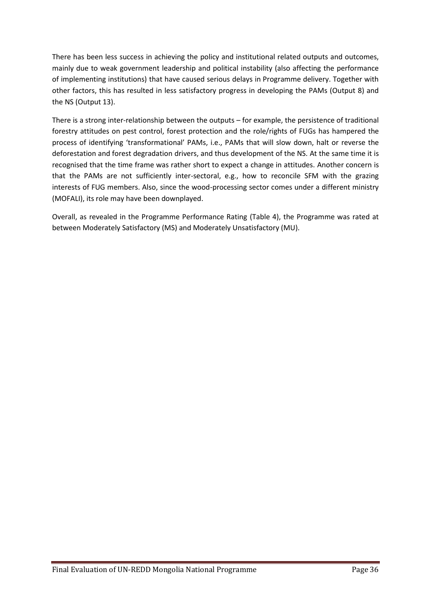There has been less success in achieving the policy and institutional related outputs and outcomes, mainly due to weak government leadership and political instability (also affecting the performance of implementing institutions) that have caused serious delays in Programme delivery. Together with other factors, this has resulted in less satisfactory progress in developing the PAMs (Output 8) and the NS (Output 13).

There is a strong inter-relationship between the outputs – for example, the persistence of traditional forestry attitudes on pest control, forest protection and the role/rights of FUGs has hampered the process of identifying 'transformational' PAMs, i.e., PAMs that will slow down, halt or reverse the deforestation and forest degradation drivers, and thus development of the NS. At the same time it is recognised that the time frame was rather short to expect a change in attitudes. Another concern is that the PAMs are not sufficiently inter-sectoral, e.g., how to reconcile SFM with the grazing interests of FUG members. Also, since the wood-processing sector comes under a different ministry (MOFALI), its role may have been downplayed.

Overall, as revealed in the Programme Performance Rating (Table 4), the Programme was rated at between Moderately Satisfactory (MS) and Moderately Unsatisfactory (MU).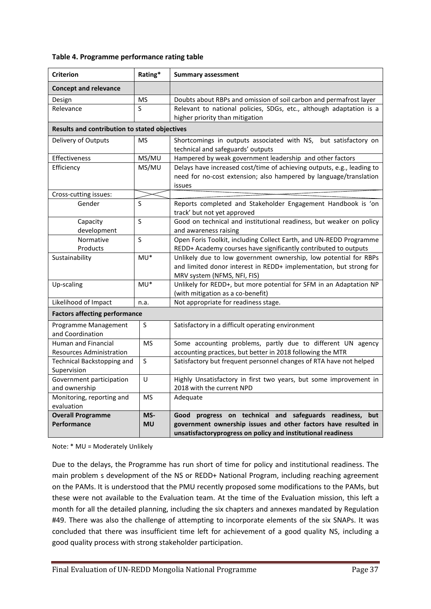#### **Table 4. Programme performance rating table**

| <b>Criterion</b>                              | Rating*                                                                      | <b>Summary assessment</b>                                                                                                              |  |
|-----------------------------------------------|------------------------------------------------------------------------------|----------------------------------------------------------------------------------------------------------------------------------------|--|
| <b>Concept and relevance</b>                  |                                                                              |                                                                                                                                        |  |
| Design                                        | <b>MS</b>                                                                    | Doubts about RBPs and omission of soil carbon and permafrost layer                                                                     |  |
| Relevance                                     | S                                                                            | Relevant to national policies, SDGs, etc., although adaptation is a                                                                    |  |
|                                               |                                                                              | higher priority than mitigation                                                                                                        |  |
| Results and contribution to stated objectives |                                                                              |                                                                                                                                        |  |
| Delivery of Outputs                           | <b>MS</b>                                                                    | Shortcomings in outputs associated with NS, but satisfactory on                                                                        |  |
|                                               |                                                                              | technical and safeguards' outputs                                                                                                      |  |
| Effectiveness                                 | MS/MU                                                                        | Hampered by weak government leadership and other factors                                                                               |  |
| Efficiency                                    | MS/MU                                                                        | Delays have increased cost/time of achieving outputs, e.g., leading to                                                                 |  |
|                                               |                                                                              | need for no-cost extension; also hampered by language/translation                                                                      |  |
|                                               |                                                                              | issues                                                                                                                                 |  |
| Cross-cutting issues:                         |                                                                              |                                                                                                                                        |  |
| Gender                                        | S                                                                            | Reports completed and Stakeholder Engagement Handbook is 'on                                                                           |  |
|                                               |                                                                              | track' but not yet approved                                                                                                            |  |
| Capacity                                      | S                                                                            | Good on technical and institutional readiness, but weaker on policy                                                                    |  |
| development                                   |                                                                              | and awareness raising                                                                                                                  |  |
| Normative                                     | S                                                                            | Open Foris Toolkit, including Collect Earth, and UN-REDD Programme                                                                     |  |
| Products                                      | $MU^*$                                                                       | REDD+ Academy courses have significantly contributed to outputs                                                                        |  |
| Sustainability                                |                                                                              | Unlikely due to low government ownership, low potential for RBPs<br>and limited donor interest in REDD+ implementation, but strong for |  |
|                                               |                                                                              | MRV system (NFMS, NFI, FIS)                                                                                                            |  |
| Up-scaling                                    | Unlikely for REDD+, but more potential for SFM in an Adaptation NP<br>$MU^*$ |                                                                                                                                        |  |
|                                               |                                                                              | (with mitigation as a co-benefit)                                                                                                      |  |
| Likelihood of Impact                          | n.a.                                                                         | Not appropriate for readiness stage.                                                                                                   |  |
| <b>Factors affecting performance</b>          |                                                                              |                                                                                                                                        |  |
| Programme Management                          | S                                                                            | Satisfactory in a difficult operating environment                                                                                      |  |
| and Coordination                              |                                                                              |                                                                                                                                        |  |
| Human and Financial                           | <b>MS</b>                                                                    | Some accounting problems, partly due to different UN agency                                                                            |  |
| <b>Resources Administration</b>               |                                                                              | accounting practices, but better in 2018 following the MTR                                                                             |  |
| Technical Backstopping and                    | S                                                                            | Satisfactory but frequent personnel changes of RTA have not helped                                                                     |  |
| Supervision                                   |                                                                              |                                                                                                                                        |  |
| Government participation                      | U                                                                            | Highly Unsatisfactory in first two years, but some improvement in                                                                      |  |
| and ownership                                 |                                                                              | 2018 with the current NPD                                                                                                              |  |
| Monitoring, reporting and                     | <b>MS</b>                                                                    | Adequate                                                                                                                               |  |
| evaluation                                    |                                                                              |                                                                                                                                        |  |
| <b>Overall Programme</b>                      | MS-                                                                          | progress on technical and safeguards readiness, but<br>Good                                                                            |  |
| <b>Performance</b>                            | <b>MU</b>                                                                    | government ownership issues and other factors have resulted in                                                                         |  |
|                                               |                                                                              | unsatisfactoryprogress on policy and institutional readiness                                                                           |  |

Note: \* MU = Moderately Unlikely

Due to the delays, the Programme has run short of time for policy and institutional readiness. The main problem s development of the NS or REDD+ National Program, including reaching agreement on the PAMs. It is understood that the PMU recently proposed some modifications to the PAMs, but these were not available to the Evaluation team. At the time of the Evaluation mission, this left a month for all the detailed planning, including the six chapters and annexes mandated by Regulation #49. There was also the challenge of attempting to incorporate elements of the six SNAPs. It was concluded that there was insufficient time left for achievement of a good quality NS, including a good quality process with strong stakeholder participation.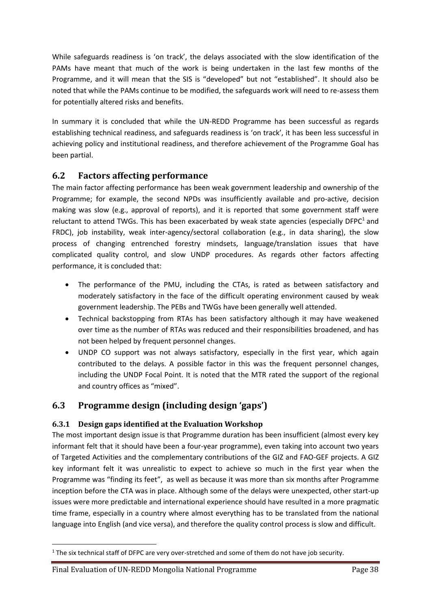While safeguards readiness is 'on track', the delays associated with the slow identification of the PAMs have meant that much of the work is being undertaken in the last few months of the Programme, and it will mean that the SIS is "developed" but not "established". It should also be noted that while the PAMs continue to be modified, the safeguards work will need to re-assess them for potentially altered risks and benefits.

In summary it is concluded that while the UN-REDD Programme has been successful as regards establishing technical readiness, and safeguards readiness is 'on track', it has been less successful in achieving policy and institutional readiness, and therefore achievement of the Programme Goal has been partial.

## **6.2 Factors affecting performance**

The main factor affecting performance has been weak government leadership and ownership of the Programme; for example, the second NPDs was insufficiently available and pro-active, decision making was slow (e.g., approval of reports), and it is reported that some government staff were reluctant to attend TWGs. This has been exacerbated by weak state agencies (especially  $DFPC<sup>1</sup>$  and FRDC), job instability, weak inter-agency/sectoral collaboration (e.g., in data sharing), the slow process of changing entrenched forestry mindsets, language/translation issues that have complicated quality control, and slow UNDP procedures. As regards other factors affecting performance, it is concluded that:

- The performance of the PMU, including the CTAs, is rated as between satisfactory and moderately satisfactory in the face of the difficult operating environment caused by weak government leadership. The PEBs and TWGs have been generally well attended.
- Technical backstopping from RTAs has been satisfactory although it may have weakened over time as the number of RTAs was reduced and their responsibilities broadened, and has not been helped by frequent personnel changes.
- UNDP CO support was not always satisfactory, especially in the first year, which again contributed to the delays. A possible factor in this was the frequent personnel changes, including the UNDP Focal Point. It is noted that the MTR rated the support of the regional and country offices as "mixed".

## **6.3 Programme design (including design 'gaps')**

### **6.3.1 Design gaps identified at the Evaluation Workshop**

The most important design issue is that Programme duration has been insufficient (almost every key informant felt that it should have been a four-year programme), even taking into account two years of Targeted Activities and the complementary contributions of the GIZ and FAO-GEF projects. A GIZ key informant felt it was unrealistic to expect to achieve so much in the first year when the Programme was "finding its feet", as well as because it was more than six months after Programme inception before the CTA was in place. Although some of the delays were unexpected, other start-up issues were more predictable and international experience should have resulted in a more pragmatic time frame, especially in a country where almost everything has to be translated from the national language into English (and vice versa), and therefore the quality control process is slow and difficult.

<sup>&</sup>lt;sup>1</sup> The six technical staff of DFPC are very over-stretched and some of them do not have job security.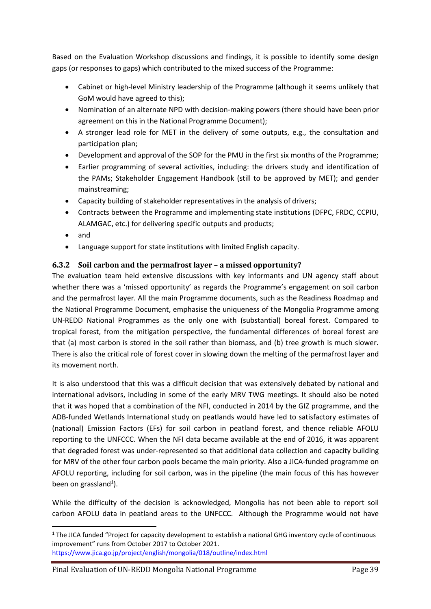Based on the Evaluation Workshop discussions and findings, it is possible to identify some design gaps (or responses to gaps) which contributed to the mixed success of the Programme:

- Cabinet or high-level Ministry leadership of the Programme (although it seems unlikely that GoM would have agreed to this);
- Nomination of an alternate NPD with decision-making powers (there should have been prior agreement on this in the National Programme Document);
- A stronger lead role for MET in the delivery of some outputs, e.g., the consultation and participation plan;
- Development and approval of the SOP for the PMU in the first six months of the Programme;
- Earlier programming of several activities, including: the drivers study and identification of the PAMs; Stakeholder Engagement Handbook (still to be approved by MET); and gender mainstreaming;
- Capacity building of stakeholder representatives in the analysis of drivers;
- Contracts between the Programme and implementing state institutions (DFPC, FRDC, CCPIU, ALAMGAC, etc.) for delivering specific outputs and products;
- and
- Language support for state institutions with limited English capacity.

### **6.3.2 Soil carbon and the permafrost layer – a missed opportunity?**

The evaluation team held extensive discussions with key informants and UN agency staff about whether there was a 'missed opportunity' as regards the Programme's engagement on soil carbon and the permafrost layer. All the main Programme documents, such as the Readiness Roadmap and the National Programme Document, emphasise the uniqueness of the Mongolia Programme among UN-REDD National Programmes as the only one with (substantial) boreal forest. Compared to tropical forest, from the mitigation perspective, the fundamental differences of boreal forest are that (a) most carbon is stored in the soil rather than biomass, and (b) tree growth is much slower. There is also the critical role of forest cover in slowing down the melting of the permafrost layer and its movement north.

It is also understood that this was a difficult decision that was extensively debated by national and international advisors, including in some of the early MRV TWG meetings. It should also be noted that it was hoped that a combination of the NFI, conducted in 2014 by the GIZ programme, and the ADB-funded Wetlands International study on peatlands would have led to satisfactory estimates of (national) Emission Factors (EFs) for soil carbon in peatland forest, and thence reliable AFOLU reporting to the UNFCCC. When the NFI data became available at the end of 2016, it was apparent that degraded forest was under-represented so that additional data collection and capacity building for MRV of the other four carbon pools became the main priority. Also a JICA-funded programme on AFOLU reporting, including for soil carbon, was in the pipeline (the main focus of this has however been on grassland<sup>1</sup>).

While the difficulty of the decision is acknowledged, Mongolia has not been able to report soil carbon AFOLU data in peatland areas to the UNFCCC. Although the Programme would not have

<sup>&</sup>lt;sup>1</sup> The JICA funded "Project for capacity development to establish a national GHG inventory cycle of continuous improvement" runs from October 2017 to October 2021. <https://www.jica.go.jp/project/english/mongolia/018/outline/index.html>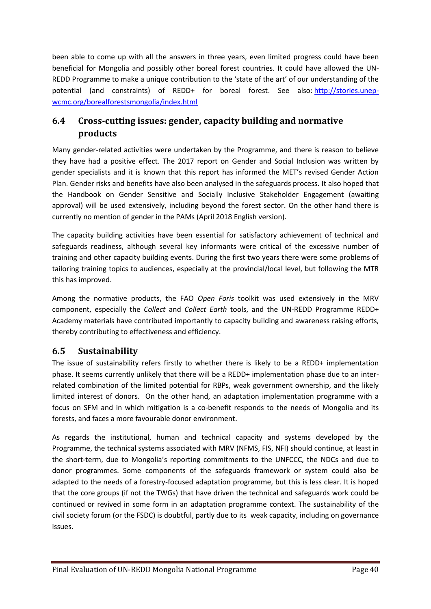been able to come up with all the answers in three years, even limited progress could have been beneficial for Mongolia and possibly other boreal forest countries. It could have allowed the UN-REDD Programme to make a unique contribution to the 'state of the art' of our understanding of the potential (and constraints) of REDD+ for boreal forest. See also: [http://stories.unep](http://stories.unep-wcmc.org/borealforestsmongolia/index.html)[wcmc.org/borealforestsmongolia/index.html](http://stories.unep-wcmc.org/borealforestsmongolia/index.html) 

## **6.4 Cross-cutting issues: gender, capacity building and normative products**

Many gender-related activities were undertaken by the Programme, and there is reason to believe they have had a positive effect. The 2017 report on Gender and Social Inclusion was written by gender specialists and it is known that this report has informed the MET's revised Gender Action Plan. Gender risks and benefits have also been analysed in the safeguards process. It also hoped that the Handbook on Gender Sensitive and Socially Inclusive Stakeholder Engagement (awaiting approval) will be used extensively, including beyond the forest sector. On the other hand there is currently no mention of gender in the PAMs (April 2018 English version).

The capacity building activities have been essential for satisfactory achievement of technical and safeguards readiness, although several key informants were critical of the excessive number of training and other capacity building events. During the first two years there were some problems of tailoring training topics to audiences, especially at the provincial/local level, but following the MTR this has improved.

Among the normative products, the FAO *Open Foris* toolkit was used extensively in the MRV component, especially the *Collect* and *Collect Earth* tools, and the UN-REDD Programme REDD+ Academy materials have contributed importantly to capacity building and awareness raising efforts, thereby contributing to effectiveness and efficiency.

## **6.5 Sustainability**

The issue of sustainability refers firstly to whether there is likely to be a REDD+ implementation phase. It seems currently unlikely that there will be a REDD+ implementation phase due to an interrelated combination of the limited potential for RBPs, weak government ownership, and the likely limited interest of donors. On the other hand, an adaptation implementation programme with a focus on SFM and in which mitigation is a co-benefit responds to the needs of Mongolia and its forests, and faces a more favourable donor environment.

As regards the institutional, human and technical capacity and systems developed by the Programme, the technical systems associated with MRV (NFMS, FIS, NFI) should continue, at least in the short-term, due to Mongolia's reporting commitments to the UNFCCC, the NDCs and due to donor programmes. Some components of the safeguards framework or system could also be adapted to the needs of a forestry-focused adaptation programme, but this is less clear. It is hoped that the core groups (if not the TWGs) that have driven the technical and safeguards work could be continued or revived in some form in an adaptation programme context. The sustainability of the civil society forum (or the FSDC) is doubtful, partly due to its weak capacity, including on governance issues.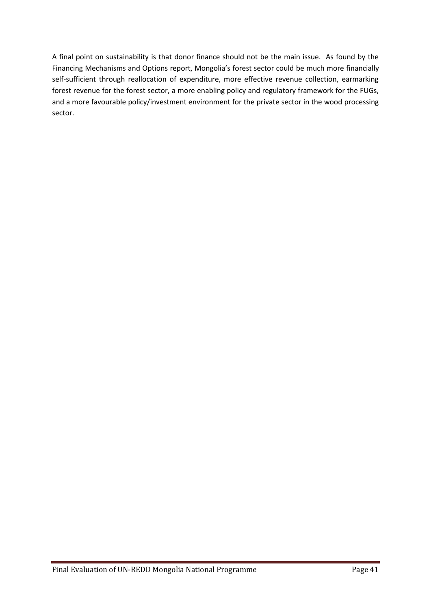A final point on sustainability is that donor finance should not be the main issue. As found by the Financing Mechanisms and Options report, Mongolia's forest sector could be much more financially self-sufficient through reallocation of expenditure, more effective revenue collection, earmarking forest revenue for the forest sector, a more enabling policy and regulatory framework for the FUGs, and a more favourable policy/investment environment for the private sector in the wood processing sector.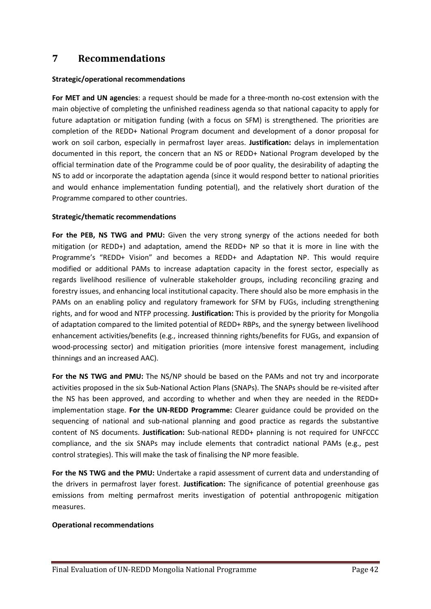## **7 Recommendations**

#### **Strategic/operational recommendations**

**For MET and UN agencies**: a request should be made for a three-month no-cost extension with the main objective of completing the unfinished readiness agenda so that national capacity to apply for future adaptation or mitigation funding (with a focus on SFM) is strengthened. The priorities are completion of the REDD+ National Program document and development of a donor proposal for work on soil carbon, especially in permafrost layer areas. **Justification:** delays in implementation documented in this report, the concern that an NS or REDD+ National Program developed by the official termination date of the Programme could be of poor quality, the desirability of adapting the NS to add or incorporate the adaptation agenda (since it would respond better to national priorities and would enhance implementation funding potential), and the relatively short duration of the Programme compared to other countries.

#### **Strategic/thematic recommendations**

**For the PEB, NS TWG and PMU:** Given the very strong synergy of the actions needed for both mitigation (or REDD+) and adaptation, amend the REDD+ NP so that it is more in line with the Programme's "REDD+ Vision" and becomes a REDD+ and Adaptation NP. This would require modified or additional PAMs to increase adaptation capacity in the forest sector, especially as regards livelihood resilience of vulnerable stakeholder groups, including reconciling grazing and forestry issues, and enhancing local institutional capacity. There should also be more emphasis in the PAMs on an enabling policy and regulatory framework for SFM by FUGs, including strengthening rights, and for wood and NTFP processing. **Justification:** This is provided by the priority for Mongolia of adaptation compared to the limited potential of REDD+ RBPs, and the synergy between livelihood enhancement activities/benefits (e.g., increased thinning rights/benefits for FUGs, and expansion of wood-processing sector) and mitigation priorities (more intensive forest management, including thinnings and an increased AAC).

**For the NS TWG and PMU:** The NS/NP should be based on the PAMs and not try and incorporate activities proposed in the six Sub-National Action Plans (SNAPs). The SNAPs should be re-visited after the NS has been approved, and according to whether and when they are needed in the REDD+ implementation stage. **For the UN-REDD Programme:** Clearer guidance could be provided on the sequencing of national and sub-national planning and good practice as regards the substantive content of NS documents. **Justification:** Sub-national REDD+ planning is not required for UNFCCC compliance, and the six SNAPs may include elements that contradict national PAMs (e.g., pest control strategies). This will make the task of finalising the NP more feasible.

**For the NS TWG and the PMU:** Undertake a rapid assessment of current data and understanding of the drivers in permafrost layer forest. **Justification:** The significance of potential greenhouse gas emissions from melting permafrost merits investigation of potential anthropogenic mitigation measures.

### **Operational recommendations**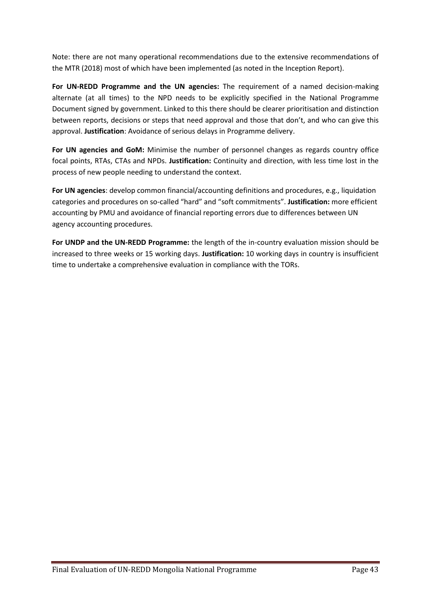Note: there are not many operational recommendations due to the extensive recommendations of the MTR (2018) most of which have been implemented (as noted in the Inception Report).

**For UN-REDD Programme and the UN agencies:** The requirement of a named decision-making alternate (at all times) to the NPD needs to be explicitly specified in the National Programme Document signed by government. Linked to this there should be clearer prioritisation and distinction between reports, decisions or steps that need approval and those that don't, and who can give this approval. **Justification**: Avoidance of serious delays in Programme delivery.

**For UN agencies and GoM:** Minimise the number of personnel changes as regards country office focal points, RTAs, CTAs and NPDs. **Justification:** Continuity and direction, with less time lost in the process of new people needing to understand the context.

**For UN agencies**: develop common financial/accounting definitions and procedures, e.g., liquidation categories and procedures on so-called "hard" and "soft commitments". **Justification:** more efficient accounting by PMU and avoidance of financial reporting errors due to differences between UN agency accounting procedures.

**For UNDP and the UN-REDD Programme:** the length of the in-country evaluation mission should be increased to three weeks or 15 working days. **Justification:** 10 working days in country is insufficient time to undertake a comprehensive evaluation in compliance with the TORs.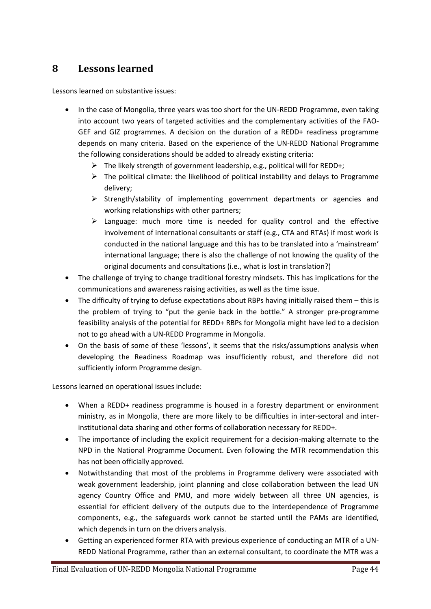## **8 Lessons learned**

Lessons learned on substantive issues:

- In the case of Mongolia, three years was too short for the UN-REDD Programme, even taking into account two years of targeted activities and the complementary activities of the FAO-GEF and GIZ programmes. A decision on the duration of a REDD+ readiness programme depends on many criteria. Based on the experience of the UN-REDD National Programme the following considerations should be added to already existing criteria:
	- ➢ The likely strength of government leadership, e.g., political will for REDD+;
	- $\triangleright$  The political climate: the likelihood of political instability and delays to Programme delivery;
	- ➢ Strength/stability of implementing government departments or agencies and working relationships with other partners;
	- ➢ Language: much more time is needed for quality control and the effective involvement of international consultants or staff (e.g., CTA and RTAs) if most work is conducted in the national language and this has to be translated into a 'mainstream' international language; there is also the challenge of not knowing the quality of the original documents and consultations (i.e., what is lost in translation?)
- The challenge of trying to change traditional forestry mindsets. This has implications for the communications and awareness raising activities, as well as the time issue.
- The difficulty of trying to defuse expectations about RBPs having initially raised them this is the problem of trying to "put the genie back in the bottle." A stronger pre-programme feasibility analysis of the potential for REDD+ RBPs for Mongolia might have led to a decision not to go ahead with a UN-REDD Programme in Mongolia.
- On the basis of some of these 'lessons', it seems that the risks/assumptions analysis when developing the Readiness Roadmap was insufficiently robust, and therefore did not sufficiently inform Programme design.

Lessons learned on operational issues include:

- When a REDD+ readiness programme is housed in a forestry department or environment ministry, as in Mongolia, there are more likely to be difficulties in inter-sectoral and interinstitutional data sharing and other forms of collaboration necessary for REDD+.
- The importance of including the explicit requirement for a decision-making alternate to the NPD in the National Programme Document. Even following the MTR recommendation this has not been officially approved.
- Notwithstanding that most of the problems in Programme delivery were associated with weak government leadership, joint planning and close collaboration between the lead UN agency Country Office and PMU, and more widely between all three UN agencies, is essential for efficient delivery of the outputs due to the interdependence of Programme components, e.g., the safeguards work cannot be started until the PAMs are identified, which depends in turn on the drivers analysis.
- Getting an experienced former RTA with previous experience of conducting an MTR of a UN-REDD National Programme, rather than an external consultant, to coordinate the MTR was a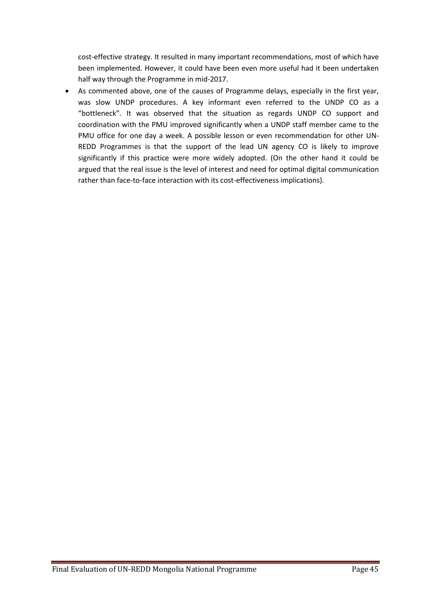cost-effective strategy. It resulted in many important recommendations, most of which have been implemented. However, it could have been even more useful had it been undertaken half way through the Programme in mid-2017.

• As commented above, one of the causes of Programme delays, especially in the first year, was slow UNDP procedures. A key informant even referred to the UNDP CO as a "bottleneck". It was observed that the situation as regards UNDP CO support and coordination with the PMU improved significantly when a UNDP staff member came to the PMU office for one day a week. A possible lesson or even recommendation for other UN-REDD Programmes is that the support of the lead UN agency CO is likely to improve significantly if this practice were more widely adopted. (On the other hand it could be argued that the real issue is the level of interest and need for optimal digital communication rather than face-to-face interaction with its cost-effectiveness implications).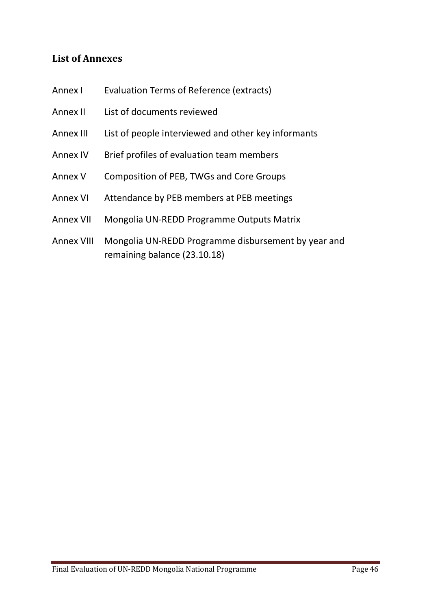## **List of Annexes**

- Annex I Evaluation Terms of Reference (extracts)
- Annex II List of documents reviewed
- Annex III List of people interviewed and other key informants
- Annex IV Brief profiles of evaluation team members
- Annex V Composition of PEB, TWGs and Core Groups
- Annex VI Attendance by PEB members at PEB meetings
- Annex VII Mongolia UN-REDD Programme Outputs Matrix
- Annex VIII Mongolia UN-REDD Programme disbursement by year and remaining balance (23.10.18)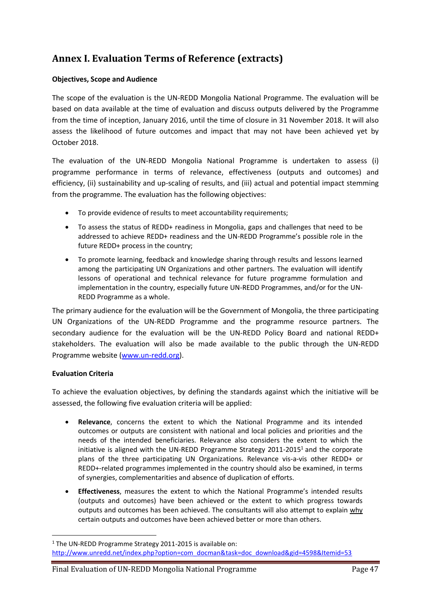## **Annex I. Evaluation Terms of Reference (extracts)**

#### **Objectives, Scope and Audience**

The scope of the evaluation is the UN-REDD Mongolia National Programme. The evaluation will be based on data available at the time of evaluation and discuss outputs delivered by the Programme from the time of inception, January 2016, until the time of closure in 31 November 2018. It will also assess the likelihood of future outcomes and impact that may not have been achieved yet by October 2018.

The evaluation of the UN-REDD Mongolia National Programme is undertaken to assess (i) programme performance in terms of relevance, effectiveness (outputs and outcomes) and efficiency, (ii) sustainability and up-scaling of results, and (iii) actual and potential impact stemming from the programme. The evaluation has the following objectives:

- To provide evidence of results to meet accountability requirements;
- To assess the status of REDD+ readiness in Mongolia, gaps and challenges that need to be addressed to achieve REDD+ readiness and the UN-REDD Programme's possible role in the future REDD+ process in the country;
- To promote learning, feedback and knowledge sharing through results and lessons learned among the participating UN Organizations and other partners. The evaluation will identify lessons of operational and technical relevance for future programme formulation and implementation in the country, especially future UN-REDD Programmes, and/or for the UN-REDD Programme as a whole.

The primary audience for the evaluation will be the Government of Mongolia, the three participating UN Organizations of the UN-REDD Programme and the programme resource partners. The secondary audience for the evaluation will be the UN-REDD Policy Board and national REDD+ stakeholders. The evaluation will also be made available to the public through the UN-REDD Programme website [\(www.un-redd.org\)](http://www.un-redd.org/).

#### **Evaluation Criteria**

To achieve the evaluation objectives, by defining the standards against which the initiative will be assessed, the following five evaluation criteria will be applied:

- **Relevance**, concerns the extent to which the National Programme and its intended outcomes or outputs are consistent with national and local policies and priorities and the needs of the intended beneficiaries. Relevance also considers the extent to which the initiative is aligned with the UN-REDD Programme Strategy  $2011$ - $2015<sup>1</sup>$  and the corporate plans of the three participating UN Organizations. Relevance vis-a-vis other REDD+ or REDD+-related programmes implemented in the country should also be examined, in terms of synergies, complementarities and absence of duplication of efforts.
- **Effectiveness**, measures the extent to which the National Programme's intended results (outputs and outcomes) have been achieved or the extent to which progress towards outputs and outcomes has been achieved. The consultants will also attempt to explain why certain outputs and outcomes have been achieved better or more than others.

 $1$  The UN-REDD Programme Strategy 2011-2015 is available on: [http://www.unredd.net/index.php?option=com\\_docman&task=doc\\_download&gid=4598&Itemid=53](http://www.unredd.net/index.php?option=com_docman&task=doc_download&gid=4598&Itemid=53)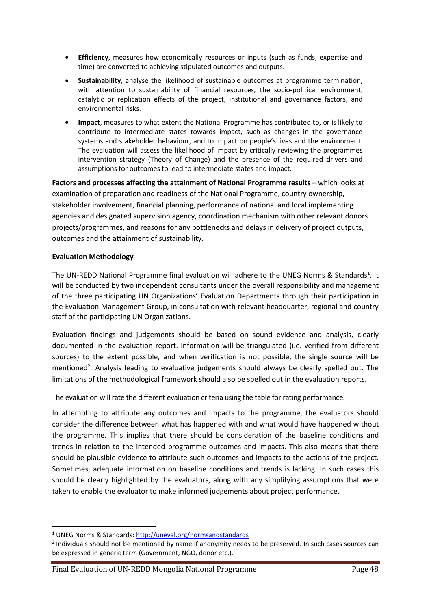- **Efficiency**, measures how economically resources or inputs (such as funds, expertise and time) are converted to achieving stipulated outcomes and outputs.
- **Sustainability**, analyse the likelihood of sustainable outcomes at programme termination, with attention to sustainability of financial resources, the socio-political environment, catalytic or replication effects of the project, institutional and governance factors, and environmental risks.
- **Impact**, measures to what extent the National Programme has contributed to, or is likely to contribute to intermediate states towards impact, such as changes in the governance systems and stakeholder behaviour, and to impact on people's lives and the environment. The evaluation will assess the likelihood of impact by critically reviewing the programmes intervention strategy (Theory of Change) and the presence of the required drivers and assumptions for outcomes to lead to intermediate states and impact.

Factors and processes affecting the attainment of National Programme results – which looks at examination of preparation and readiness of the National Programme, country ownership, stakeholder involvement, financial planning, performance of national and local implementing agencies and designated supervision agency, coordination mechanism with other relevant donors projects/programmes, and reasons for any bottlenecks and delays in delivery of project outputs, outcomes and the attainment of sustainability.

### **Evaluation Methodology**

The UN-REDD National Programme final evaluation will adhere to the UNEG Norms & Standards<sup>1</sup>. It will be conducted by two independent consultants under the overall responsibility and management of the three participating UN Organizations' Evaluation Departments through their participation in the Evaluation Management Group, in consultation with relevant headquarter, regional and country staff of the participating UN Organizations.

Evaluation findings and judgements should be based on sound evidence and analysis, clearly documented in the evaluation report. Information will be triangulated (i.e. verified from different sources) to the extent possible, and when verification is not possible, the single source will be mentioned<sup>2</sup>. Analysis leading to evaluative judgements should always be clearly spelled out. The limitations of the methodological framework should also be spelled out in the evaluation reports.

The evaluation will rate the different evaluation criteria using the table for rating performance.

In attempting to attribute any outcomes and impacts to the programme, the evaluators should consider the difference between what has happened with and what would have happened without the programme. This implies that there should be consideration of the baseline conditions and trends in relation to the intended programme outcomes and impacts. This also means that there should be plausible evidence to attribute such outcomes and impacts to the actions of the project. Sometimes, adequate information on baseline conditions and trends is lacking. In such cases this should be clearly highlighted by the evaluators, along with any simplifying assumptions that were taken to enable the evaluator to make informed judgements about project performance.

<sup>1</sup> UNEG Norms & Standards:<http://uneval.org/normsandstandards>

<sup>&</sup>lt;sup>2</sup> Individuals should not be mentioned by name if anonymity needs to be preserved. In such cases sources can be expressed in generic term (Government, NGO, donor etc.).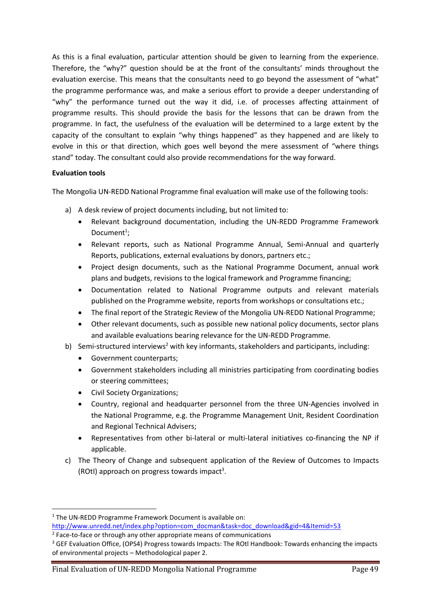As this is a final evaluation, particular attention should be given to learning from the experience. Therefore, the "why?" question should be at the front of the consultants' minds throughout the evaluation exercise. This means that the consultants need to go beyond the assessment of "what" the programme performance was, and make a serious effort to provide a deeper understanding of "why" the performance turned out the way it did, i.e. of processes affecting attainment of programme results. This should provide the basis for the lessons that can be drawn from the programme. In fact, the usefulness of the evaluation will be determined to a large extent by the capacity of the consultant to explain "why things happened" as they happened and are likely to evolve in this or that direction, which goes well beyond the mere assessment of "where things stand" today. The consultant could also provide recommendations for the way forward.

#### **Evaluation tools**

The Mongolia UN-REDD National Programme final evaluation will make use of the following tools:

- a) A desk review of project documents including, but not limited to:
	- Relevant background documentation, including the UN-REDD Programme Framework Document<sup>1</sup>;
	- Relevant reports, such as National Programme Annual, Semi-Annual and quarterly Reports, publications, external evaluations by donors, partners etc.;
	- Project design documents, such as the National Programme Document, annual work plans and budgets, revisions to the logical framework and Programme financing;
	- Documentation related to National Programme outputs and relevant materials published on the Programme website, reports from workshops or consultations etc.;
	- The final report of the Strategic Review of the Mongolia UN-REDD National Programme;
	- Other relevant documents, such as possible new national policy documents, sector plans and available evaluations bearing relevance for the UN-REDD Programme.
- b) Semi-structured interviews<sup>2</sup> with key informants, stakeholders and participants, including:
	- Government counterparts;
	- Government stakeholders including all ministries participating from coordinating bodies or steering committees;
	- Civil Society Organizations;
	- Country, regional and headquarter personnel from the three UN-Agencies involved in the National Programme, e.g. the Programme Management Unit, Resident Coordination and Regional Technical Advisers;
	- Representatives from other bi-lateral or multi-lateral initiatives co-financing the NP if applicable.
- c) The Theory of Change and subsequent application of the Review of Outcomes to Impacts (ROtI) approach on progress towards impact<sup>3</sup>.

<sup>&</sup>lt;sup>1</sup> The UN-REDD Programme Framework Document is available on: [http://www.unredd.net/index.php?option=com\\_docman&task=doc\\_download&gid=4&Itemid=53](http://www.unredd.net/index.php?option=com_docman&task=doc_download&gid=4&Itemid=53)

<sup>&</sup>lt;sup>2</sup> Face-to-face or through any other appropriate means of communications

<sup>&</sup>lt;sup>3</sup> GEF Evaluation Office, (OPS4) Progress towards Impacts: The ROtl Handbook: Towards enhancing the impacts of environmental projects – Methodological paper 2.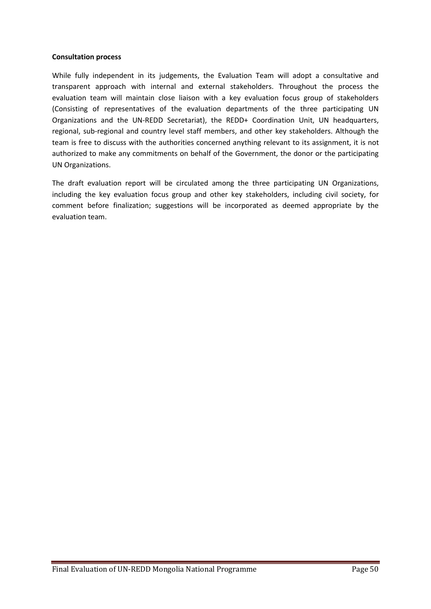#### **Consultation process**

While fully independent in its judgements, the Evaluation Team will adopt a consultative and transparent approach with internal and external stakeholders. Throughout the process the evaluation team will maintain close liaison with a key evaluation focus group of stakeholders (Consisting of representatives of the evaluation departments of the three participating UN Organizations and the UN-REDD Secretariat), the REDD+ Coordination Unit, UN headquarters, regional, sub-regional and country level staff members, and other key stakeholders. Although the team is free to discuss with the authorities concerned anything relevant to its assignment, it is not authorized to make any commitments on behalf of the Government, the donor or the participating UN Organizations.

The draft evaluation report will be circulated among the three participating UN Organizations, including the key evaluation focus group and other key stakeholders, including civil society, for comment before finalization; suggestions will be incorporated as deemed appropriate by the evaluation team.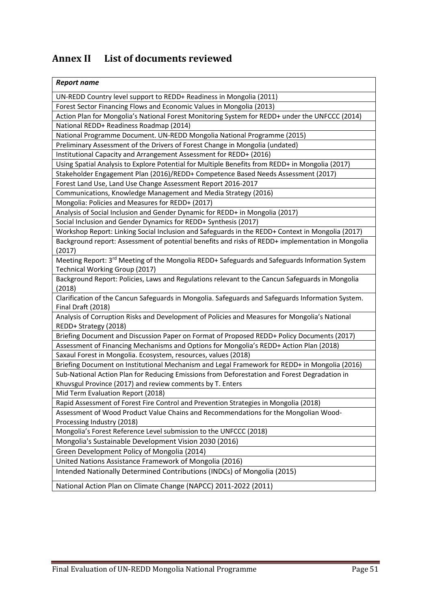# **Annex II List of documents reviewed**

| <b>Report name</b>                                                                                |
|---------------------------------------------------------------------------------------------------|
| UN-REDD Country level support to REDD+ Readiness in Mongolia (2011)                               |
| Forest Sector Financing Flows and Economic Values in Mongolia (2013)                              |
| Action Plan for Mongolia's National Forest Monitoring System for REDD+ under the UNFCCC (2014)    |
| National REDD+ Readiness Roadmap (2014)                                                           |
| National Programme Document. UN-REDD Mongolia National Programme (2015)                           |
| Preliminary Assessment of the Drivers of Forest Change in Mongolia (undated)                      |
| Institutional Capacity and Arrangement Assessment for REDD+ (2016)                                |
| Using Spatial Analysis to Explore Potential for Multiple Benefits from REDD+ in Mongolia (2017)   |
| Stakeholder Engagement Plan (2016)/REDD+ Competence Based Needs Assessment (2017)                 |
| Forest Land Use, Land Use Change Assessment Report 2016-2017                                      |
| Communications, Knowledge Management and Media Strategy (2016)                                    |
| Mongolia: Policies and Measures for REDD+ (2017)                                                  |
| Analysis of Social Inclusion and Gender Dynamic for REDD+ in Mongolia (2017)                      |
| Social Inclusion and Gender Dynamics for REDD+ Synthesis (2017)                                   |
| Workshop Report: Linking Social Inclusion and Safeguards in the REDD+ Context in Mongolia (2017)  |
| Background report: Assessment of potential benefits and risks of REDD+ implementation in Mongolia |
| (2017)                                                                                            |
| Meeting Report: 3rd Meeting of the Mongolia REDD+ Safeguards and Safeguards Information System    |
| <b>Technical Working Group (2017)</b>                                                             |
| Background Report: Policies, Laws and Regulations relevant to the Cancun Safeguards in Mongolia   |
| (2018)                                                                                            |
| Clarification of the Cancun Safeguards in Mongolia. Safeguards and Safeguards Information System. |
| Final Draft (2018)                                                                                |
| Analysis of Corruption Risks and Development of Policies and Measures for Mongolia's National     |
| REDD+ Strategy (2018)                                                                             |
| Briefing Document and Discussion Paper on Format of Proposed REDD+ Policy Documents (2017)        |
| Assessment of Financing Mechanisms and Options for Mongolia's REDD+ Action Plan (2018)            |
| Saxaul Forest in Mongolia. Ecosystem, resources, values (2018)                                    |
| Briefing Document on Institutional Mechanism and Legal Framework for REDD+ in Mongolia (2016)     |
| Sub-National Action Plan for Reducing Emissions from Deforestation and Forest Degradation in      |
| Khuvsgul Province (2017) and review comments by T. Enters                                         |
| Mid Term Evaluation Report (2018)                                                                 |
| Rapid Assessment of Forest Fire Control and Prevention Strategies in Mongolia (2018)              |
| Assessment of Wood Product Value Chains and Recommendations for the Mongolian Wood-               |
| Processing Industry (2018)                                                                        |
| Mongolia's Forest Reference Level submission to the UNFCCC (2018)                                 |
| Mongolia's Sustainable Development Vision 2030 (2016)                                             |
| Green Development Policy of Mongolia (2014)                                                       |
| United Nations Assistance Framework of Mongolia (2016)                                            |
| Intended Nationally Determined Contributions (INDCs) of Mongolia (2015)                           |
| National Action Plan on Climate Change (NAPCC) 2011-2022 (2011)                                   |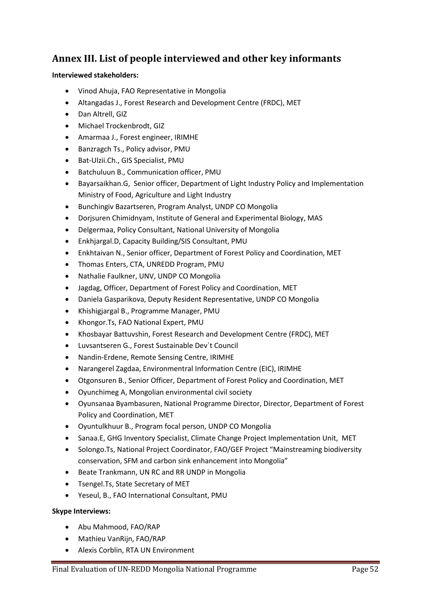## **Annex III. List of people interviewed and other key informants**

### **Interviewed stakeholders:**

- Vinod Ahuja, FAO Representative in Mongolia
- Altangadas J., Forest Research and Development Centre (FRDC), MET
- Dan Altrell, GIZ
- Michael Trockenbrodt, GIZ
- Amarmaa J., Forest engineer, IRIMHE
- Banzragch Ts., Policy advisor, PMU
- Bat-Ulzii.Ch., GIS Specialist, PMU
- Batchuluun B., Communication officer, PMU
- Bayarsaikhan.G, Senior officer, Department of Light Industry Policy and Implementation Ministry of Food, Agriculture and Light Industry
- Bunchingiv Bazartseren, Program Analyst, UNDP CO Mongolia
- Dorjsuren Chimidnyam, Institute of General and Experimental Biology, MAS
- Delgermaa, Policy Consultant, National University of Mongolia
- Enkhjargal.D, Capacity Building/SIS Consultant, PMU
- Enkhtaivan N., Senior officer, Department of Forest Policy and Coordination, MET
- Thomas Enters, CTA, UNREDD Program, PMU
- Nathalie Faulkner, UNV, UNDP CO Mongolia
- Jagdag, Officer, Department of Forest Policy and Coordination, MET
- Daniela Gasparikova, Deputy Resident Representative, UNDP CO Mongolia
- Khishigjargal B., Programme Manager, PMU
- Khongor.Ts, FAO National Expert, PMU
- Khosbayar Battuvshin, Forest Research and Development Centre (FRDC), MET
- Luvsantseren G., Forest Sustainable Dev`t Council
- Nandin-Erdene, Remote Sensing Centre, IRIMHE
- Narangerel Zagdaa, Environmentral Information Centre (EIC), IRIMHE
- Otgonsuren B., Senior Officer, Department of Forest Policy and Coordination, MET
- Oyunchimeg A, Mongolian environmental civil society
- Oyunsanaa Byambasuren, National Programme Director, Director, Department of Forest Policy and Coordination, MET
- Oyuntulkhuur B., Program focal person, UNDP CO Mongolia
- Sanaa.E, GHG Inventory Specialist, Climate Change Project Implementation Unit, MET
- Solongo.Ts, National Project Coordinator, FAO/GEF Project "Mainstreaming biodiversity conservation, SFM and carbon sink enhancement into Mongolia"
- Beate Trankmann, UN RC and RR UNDP in Mongolia
- Tsengel.Ts, State Secretary of MET
- Yeseul, B., FAO International Consultant, PMU

### **Skype Interviews:**

- Abu Mahmood, FAO/RAP
- Mathieu VanRijn, FAO/RAP
- Alexis Corblin, RTA UN Environment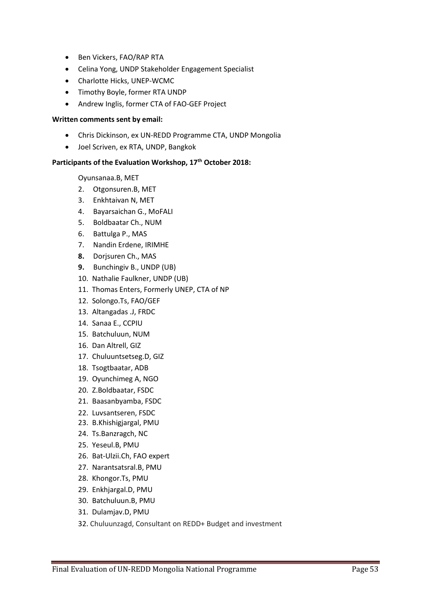- Ben Vickers, FAO/RAP RTA
- Celina Yong, UNDP Stakeholder Engagement Specialist
- Charlotte Hicks, UNEP-WCMC
- Timothy Boyle, former RTA UNDP
- Andrew Inglis, former CTA of FAO-GEF Project

#### **Written comments sent by email:**

- Chris Dickinson, ex UN-REDD Programme CTA, UNDP Mongolia
- Joel Scriven, ex RTA, UNDP, Bangkok

### **Participants of the Evaluation Workshop, 17th October 2018:**

Oyunsanaa.B, MET

- 2. Otgonsuren.B, MET
- 3. Enkhtaivan N, MET
- 4. Bayarsaichan G., MoFALI
- 5. Boldbaatar Ch., NUM
- 6. Battulga P., MAS
- 7. Nandin Erdene, IRIMHE
- **8.** Dorjsuren Ch., MAS
- **9.** Bunchingiv B., UNDP (UB)
- 10. Nathalie Faulkner, UNDP (UB)
- 11. Thomas Enters, Formerly UNEP, CTA of NP
- 12. Solongo.Ts, FAO/GEF
- 13. Altangadas .J, FRDC
- 14. Sanaa E., CCPIU
- 15. Batchuluun, NUM
- 16. Dan Altrell, GIZ
- 17. Chuluuntsetseg.D, GIZ
- 18. Tsogtbaatar, ADB
- 19. Oyunchimeg A, NGO
- 20. Z.Boldbaatar, FSDC
- 21. Baasanbyamba, FSDC
- 22. Luvsantseren, FSDC
- 23. B.Khishigjargal, PMU
- 24. Ts.Banzragch, NC
- 25. Yeseul.B, PMU
- 26. Bat-Ulzii.Ch, FAO expert
- 27. Narantsatsral.B, PMU
- 28. Khongor.Ts, PMU
- 29. Enkhjargal.D, PMU
- 30. Batchuluun.B, PMU
- 31. Dulamjav.D, PMU
- 32. Chuluunzagd, Consultant on REDD+ Budget and investment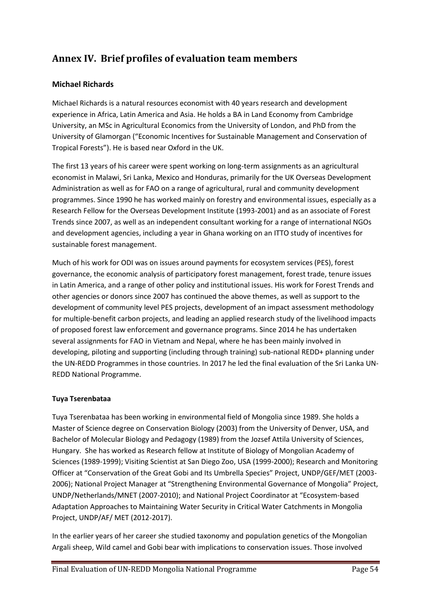## **Annex IV. Brief profiles of evaluation team members**

### **Michael Richards**

Michael Richards is a natural resources economist with 40 years research and development experience in Africa, Latin America and Asia. He holds a BA in Land Economy from Cambridge University, an MSc in Agricultural Economics from the University of London, and PhD from the University of Glamorgan ("Economic Incentives for Sustainable Management and Conservation of Tropical Forests"). He is based near Oxford in the UK.

The first 13 years of his career were spent working on long-term assignments as an agricultural economist in Malawi, Sri Lanka, Mexico and Honduras, primarily for the UK Overseas Development Administration as well as for FAO on a range of agricultural, rural and community development programmes. Since 1990 he has worked mainly on forestry and environmental issues, especially as a Research Fellow for the Overseas Development Institute (1993-2001) and as an associate of Forest Trends since 2007, as well as an independent consultant working for a range of international NGOs and development agencies, including a year in Ghana working on an ITTO study of incentives for sustainable forest management.

Much of his work for ODI was on issues around payments for ecosystem services (PES), forest governance, the economic analysis of participatory forest management, forest trade, tenure issues in Latin America, and a range of other policy and institutional issues. His work for Forest Trends and other agencies or donors since 2007 has continued the above themes, as well as support to the development of community level PES projects, development of an impact assessment methodology for multiple-benefit carbon projects, and leading an applied research study of the livelihood impacts of proposed forest law enforcement and governance programs. Since 2014 he has undertaken several assignments for FAO in Vietnam and Nepal, where he has been mainly involved in developing, piloting and supporting (including through training) sub-national REDD+ planning under the UN-REDD Programmes in those countries. In 2017 he led the final evaluation of the Sri Lanka UN-REDD National Programme.

### **Tuya Tserenbataa**

Tuya Tserenbataa has been working in environmental field of Mongolia since 1989. She holds a Master of Science degree on Conservation Biology (2003) from the University of Denver, USA, and Bachelor of Molecular Biology and Pedagogy (1989) from the Jozsef Attila University of Sciences, Hungary. She has worked as Research fellow at Institute of Biology of Mongolian Academy of Sciences (1989-1999); Visiting Scientist at San Diego Zoo, USA (1999-2000); Research and Monitoring Officer at "Conservation of the Great Gobi and Its Umbrella Species" Project, UNDP/GEF/MET (2003- 2006); National Project Manager at "Strengthening Environmental Governance of Mongolia" Project, UNDP/Netherlands/MNET (2007-2010); and National Project Coordinator at "Ecosystem-based Adaptation Approaches to Maintaining Water Security in Critical Water Catchments in Mongolia Project, UNDP/AF/ MET (2012-2017).

In the earlier years of her career she studied taxonomy and population genetics of the Mongolian Argali sheep, Wild camel and Gobi bear with implications to conservation issues. Those involved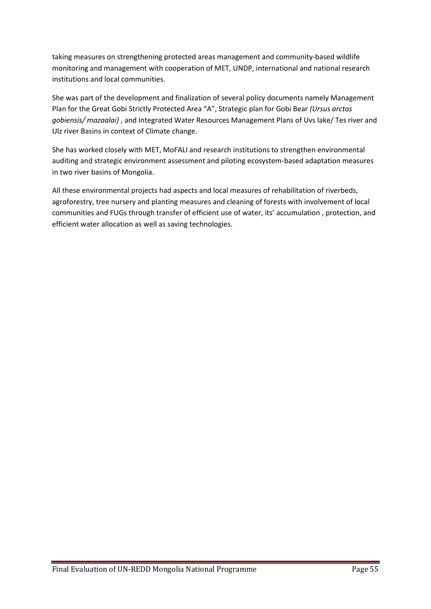taking measures on strengthening protected areas management and community-based wildlife monitoring and management with cooperation of MET, UNDP, international and national research institutions and local communities.

She was part of the development and finalization of several policy documents namely Management Plan for the Great Gobi Strictly Protected Area "A", Strategic plan for Gobi Bear *(Ursus arctos gobiensis/ mazaalai)* , and Integrated Water Resources Management Plans of Uvs lake/ Tes river and Ulz river Basins in context of Climate change.

She has worked closely with MET, MoFALI and research institutions to strengthen environmental auditing and strategic environment assessment and piloting ecosystem-based adaptation measures in two river basins of Mongolia.

All these environmental projects had aspects and local measures of rehabilitation of riverbeds, agroforestry, tree nursery and planting measures and cleaning of forests with involvement of local communities and FUGs through transfer of efficient use of water, its' accumulation , protection, and efficient water allocation as well as saving technologies.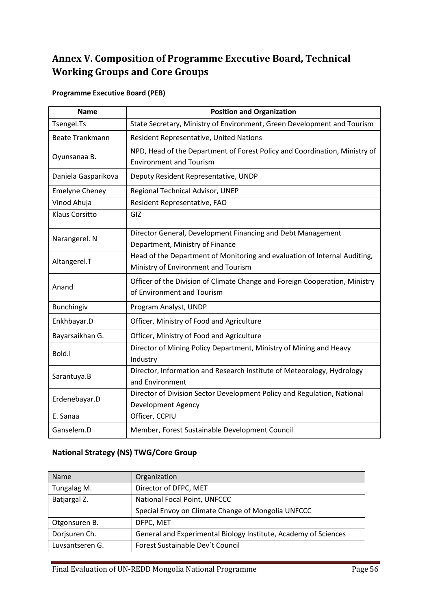# <span id="page-65-0"></span>**Annex V. Composition of Programme Executive Board, Technical Working Groups and Core Groups**

### **Programme Executive Board (PEB)**

| <b>Name</b>            | <b>Position and Organization</b>                                            |
|------------------------|-----------------------------------------------------------------------------|
| Tsengel.Ts             | State Secretary, Ministry of Environment, Green Development and Tourism     |
| <b>Beate Trankmann</b> | Resident Representative, United Nations                                     |
| Oyunsanaa B.           | NPD, Head of the Department of Forest Policy and Coordination, Ministry of  |
|                        | <b>Environment and Tourism</b>                                              |
| Daniela Gasparikova    | Deputy Resident Representative, UNDP                                        |
| <b>Emelyne Cheney</b>  | Regional Technical Advisor, UNEP                                            |
| Vinod Ahuja            | Resident Representative, FAO                                                |
| <b>Klaus Corsitto</b>  | GIZ                                                                         |
|                        | Director General, Development Financing and Debt Management                 |
| Narangerel. N          | Department, Ministry of Finance                                             |
| Altangerel.T           | Head of the Department of Monitoring and evaluation of Internal Auditing,   |
|                        | Ministry of Environment and Tourism                                         |
|                        | Officer of the Division of Climate Change and Foreign Cooperation, Ministry |
| Anand                  | of Environment and Tourism                                                  |
| Bunchingiv             | Program Analyst, UNDP                                                       |
| Enkhbayar.D            | Officer, Ministry of Food and Agriculture                                   |
| Bayarsaikhan G.        | Officer, Ministry of Food and Agriculture                                   |
|                        | Director of Mining Policy Department, Ministry of Mining and Heavy          |
| Bold.I                 | Industry                                                                    |
|                        | Director, Information and Research Institute of Meteorology, Hydrology      |
| Sarantuya.B            | and Environment                                                             |
| Erdenebayar.D          | Director of Division Sector Development Policy and Regulation, National     |
|                        | <b>Development Agency</b>                                                   |
| E. Sanaa               | Officer, CCPIU                                                              |
| Ganselem.D             | Member, Forest Sustainable Development Council                              |

### **National Strategy (NS) TWG/Core Group**

| <b>Name</b>     | Organization                                                    |
|-----------------|-----------------------------------------------------------------|
| Tungalag M.     | Director of DFPC, MET                                           |
| Batjargal Z.    | National Focal Point, UNFCCC                                    |
|                 | Special Envoy on Climate Change of Mongolia UNFCCC              |
| Otgonsuren B.   | DFPC, MET                                                       |
| Dorjsuren Ch.   | General and Experimental Biology Institute, Academy of Sciences |
| Luvsantseren G. | Forest Sustainable Dev't Council                                |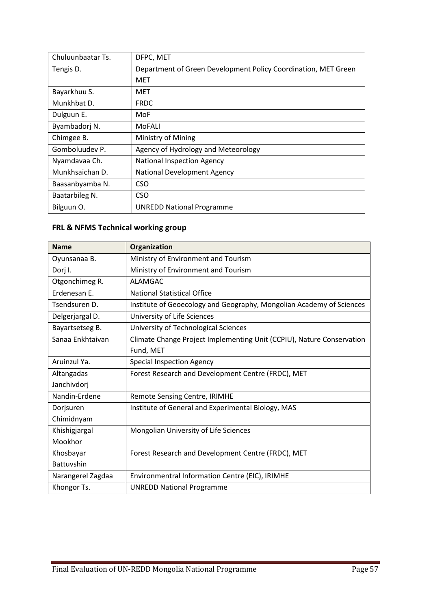| Chuluunbaatar Ts. | DFPC, MET                                                      |
|-------------------|----------------------------------------------------------------|
| Tengis D.         | Department of Green Development Policy Coordination, MET Green |
|                   | MET                                                            |
| Bayarkhuu S.      | MET                                                            |
| Munkhbat D.       | <b>FRDC</b>                                                    |
| Dulguun E.        | MoF                                                            |
| Byambadorj N.     | MoFALI                                                         |
| Chimgee B.        | Ministry of Mining                                             |
| Gomboluudev P.    | Agency of Hydrology and Meteorology                            |
| Nyamdavaa Ch.     | <b>National Inspection Agency</b>                              |
| Munkhsaichan D.   | <b>National Development Agency</b>                             |
| Baasanbyamba N.   | CSO                                                            |
| Baatarbileg N.    | <b>CSO</b>                                                     |
| Bilguun O.        | <b>UNREDD National Programme</b>                               |

# **FRL & NFMS Technical working group**

| <b>Name</b>       | Organization                                                          |
|-------------------|-----------------------------------------------------------------------|
| Oyunsanaa B.      | Ministry of Environment and Tourism                                   |
| Dorj I.           | Ministry of Environment and Tourism                                   |
| Otgonchimeg R.    | <b>ALAMGAC</b>                                                        |
| Erdenesan E.      | <b>National Statistical Office</b>                                    |
| Tsendsuren D.     | Institute of Geoecology and Geography, Mongolian Academy of Sciences  |
| Delgerjargal D.   | University of Life Sciences                                           |
| Bayartsetseg B.   | University of Technological Sciences                                  |
| Sanaa Enkhtaivan  | Climate Change Project Implementing Unit (CCPIU), Nature Conservation |
|                   | Fund, MET                                                             |
| Aruinzul Ya.      | <b>Special Inspection Agency</b>                                      |
| Altangadas        | Forest Research and Development Centre (FRDC), MET                    |
| Janchivdorj       |                                                                       |
| Nandin-Erdene     | Remote Sensing Centre, IRIMHE                                         |
| Dorjsuren         | Institute of General and Experimental Biology, MAS                    |
| Chimidnyam        |                                                                       |
| Khishigjargal     | Mongolian University of Life Sciences                                 |
| Mookhor           |                                                                       |
| Khosbayar         | Forest Research and Development Centre (FRDC), MET                    |
| Battuvshin        |                                                                       |
| Narangerel Zagdaa | Environmentral Information Centre (EIC), IRIMHE                       |
| Khongor Ts.       | <b>UNREDD National Programme</b>                                      |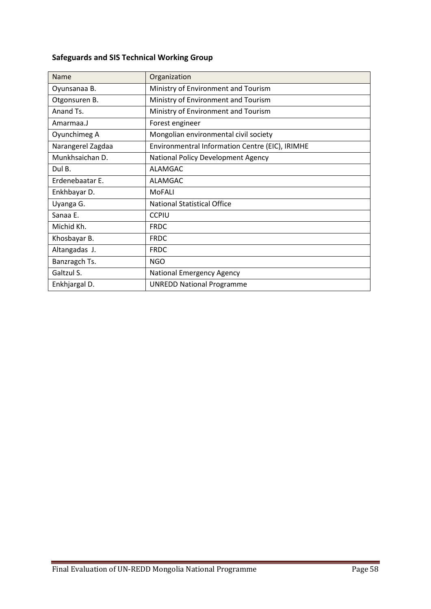## **Safeguards and SIS Technical Working Group**

| Name              | Organization                                    |
|-------------------|-------------------------------------------------|
| Oyunsanaa B.      | Ministry of Environment and Tourism             |
| Otgonsuren B.     | Ministry of Environment and Tourism             |
| Anand Ts.         | Ministry of Environment and Tourism             |
| Amarmaa.J         | Forest engineer                                 |
| Oyunchimeg A      | Mongolian environmental civil society           |
| Narangerel Zagdaa | Environmentral Information Centre (EIC), IRIMHE |
| Munkhsaichan D.   | National Policy Development Agency              |
| Dul B.            | <b>ALAMGAC</b>                                  |
| Erdenebaatar E.   | <b>ALAMGAC</b>                                  |
| Enkhbayar D.      | MoFALI                                          |
| Uyanga G.         | <b>National Statistical Office</b>              |
| Sanaa E.          | <b>CCPIU</b>                                    |
| Michid Kh.        | <b>FRDC</b>                                     |
| Khosbayar B.      | <b>FRDC</b>                                     |
| Altangadas J.     | <b>FRDC</b>                                     |
| Banzragch Ts.     | <b>NGO</b>                                      |
| Galtzul S.        | National Emergency Agency                       |
| Enkhjargal D.     | <b>UNREDD National Programme</b>                |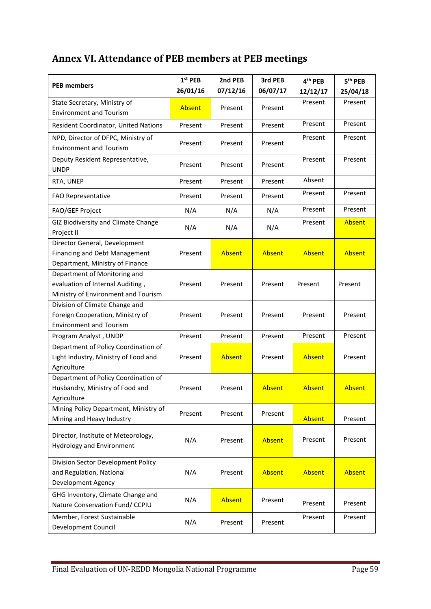# **Annex VI. Attendance of PEB members at PEB meetings**

| <b>PEB members</b>                                                                                      | $1st$ PEB | 2nd PEB       | 3rd PEB  | 4 <sup>th</sup> PEB | 5 <sup>th</sup> PEB |
|---------------------------------------------------------------------------------------------------------|-----------|---------------|----------|---------------------|---------------------|
|                                                                                                         | 26/01/16  | 07/12/16      | 06/07/17 | 12/12/17            | 25/04/18            |
| State Secretary, Ministry of<br><b>Environment and Tourism</b>                                          | Absent    | Present       | Present  | Present             | Present             |
| Resident Coordinator, United Nations                                                                    | Present   | Present       | Present  | Present             | Present             |
| NPD, Director of DFPC, Ministry of<br><b>Environment and Tourism</b>                                    | Present   | Present       | Present  | Present             | Present             |
| Deputy Resident Representative,<br><b>UNDP</b>                                                          | Present   | Present       | Present  | Present             | Present             |
| RTA, UNEP                                                                                               | Present   | Present       | Present  | Absent              |                     |
| <b>FAO Representative</b>                                                                               | Present   | Present       | Present  | Present             | Present             |
| FAO/GEF Project                                                                                         | N/A       | N/A           | N/A      | Present             | Present             |
| GIZ Biodiversity and Climate Change<br>Project II                                                       | N/A       | N/A           | N/A      | Present             | Absent              |
| Director General, Development<br>Financing and Debt Management<br>Department, Ministry of Finance       | Present   | <b>Absent</b> | Absent   | <b>Absent</b>       | Absent              |
| Department of Monitoring and<br>evaluation of Internal Auditing,<br>Ministry of Environment and Tourism | Present   | Present       | Present  | Present             | Present             |
| Division of Climate Change and<br>Foreign Cooperation, Ministry of<br><b>Environment and Tourism</b>    | Present   | Present       | Present  | Present             | Present             |
| Program Analyst, UNDP                                                                                   | Present   | Present       | Present  | Present             | Present             |
| Department of Policy Coordination of<br>Light Industry, Ministry of Food and<br>Agriculture             | Present   | <b>Absent</b> | Present  | <b>Absent</b>       | Present             |
| Department of Policy Coordination of<br>Husbandry, Ministry of Food and<br>Agriculture                  | Present   | Present       | Absent   | <b>Absent</b>       | <b>Absent</b>       |
| Mining Policy Department, Ministry of<br>Mining and Heavy Industry                                      | Present   | Present       | Present  | <b>Absent</b>       | Present             |
| Director, Institute of Meteorology,<br><b>Hydrology and Environment</b>                                 | N/A       | Present       | Absent   | Present             | Present             |
| Division Sector Development Policy<br>and Regulation, National<br>Development Agency                    | N/A       | Present       | Absent   | Absent              | Absent              |
| GHG Inventory, Climate Change and<br>Nature Conservation Fund/ CCPIU                                    | N/A       | Absent        | Present  | Present             | Present             |
| Member, Forest Sustainable<br>Development Council                                                       | N/A       | Present       | Present  | Present             | Present             |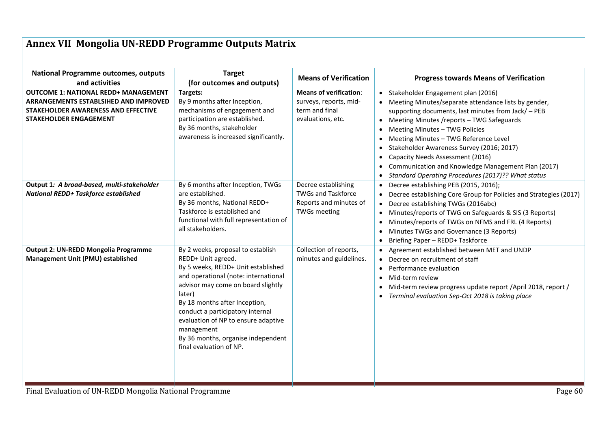# **Annex VII Mongolia UN-REDD Programme Outputs Matrix**

| <b>National Programme outcomes, outputs</b><br>and activities                                                                                                | <b>Target</b><br>(for outcomes and outputs)                                                                                                                                                                                                                                                                                                                                      | <b>Means of Verification</b>                                                                      | <b>Progress towards Means of Verification</b>                                                                                                                                                                                                                                                                                                                                                                                                                                                                   |
|--------------------------------------------------------------------------------------------------------------------------------------------------------------|----------------------------------------------------------------------------------------------------------------------------------------------------------------------------------------------------------------------------------------------------------------------------------------------------------------------------------------------------------------------------------|---------------------------------------------------------------------------------------------------|-----------------------------------------------------------------------------------------------------------------------------------------------------------------------------------------------------------------------------------------------------------------------------------------------------------------------------------------------------------------------------------------------------------------------------------------------------------------------------------------------------------------|
| <b>OUTCOME 1: NATIONAL REDD+ MANAGEMENT</b><br>ARRANGEMENTS ESTABLSIHED AND IMPROVED<br>STAKEHOLDER AWARENESS AND EFFECTIVE<br><b>STAKEHOLDER ENGAGEMENT</b> | Targets:<br>By 9 months after Inception,<br>mechanisms of engagement and<br>participation are established.<br>By 36 months, stakeholder<br>awareness is increased significantly.                                                                                                                                                                                                 | <b>Means of verification:</b><br>surveys, reports, mid-<br>term and final<br>evaluations, etc.    | Stakeholder Engagement plan (2016)<br>• Meeting Minutes/separate attendance lists by gender,<br>supporting documents, last minutes from Jack/ - PEB<br>Meeting Minutes /reports - TWG Safeguards<br>$\bullet$<br>Meeting Minutes - TWG Policies<br>$\bullet$<br>Meeting Minutes - TWG Reference Level<br>Stakeholder Awareness Survey (2016; 2017)<br>Capacity Needs Assessment (2016)<br>$\bullet$<br>Communication and Knowledge Management Plan (2017)<br>Standard Operating Procedures (2017)?? What status |
| Output 1: A broad-based, multi-stakeholder<br>National REDD+ Taskforce established                                                                           | By 6 months after Inception, TWGs<br>are established.<br>By 36 months, National REDD+<br>Taskforce is established and<br>functional with full representation of<br>all stakeholders.                                                                                                                                                                                             | Decree establishing<br><b>TWGs and Taskforce</b><br>Reports and minutes of<br><b>TWGs meeting</b> | Decree establishing PEB (2015, 2016);<br>Decree establishing Core Group for Policies and Strategies (2017)<br>Decree establishing TWGs (2016abc)<br>$\bullet$<br>Minutes/reports of TWG on Safeguards & SIS (3 Reports)<br>$\bullet$<br>Minutes/reports of TWGs on NFMS and FRL (4 Reports)<br>$\bullet$<br>Minutes TWGs and Governance (3 Reports)<br>Briefing Paper - REDD+ Taskforce                                                                                                                         |
| <b>Output 2: UN-REDD Mongolia Programme</b><br>Management Unit (PMU) established                                                                             | By 2 weeks, proposal to establish<br>REDD+ Unit agreed.<br>By 5 weeks, REDD+ Unit established<br>and operational (note: international<br>advisor may come on board slightly<br>later)<br>By 18 months after Inception,<br>conduct a participatory internal<br>evaluation of NP to ensure adaptive<br>management<br>By 36 months, organise independent<br>final evaluation of NP. | Collection of reports,<br>minutes and guidelines.                                                 | Agreement established between MET and UNDP<br>Decree on recruitment of staff<br>Performance evaluation<br>Mid-term review<br>$\bullet$<br>Mid-term review progress update report / April 2018, report /<br>$\bullet$<br>Terminal evaluation Sep-Oct 2018 is taking place<br>$\bullet$                                                                                                                                                                                                                           |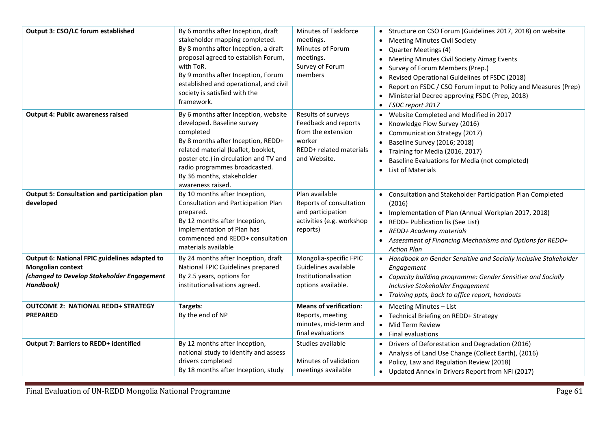| Output 3: CSO/LC forum established                                                                                                   | By 6 months after Inception, draft<br>stakeholder mapping completed.<br>By 8 months after Inception, a draft<br>proposal agreed to establish Forum,<br>with ToR.<br>By 9 months after Inception, Forum<br>established and operational, and civil<br>society is satisfied with the<br>framework. | Minutes of Taskforce<br>meetings.<br>Minutes of Forum<br>meetings.<br>Survey of Forum<br>members                             | • Structure on CSO Forum (Guidelines 2017, 2018) on website<br><b>Meeting Minutes Civil Society</b><br>$\bullet$<br>Quarter Meetings (4)<br>$\bullet$<br>Meeting Minutes Civil Society Aimag Events<br>$\bullet$<br>Survey of Forum Members (Prep.)<br>Revised Operational Guidelines of FSDC (2018)<br>$\bullet$<br>Report on FSDC / CSO Forum input to Policy and Measures (Prep)<br>$\bullet$<br>Ministerial Decree approving FSDC (Prep, 2018)<br>$\bullet$<br>FSDC report 2017 |
|--------------------------------------------------------------------------------------------------------------------------------------|-------------------------------------------------------------------------------------------------------------------------------------------------------------------------------------------------------------------------------------------------------------------------------------------------|------------------------------------------------------------------------------------------------------------------------------|-------------------------------------------------------------------------------------------------------------------------------------------------------------------------------------------------------------------------------------------------------------------------------------------------------------------------------------------------------------------------------------------------------------------------------------------------------------------------------------|
| <b>Output 4: Public awareness raised</b>                                                                                             | By 6 months after Inception, website<br>developed. Baseline survey<br>completed<br>By 8 months after Inception, REDD+<br>related material (leaflet, booklet,<br>poster etc.) in circulation and TV and<br>radio programmes broadcasted.<br>By 36 months, stakeholder<br>awareness raised.       | Results of surveys<br>Feedback and reports<br>from the extension<br>worker<br><b>REDD+</b> related materials<br>and Website. | Website Completed and Modified in 2017<br>Knowledge Flow Survey (2016)<br>Communication Strategy (2017)<br>Baseline Survey (2016; 2018)<br>$\bullet$<br>Training for Media (2016, 2017)<br>$\bullet$<br>Baseline Evaluations for Media (not completed)<br>$\bullet$<br><b>List of Materials</b><br>$\bullet$                                                                                                                                                                        |
| Output 5: Consultation and participation plan<br>developed                                                                           | By 10 months after Inception,<br>Consultation and Participation Plan<br>prepared.<br>By 12 months after Inception,<br>implementation of Plan has<br>commenced and REDD+ consultation<br>materials available                                                                                     | Plan available<br>Reports of consultation<br>and participation<br>activities (e.g. workshop<br>reports)                      | Consultation and Stakeholder Participation Plan Completed<br>(2016)<br>• Implementation of Plan (Annual Workplan 2017, 2018)<br>REDD+ Publication lis (See List)<br>$\bullet$<br>REDD+ Academy materials<br>• Assessment of Financing Mechanisms and Options for REDD+<br><b>Action Plan</b>                                                                                                                                                                                        |
| Output 6: National FPIC guidelines adapted to<br><b>Mongolian context</b><br>(changed to Develop Stakeholder Engagement<br>Handbook) | By 24 months after Inception, draft<br>National FPIC Guidelines prepared<br>By 2.5 years, options for<br>institutionalisations agreed.                                                                                                                                                          | Mongolia-specific FPIC<br>Guidelines available<br>Institutionalisation<br>options available.                                 | • Handbook on Gender Sensitive and Socially Inclusive Stakeholder<br>Engagement<br>• Capacity building programme: Gender Sensitive and Socially<br>Inclusive Stakeholder Engagement<br>Training ppts, back to office report, handouts                                                                                                                                                                                                                                               |
| <b>OUTCOME 2: NATIONAL REDD+ STRATEGY</b><br><b>PREPARED</b>                                                                         | Targets:<br>By the end of NP                                                                                                                                                                                                                                                                    | <b>Means of verification:</b><br>Reports, meeting<br>minutes, mid-term and<br>final evaluations                              | Meeting Minutes - List<br>$\bullet$<br>Technical Briefing on REDD+ Strategy<br>Mid Term Review<br>$\bullet$<br>• Final evaluations                                                                                                                                                                                                                                                                                                                                                  |
| <b>Output 7: Barriers to REDD+ identified</b>                                                                                        | By 12 months after Inception,<br>national study to identify and assess<br>drivers completed<br>By 18 months after Inception, study                                                                                                                                                              | Studies available<br>Minutes of validation<br>meetings available                                                             | Drivers of Deforestation and Degradation (2016)<br>$\bullet$<br>Analysis of Land Use Change (Collect Earth), (2016)<br>Policy, Law and Regulation Review (2018)<br>• Updated Annex in Drivers Report from NFI (2017)                                                                                                                                                                                                                                                                |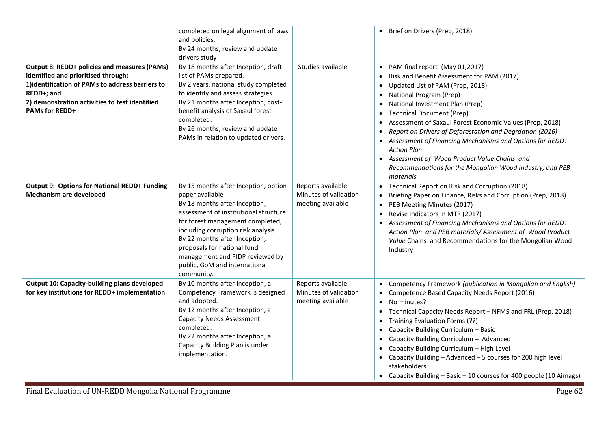| <b>Output 8: REDD+ policies and measures (PAMs)</b>                                                                                                                              | completed on legal alignment of laws<br>and policies.<br>By 24 months, review and update<br>drivers study<br>By 18 months after Inception, draft                                                                                                                                                                                                               | Studies available                                               | • Brief on Drivers (Prep, 2018)<br>PAM final report (May 01,2017)                                                                                                                                                                                                                                                                                                                                                                                                                                                                                                                                               |
|----------------------------------------------------------------------------------------------------------------------------------------------------------------------------------|----------------------------------------------------------------------------------------------------------------------------------------------------------------------------------------------------------------------------------------------------------------------------------------------------------------------------------------------------------------|-----------------------------------------------------------------|-----------------------------------------------------------------------------------------------------------------------------------------------------------------------------------------------------------------------------------------------------------------------------------------------------------------------------------------------------------------------------------------------------------------------------------------------------------------------------------------------------------------------------------------------------------------------------------------------------------------|
| identified and prioritised through:<br>1) identification of PAMs to address barriers to<br>REDD+; and<br>2) demonstration activities to test identified<br><b>PAMs for REDD+</b> | list of PAMs prepared.<br>By 2 years, national study completed<br>to identify and assess strategies.<br>By 21 months after Inception, cost-<br>benefit analysis of Saxaul forest<br>completed.<br>By 26 months, review and update<br>PAMs in relation to updated drivers.                                                                                      |                                                                 | Risk and Benefit Assessment for PAM (2017)<br>Updated List of PAM (Prep, 2018)<br>$\bullet$<br>National Program (Prep)<br>$\bullet$<br>National Investment Plan (Prep)<br>$\bullet$<br><b>Technical Document (Prep)</b><br>$\bullet$<br>Assessment of Saxaul Forest Economic Values (Prep, 2018)<br>$\bullet$<br>Report on Drivers of Deforestation and Degrdation (2016)<br>$\bullet$<br>• Assessment of Financing Mechanisms and Options for REDD+<br><b>Action Plan</b><br>• Assessment of Wood Product Value Chains and<br>Recommendations for the Mongolian Wood Industry, and PEB<br>materials            |
| <b>Output 9: Options for National REDD+ Funding</b><br><b>Mechanism are developed</b>                                                                                            | By 15 months after Inception, option<br>paper available<br>By 18 months after Inception,<br>assessment of institutional structure<br>for forest management completed,<br>including corruption risk analysis.<br>By 22 months after Inception,<br>proposals for national fund<br>management and PIDP reviewed by<br>public, GoM and international<br>community. | Reports available<br>Minutes of validation<br>meeting available | Technical Report on Risk and Corruption (2018)<br>Briefing Paper on Finance, Risks and Corruption (Prep, 2018)<br>$\bullet$<br>PEB Meeting Minutes (2017)<br>$\bullet$<br>Revise Indicators in MTR (2017)<br>$\bullet$<br>Assessment of Financing Mechanisms and Options for REDD+<br>$\bullet$<br>Action Plan and PEB materials/Assessment of Wood Product<br>Value Chains and Recommendations for the Mongolian Wood<br>Industry                                                                                                                                                                              |
| <b>Output 10: Capacity-building plans developed</b><br>for key institutions for REDD+ implementation                                                                             | By 10 months after Inception, a<br>Competency Framework is designed<br>and adopted.<br>By 12 months after Inception, a<br><b>Capacity Needs Assessment</b><br>completed.<br>By 22 months after Inception, a<br>Capacity Building Plan is under<br>implementation.                                                                                              | Reports available<br>Minutes of validation<br>meeting available | Competency Framework (publication in Mongolian and English)<br>$\bullet$<br>Competence Based Capacity Needs Report (2016)<br>No minutes?<br>$\bullet$<br>Technical Capacity Needs Report - NFMS and FRL (Prep, 2018)<br>$\bullet$<br>Training Evaluation Forms (??)<br>$\bullet$<br>Capacity Building Curriculum - Basic<br>$\bullet$<br>Capacity Building Curriculum - Advanced<br>$\bullet$<br>Capacity Building Curriculum - High Level<br>$\bullet$<br>• Capacity Building - Advanced - 5 courses for 200 high level<br>stakeholders<br>• Capacity Building - Basic - 10 courses for 400 people (10 Aimags) |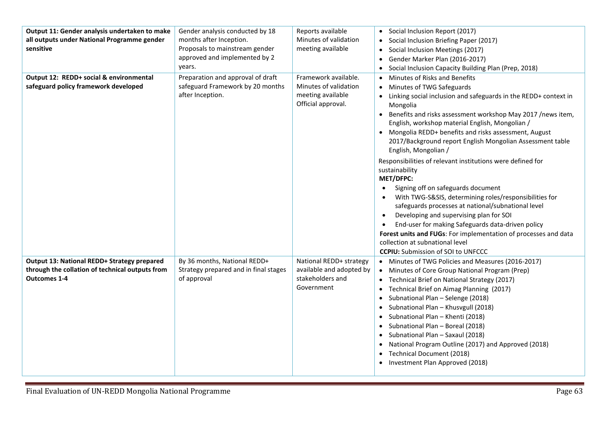| Output 11: Gender analysis undertaken to make<br>all outputs under National Programme gender<br>sensitive<br>Output 12: REDD+ social & environmental | Gender analysis conducted by 18<br>months after Inception.<br>Proposals to mainstream gender<br>approved and implemented by 2<br>years. | Reports available<br>Minutes of validation<br>meeting available<br>Framework available. | • Social Inclusion Report (2017)<br>Social Inclusion Briefing Paper (2017)<br>Social Inclusion Meetings (2017)<br>Gender Marker Plan (2016-2017)<br>Social Inclusion Capacity Building Plan (Prep, 2018)                                                                                                                                                                                                                                                                                                                                                                                                                                                                                                                                                                                                                                                                                                                                                           |
|------------------------------------------------------------------------------------------------------------------------------------------------------|-----------------------------------------------------------------------------------------------------------------------------------------|-----------------------------------------------------------------------------------------|--------------------------------------------------------------------------------------------------------------------------------------------------------------------------------------------------------------------------------------------------------------------------------------------------------------------------------------------------------------------------------------------------------------------------------------------------------------------------------------------------------------------------------------------------------------------------------------------------------------------------------------------------------------------------------------------------------------------------------------------------------------------------------------------------------------------------------------------------------------------------------------------------------------------------------------------------------------------|
| safeguard policy framework developed                                                                                                                 | Preparation and approval of draft<br>safeguard Framework by 20 months<br>after Inception.                                               | Minutes of validation<br>meeting available<br>Official approval.                        | Minutes of Risks and Benefits<br>Minutes of TWG Safeguards<br>• Linking social inclusion and safeguards in the REDD+ context in<br>Mongolia<br>• Benefits and risks assessment workshop May 2017 /news item,<br>English, workshop material English, Mongolian /<br>• Mongolia REDD+ benefits and risks assessment, August<br>2017/Background report English Mongolian Assessment table<br>English, Mongolian /<br>Responsibilities of relevant institutions were defined for<br>sustainability<br><b>MET/DFPC:</b><br>Signing off on safeguards document<br>$\bullet$<br>With TWG-S&SIS, determining roles/responsibilities for<br>safeguards processes at national/subnational level<br>Developing and supervising plan for SOI<br>$\bullet$<br>End-user for making Safeguards data-driven policy<br>$\bullet$<br>Forest units and FUGs: For implementation of processes and data<br>collection at subnational level<br><b>CCPIU:</b> Submission of SOI to UNFCCC |
| Output 13: National REDD+ Strategy prepared<br>through the collation of technical outputs from<br><b>Outcomes 1-4</b>                                | By 36 months, National REDD+<br>Strategy prepared and in final stages<br>of approval                                                    | National REDD+ strategy<br>available and adopted by<br>stakeholders and<br>Government   | • Minutes of TWG Policies and Measures (2016-2017)<br>• Minutes of Core Group National Program (Prep)<br>• Technical Brief on National Strategy (2017)<br>Technical Brief on Aimag Planning (2017)<br>Subnational Plan - Selenge (2018)<br>Subnational Plan - Khusvgull (2018)<br>Subnational Plan - Khenti (2018)<br>Subnational Plan - Boreal (2018)<br>Subnational Plan - Saxaul (2018)<br>National Program Outline (2017) and Approved (2018)<br>Technical Document (2018)<br>• Investment Plan Approved (2018)                                                                                                                                                                                                                                                                                                                                                                                                                                                |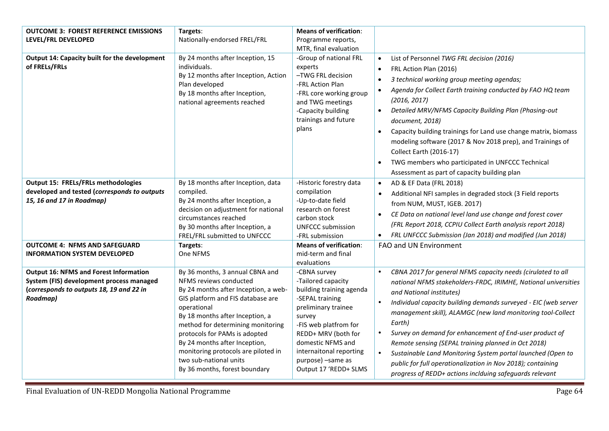| <b>OUTCOME 3: FOREST REFERENCE EMISSIONS</b>                                                                                                      | Targets:                                                                                                                                                                                                                                                                                                                                                                                          | <b>Means of verification:</b>                                                                                                                                                                                                                                    |                                                                                                                                                                                                                                                                                                                                                                                                                                                                                                                                                                                                                               |
|---------------------------------------------------------------------------------------------------------------------------------------------------|---------------------------------------------------------------------------------------------------------------------------------------------------------------------------------------------------------------------------------------------------------------------------------------------------------------------------------------------------------------------------------------------------|------------------------------------------------------------------------------------------------------------------------------------------------------------------------------------------------------------------------------------------------------------------|-------------------------------------------------------------------------------------------------------------------------------------------------------------------------------------------------------------------------------------------------------------------------------------------------------------------------------------------------------------------------------------------------------------------------------------------------------------------------------------------------------------------------------------------------------------------------------------------------------------------------------|
| LEVEL/FRL DEVELOPED                                                                                                                               | Nationally-endorsed FREL/FRL                                                                                                                                                                                                                                                                                                                                                                      | Programme reports,                                                                                                                                                                                                                                               |                                                                                                                                                                                                                                                                                                                                                                                                                                                                                                                                                                                                                               |
|                                                                                                                                                   |                                                                                                                                                                                                                                                                                                                                                                                                   | MTR, final evaluation                                                                                                                                                                                                                                            |                                                                                                                                                                                                                                                                                                                                                                                                                                                                                                                                                                                                                               |
| Output 14: Capacity built for the development<br>of FRELs/FRLs                                                                                    | By 24 months after Inception, 15<br>individuals.<br>By 12 months after Inception, Action<br>Plan developed<br>By 18 months after Inception,<br>national agreements reached                                                                                                                                                                                                                        | -Group of national FRL<br>experts<br>-TWG FRL decision<br>-FRL Action Plan<br>-FRL core working group<br>and TWG meetings<br>-Capacity building<br>trainings and future<br>plans                                                                                 | List of Personnel TWG FRL decision (2016)<br>$\bullet$<br>FRL Action Plan (2016)<br>$\bullet$<br>3 technical working group meeting agendas;<br>$\bullet$<br>Agenda for Collect Earth training conducted by FAO HQ team<br>$\bullet$<br>(2016, 2017)<br>Detailed MRV/NFMS Capacity Building Plan (Phasing-out<br>$\bullet$<br>document, 2018)<br>Capacity building trainings for Land use change matrix, biomass<br>$\bullet$<br>modeling software (2017 & Nov 2018 prep), and Trainings of<br>Collect Earth (2016-17)<br>TWG members who participated in UNFCCC Technical<br>Assessment as part of capacity building plan     |
| <b>Output 15: FRELs/FRLs methodologies</b><br>developed and tested (corresponds to outputs<br>15, 16 and 17 in Roadmap)                           | By 18 months after Inception, data<br>compiled.<br>By 24 months after Inception, a<br>decision on adjustment for national<br>circumstances reached<br>By 30 months after Inception, a<br>FREL/FRL submitted to UNFCCC                                                                                                                                                                             | -Historic forestry data<br>compilation<br>-Up-to-date field<br>research on forest<br>carbon stock<br><b>UNFCCC submission</b><br>-FRL submission                                                                                                                 | AD & EF Data (FRL 2018)<br>$\bullet$<br>Additional NFI samples in degraded stock (3 Field reports<br>from NUM, MUST, IGEB. 2017)<br>CE Data on national level land use change and forest cover<br>$\bullet$<br>(FRL Report 2018, CCPIU Collect Earth analysis report 2018)<br>FRL UNFCCC Submission (Jan 2018) and modified (Jun 2018)<br>$\bullet$                                                                                                                                                                                                                                                                           |
| <b>OUTCOME 4: NFMS AND SAFEGUARD</b><br><b>INFORMATION SYSTEM DEVELOPED</b>                                                                       | Targets:<br>One NFMS                                                                                                                                                                                                                                                                                                                                                                              | <b>Means of verification:</b><br>mid-term and final<br>evaluations                                                                                                                                                                                               | FAO and UN Environment                                                                                                                                                                                                                                                                                                                                                                                                                                                                                                                                                                                                        |
| <b>Output 16: NFMS and Forest Information</b><br>System (FIS) development process managed<br>(corresponds to outputs 18, 19 and 22 in<br>Roadmap) | By 36 months, 3 annual CBNA and<br>NFMS reviews conducted<br>By 24 months after Inception, a web-<br>GIS platform and FIS database are<br>operational<br>By 18 months after Inception, a<br>method for determining monitoring<br>protocols for PAMs is adopted<br>By 24 months after Inception,<br>monitoring protocols are piloted in<br>two sub-national units<br>By 36 months, forest boundary | -CBNA survey<br>-Tailored capacity<br>building training agenda<br>-SEPAL training<br>preliminary trainee<br>survey<br>-FIS web platfrom for<br>REDD+ MRV (both for<br>domestic NFMS and<br>internaitonal reporting<br>purpose) -same as<br>Output 17 'REDD+ SLMS | CBNA 2017 for general NFMS capacity needs (cirulated to all<br>national NFMS stakeholders-FRDC, IRIMHE, National universities<br>and National institutes)<br>Individual capacity building demands surveyed - EIC (web server<br>$\bullet$<br>management skill), ALAMGC (new land monitoring tool-Collect<br>Earth)<br>Survey on demand for enhancement of End-user product of<br>Remote sensing (SEPAL training planned in Oct 2018)<br>Sustainable Land Monitoring System portal launched (Open to<br>public for full operationalization in Nov 2018); containing<br>progress of REDD+ actions inclduing safeguards relevant |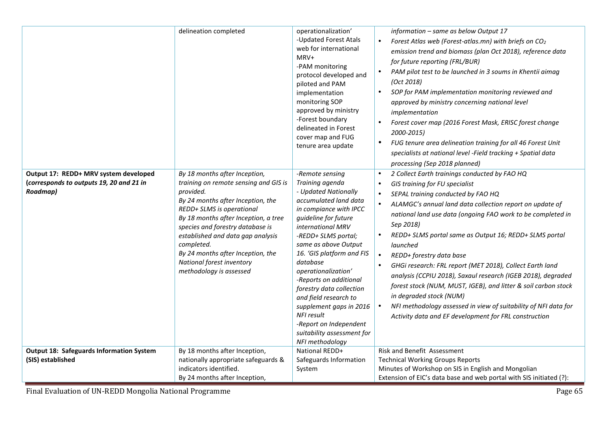|                                                                                               | delineation completed                                                                                                                                                                                                                                                                                                                                                             | operationalization'                                                                                                                                                                                                                                                                                                                                                                                                                                                                 | information - same as below Output 17                                                                                                                                                                                                                                                                                                                                                                                                                                                                                                                                                                                                                                                                                                                                    |
|-----------------------------------------------------------------------------------------------|-----------------------------------------------------------------------------------------------------------------------------------------------------------------------------------------------------------------------------------------------------------------------------------------------------------------------------------------------------------------------------------|-------------------------------------------------------------------------------------------------------------------------------------------------------------------------------------------------------------------------------------------------------------------------------------------------------------------------------------------------------------------------------------------------------------------------------------------------------------------------------------|--------------------------------------------------------------------------------------------------------------------------------------------------------------------------------------------------------------------------------------------------------------------------------------------------------------------------------------------------------------------------------------------------------------------------------------------------------------------------------------------------------------------------------------------------------------------------------------------------------------------------------------------------------------------------------------------------------------------------------------------------------------------------|
|                                                                                               |                                                                                                                                                                                                                                                                                                                                                                                   | -Updated Forest Atals<br>web for international<br>MRV+<br>-PAM monitoring<br>protocol developed and<br>piloted and PAM<br>implementation<br>monitoring SOP<br>approved by ministry<br>-Forest boundary<br>delineated in Forest<br>cover map and FUG<br>tenure area update                                                                                                                                                                                                           | Forest Atlas web (Forest-atlas.mn) with briefs on $CO2$<br>$\bullet$<br>emission trend and biomass (plan Oct 2018), reference data<br>for future reporting (FRL/BUR)<br>PAM pilot test to be launched in 3 soums in Khentii aimag<br>(Oct 2018)<br>SOP for PAM implementation monitoring reviewed and<br>approved by ministry concerning national level<br>implementation<br>Forest cover map (2016 Forest Mask, ERISC forest change<br>2000-2015)<br>FUG tenure area delineation training for all 46 Forest Unit<br>specialists at national level -Field tracking + Spatial data<br>processing (Sep 2018 planned)                                                                                                                                                       |
| Output 17: REDD+ MRV system developed<br>(corresponds to outputs 19, 20 and 21 in<br>Roadmap) | By 18 months after Inception,<br>training on remote sensing and GIS is<br>provided.<br>By 24 months after Inception, the<br>REDD+ SLMS is operational<br>By 18 months after Inception, a tree<br>species and forestry database is<br>established and data gap analysis<br>completed.<br>By 24 months after Inception, the<br>National forest inventory<br>methodology is assessed | -Remote sensing<br>Training agenda<br>- Updated Nationally<br>accumulated land data<br>in compiance with IPCC<br>guideline for future<br>international MRV<br>-REDD+ SLMS portal;<br>same as above Output<br>16. 'GIS platform and FIS<br>database<br>operationalization'<br>-Reports on additional<br>forestry data collection<br>and field research to<br>supplement gaps in 2016<br><b>NFI result</b><br>-Report on Independent<br>suitability assessment for<br>NFI methodology | 2 Collect Earth trainings conducted by FAO HQ<br>$\bullet$<br>GIS training for FU specialist<br>$\bullet$<br>SEPAL training conducted by FAO HQ<br>$\bullet$<br>ALAMGC's annual land data collection report on update of<br>national land use data (ongoing FAO work to be completed in<br>Sep 2018)<br>REDD+ SLMS portal same as Output 16; REDD+ SLMS portal<br>launched<br>REDD+ forestry data base<br>$\bullet$<br>GHGi research: FRL report (MET 2018), Collect Earth land<br>analysis (CCPIU 2018), Saxaul research (IGEB 2018), degraded<br>forest stock (NUM, MUST, IGEB), and litter & soil carbon stock<br>in degraded stock (NUM)<br>NFI methodology assessed in view of suitability of NFI data for<br>Activity data and EF development for FRL construction |
| <b>Output 18: Safeguards Information System</b><br>(SIS) established                          | By 18 months after Inception,<br>nationally appropriate safeguards &<br>indicators identified.<br>By 24 months after Inception,                                                                                                                                                                                                                                                   | National REDD+<br>Safeguards Information<br>System                                                                                                                                                                                                                                                                                                                                                                                                                                  | Risk and Benefit Assessment<br><b>Technical Working Groups Reports</b><br>Minutes of Workshop on SIS in English and Mongolian<br>Extension of EIC's data base and web portal with SIS initiated (?):                                                                                                                                                                                                                                                                                                                                                                                                                                                                                                                                                                     |
| Final Evaluation of UN-REDD Mongolia National Programme                                       |                                                                                                                                                                                                                                                                                                                                                                                   |                                                                                                                                                                                                                                                                                                                                                                                                                                                                                     | Page 65                                                                                                                                                                                                                                                                                                                                                                                                                                                                                                                                                                                                                                                                                                                                                                  |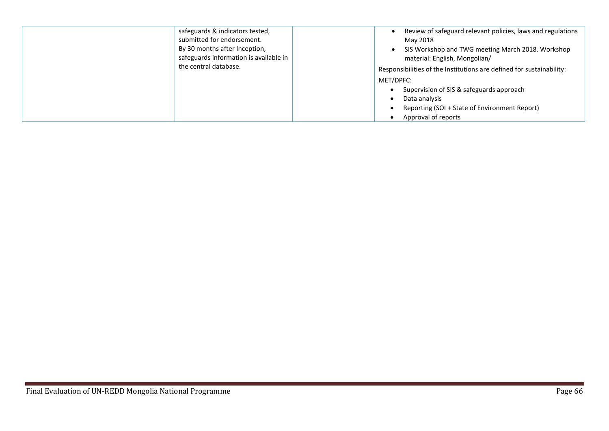| safeguards & indicators tested,<br>submitted for endorsement.<br>By 30 months after Inception,<br>safeguards information is available in<br>the central database. | Review of safeguard relevant policies, laws and regulations<br>May 2018<br>SIS Workshop and TWG meeting March 2018. Workshop<br>material: English, Mongolian/<br>Responsibilities of the Institutions are defined for sustainability:<br>MET/DPFC:<br>Supervision of SIS & safeguards approach<br>Data analysis<br>Reporting (SOI + State of Environment Report) |
|-------------------------------------------------------------------------------------------------------------------------------------------------------------------|------------------------------------------------------------------------------------------------------------------------------------------------------------------------------------------------------------------------------------------------------------------------------------------------------------------------------------------------------------------|
|                                                                                                                                                                   | Approval of reports                                                                                                                                                                                                                                                                                                                                              |